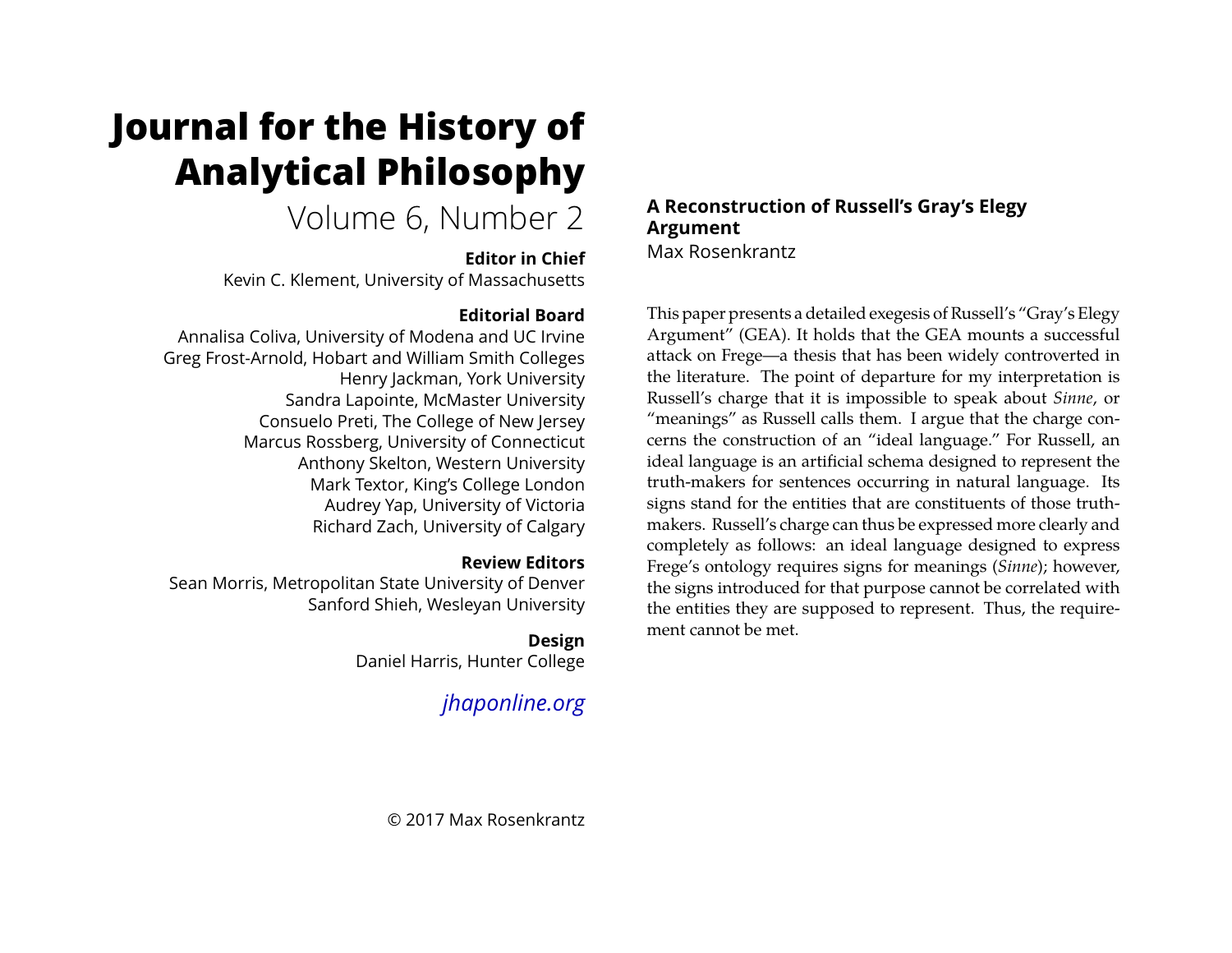# **Journal for the History of Analytical Philosophy**

## Volume 6, Number 2

## **Editor in Chief**

Kevin C. Klement, University of Massachusetts

## **Editorial Board**

Annalisa Coliva, University of Modena and UC Irvine Greg Frost-Arnold, Hobart and William Smith Colleges Henry Jackman, York University Sandra Lapointe, McMaster University Consuelo Preti, The College of New Jersey Marcus Rossberg, University of Connecticut Anthony Skelton, Western University Mark Textor, King's College London Audrey Yap, University of Victoria Richard Zach, University of Calgary

## **Review Editors**

Sean Morris, Metropolitan State University of Denver Sanford Shieh, Wesleyan University

## **Design**

Daniel Harris, Hunter College

*[jhaponline.org](https://jhaponline.org)*

## **A Reconstruction of Russell's Gray's Elegy Argument** Max Rosenkrantz

This paper presents a detailed exegesis of Russell's "Gray's Elegy Argument" (GEA). It holds that the GEA mounts a successful attack on Frege—a thesis that has been widely controverted in the literature. The point of departure for my interpretation is Russell's charge that it is impossible to speak about *Sinne*, or "meanings" as Russell calls them. I argue that the charge concerns the construction of an "ideal language." For Russell, an ideal language is an artificial schema designed to represent the truth-makers for sentences occurring in natural language. Its signs stand for the entities that are constituents of those truthmakers. Russell's charge can thus be expressed more clearly and completely as follows: an ideal language designed to express Frege's ontology requires signs for meanings (*Sinne*); however, the signs introduced for that purpose cannot be correlated with the entities they are supposed to represent. Thus, the requirement cannot be met.

© 2017 Max Rosenkrantz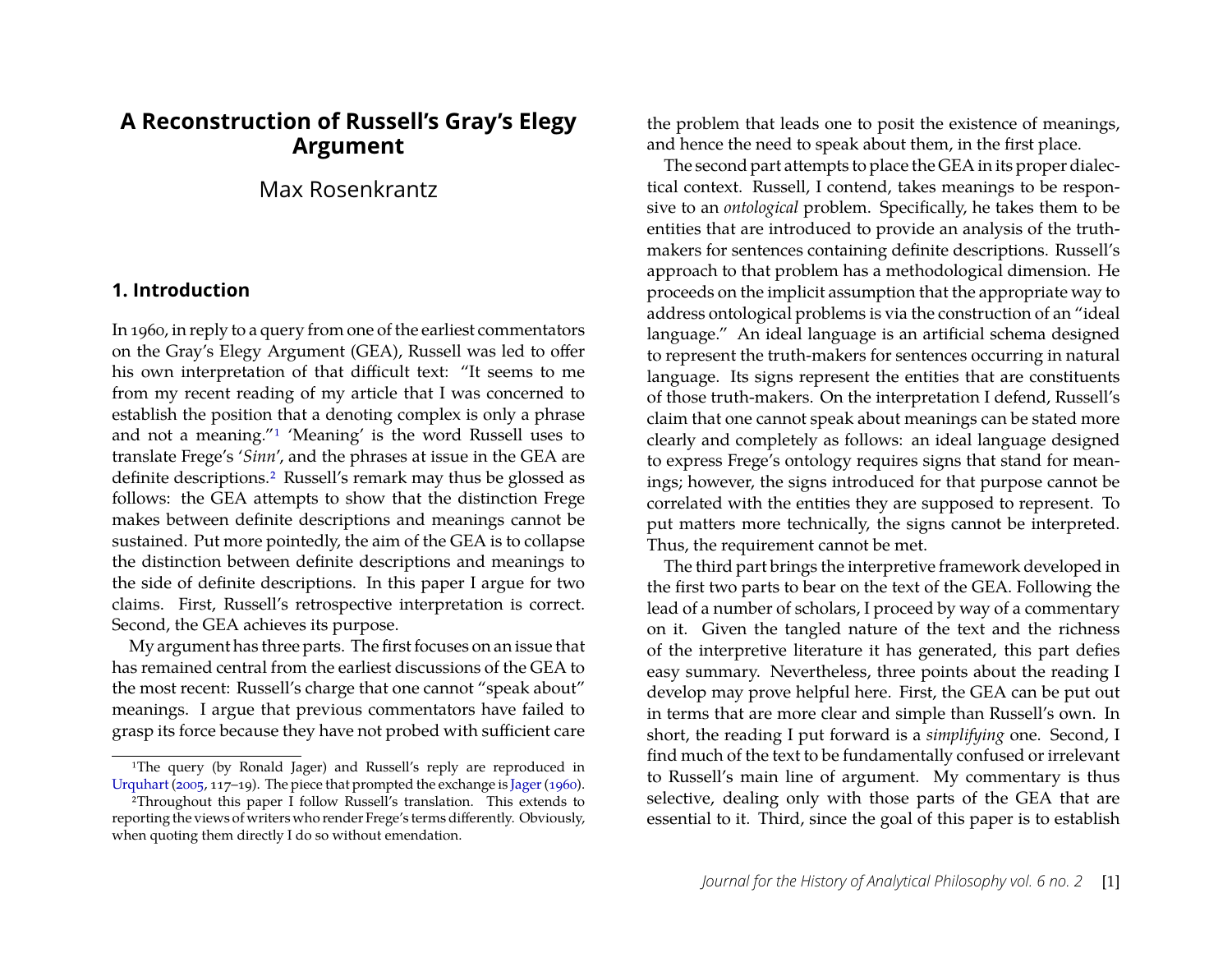## **A Reconstruction of Russell's Gray's Elegy Argument**

## Max Rosenkrantz

## **1. Introduction**

In 1960, in reply to a query from one of the earliest commentators on the Gray's Elegy Argument (GEA), Russell was led to offer his own interpretation of that difficult text: "It seems to me from my recent reading of my article that I was concerned to establish the position that a denoting complex is only a phrase and not a meaning.["1](#page-1-0) 'Meaning' is the word Russell uses to translate Frege's '*Sinn*', and the phrases at issue in the GEA are definite descriptions[.2](#page-1-1) Russell's remark may thus be glossed as follows: the GEA attempts to show that the distinction Frege makes between definite descriptions and meanings cannot be sustained. Put more pointedly, the aim of the GEA is to collapse the distinction between definite descriptions and meanings to the side of definite descriptions. In this paper I argue for two claims. First, Russell's retrospective interpretation is correct. Second, the GEA achieves its purpose.

My argument has three parts. The first focuses on an issue that has remained central from the earliest discussions of the GEA to the most recent: Russell's charge that one cannot "speak about" meanings. I argue that previous commentators have failed to grasp its force because they have not probed with sufficient care the problem that leads one to posit the existence of meanings, and hence the need to speak about them, in the first place.

The second part attempts to place the GEA in its proper dialectical context. Russell, I contend, takes meanings to be responsive to an *ontological* problem. Specifically, he takes them to be entities that are introduced to provide an analysis of the truthmakers for sentences containing definite descriptions. Russell's approach to that problem has a methodological dimension. He proceeds on the implicit assumption that the appropriate way to address ontological problems is via the construction of an "ideal language." An ideal language is an artificial schema designed to represent the truth-makers for sentences occurring in natural language. Its signs represent the entities that are constituents of those truth-makers. On the interpretation I defend, Russell's claim that one cannot speak about meanings can be stated more clearly and completely as follows: an ideal language designed to express Frege's ontology requires signs that stand for meanings; however, the signs introduced for that purpose cannot be correlated with the entities they are supposed to represent. To put matters more technically, the signs cannot be interpreted. Thus, the requirement cannot be met.

The third part brings the interpretive framework developed in the first two parts to bear on the text of the GEA. Following the lead of a number of scholars, I proceed by way of a commentary on it. Given the tangled nature of the text and the richness of the interpretive literature it has generated, this part defies easy summary. Nevertheless, three points about the reading I develop may prove helpful here. First, the GEA can be put out in terms that are more clear and simple than Russell's own. In short, the reading I put forward is a *simplifying* one. Second, I find much of the text to be fundamentally confused or irrelevant to Russell's main line of argument. My commentary is thus selective, dealing only with those parts of the GEA that are essential to it. Third, since the goal of this paper is to establish

<span id="page-1-0"></span><sup>&</sup>lt;sup>1</sup>The query (by Ronald Jager) and Russell's reply are reproduced in [Urquhart](#page-31-0) [\(2005,](#page-31-0) 117–19). The piece that prompted the exchange is Jager (1960).

<span id="page-1-1"></span><sup>2</sup>Throughout this paper I follow Russell's translation. This extends to reporting the views of writers who render Frege's terms differently. Obviously, when quoting them directly I do so without emendation.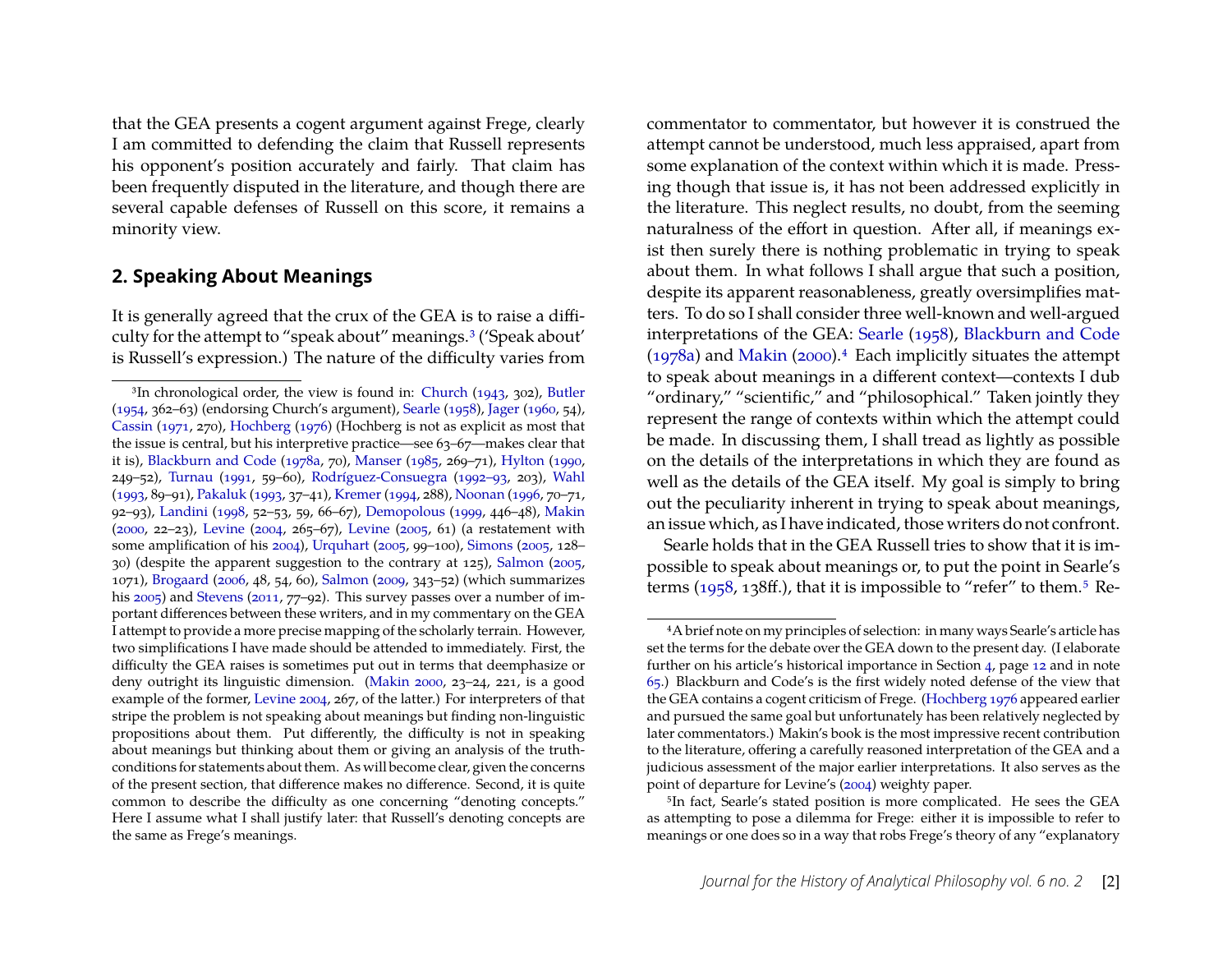that the GEA presents a cogent argument against Frege, clearly I am committed to defending the claim that Russell represents his opponent's position accurately and fairly. That claim has been frequently disputed in the literature, and though there are several capable defenses of Russell on this score, it remains a minority view.

## **2. Speaking About Meanings**

It is generally agreed that the crux of the GEA is to raise a difficulty for the attempt to "speak about" meanings[.3](#page-2-0) ('Speak about' is Russell's expression.) The nature of the difficulty varies from

commentator to commentator, but however it is construed the attempt cannot be understood, much less appraised, apart from some explanation of the context within which it is made. Pressing though that issue is, it has not been addressed explicitly in the literature. This neglect results, no doubt, from the seeming naturalness of the effort in question. After all, if meanings exist then surely there is nothing problematic in trying to speak about them. In what follows I shall argue that such a position, despite its apparent reasonableness, greatly oversimplifies matters. To do so I shall consider three well-known and well-argued interpretations of the GEA: [Searle](#page-31-1) [\(1958\)](#page-31-1), [Blackburn and Code](#page-29-0) [\(1978a\)](#page-29-0) and [Makin](#page-30-10) [\(2000\)](#page-30-10). $4$  Each implicitly situates the attempt to speak about meanings in a different context—contexts I dub "ordinary," "scientific," and "philosophical." Taken jointly they represent the range of contexts within which the attempt could be made. In discussing them, I shall tread as lightly as possible on the details of the interpretations in which they are found as well as the details of the GEA itself. My goal is simply to bring out the peculiarity inherent in trying to speak about meanings, an issue which, as I have indicated, those writers do not confront.

Searle holds that in the GEA Russell tries to show that it is impossible to speak about meanings or, to put the point in Searle's terms [\(1958,](#page-31-1) 138ff.), that it is impossible to "refer" to them[.5](#page-2-2) Re-

<span id="page-2-0"></span><sup>3</sup>In chronological order, the view is found in: [Church](#page-30-1) [\(1943,](#page-30-1) 302), [Butler](#page-30-2) [\(1954,](#page-30-2) 362–63) (endorsing Church's argument), [Searle](#page-31-1) [\(1958\)](#page-31-1), [Jager](#page-30-0) [\(1960,](#page-30-0) 54), [Cassin](#page-30-3) [\(1971,](#page-30-3) 270), [Hochberg](#page-30-4) [\(1976\)](#page-30-4) (Hochberg is not as explicit as most that the issue is central, but his interpretive practice—see 63–67—makes clear that it is), [Blackburn and Code](#page-29-0) [\(1978a,](#page-29-0) 70), [Manser](#page-30-5) [\(1985,](#page-30-5) 269–71), [Hylton](#page-30-6) [\(1990,](#page-30-6) 249–52), [Turnau](#page-31-2) [\(1991,](#page-31-2) 59–60), [Rodríguez-Consuegra](#page-31-3) [\(1992–93,](#page-31-3) 203), [Wahl](#page-31-4) [\(1993,](#page-31-4) 89–91), [Pakaluk](#page-31-5) [\(1993,](#page-31-5) 37–41), [Kremer](#page-30-7) [\(1994,](#page-30-7) 288), [Noonan](#page-31-6) [\(1996,](#page-31-6) 70–71, 92–93), [Landini](#page-30-8) [\(1998,](#page-30-8) 52–53, 59, 66–67), [Demopolous](#page-30-9) [\(1999,](#page-30-9) 446–48), [Makin](#page-30-10) [\(2000,](#page-30-10) 22–23), [Levine](#page-30-11) [\(2004,](#page-30-11) 265–67), [Levine](#page-30-12) [\(2005,](#page-30-12) 61) (a restatement with some amplification of his [2004\)](#page-30-11), [Urquhart](#page-31-0) [\(2005,](#page-31-0) 99–100), [Simons](#page-31-7) [\(2005,](#page-31-7) 128– 30) (despite the apparent suggestion to the contrary at 125), [Salmon](#page-31-8) [\(2005,](#page-31-8) 1071), [Brogaard](#page-29-1) [\(2006,](#page-29-1) 48, 54, 60), [Salmon](#page-31-9) [\(2009,](#page-31-9) 343–52) (which summarizes his [2005\)](#page-31-8) and [Stevens](#page-31-10) [\(2011,](#page-31-10) 77–92). This survey passes over a number of important differences between these writers, and in my commentary on the GEA I attempt to provide a more precise mapping of the scholarly terrain. However, two simplifications I have made should be attended to immediately. First, the difficulty the GEA raises is sometimes put out in terms that deemphasize or deny outright its linguistic dimension. [\(Makin](#page-30-10) [2000,](#page-30-10) 23–24, 221, is a good example of the former, [Levine](#page-30-11) [2004,](#page-30-11) 267, of the latter.) For interpreters of that stripe the problem is not speaking about meanings but finding non-linguistic propositions about them. Put differently, the difficulty is not in speaking about meanings but thinking about them or giving an analysis of the truthconditions for statements about them. As will become clear, given the concerns of the present section, that difference makes no difference. Second, it is quite common to describe the difficulty as one concerning "denoting concepts." Here I assume what I shall justify later: that Russell's denoting concepts are the same as Frege's meanings.

<span id="page-2-1"></span><sup>4</sup>A brief note on my principles of selection: in many ways Searle's article has set the terms for the debate over the GEA down to the present day. (I elaborate further on his article's historical importance in Section [4,](#page-11-0) page [12](#page-12-0) and in note [65.](#page-25-0)) Blackburn and Code's is the first widely noted defense of the view that the GEA contains a cogent criticism of Frege. [\(Hochberg](#page-30-4) [1976](#page-30-4) appeared earlier and pursued the same goal but unfortunately has been relatively neglected by later commentators.) Makin's book is the most impressive recent contribution to the literature, offering a carefully reasoned interpretation of the GEA and a judicious assessment of the major earlier interpretations. It also serves as the point of departure for Levine's [\(2004\)](#page-30-11) weighty paper.

<span id="page-2-2"></span><sup>5</sup>In fact, Searle's stated position is more complicated. He sees the GEA as attempting to pose a dilemma for Frege: either it is impossible to refer to meanings or one does so in a way that robs Frege's theory of any "explanatory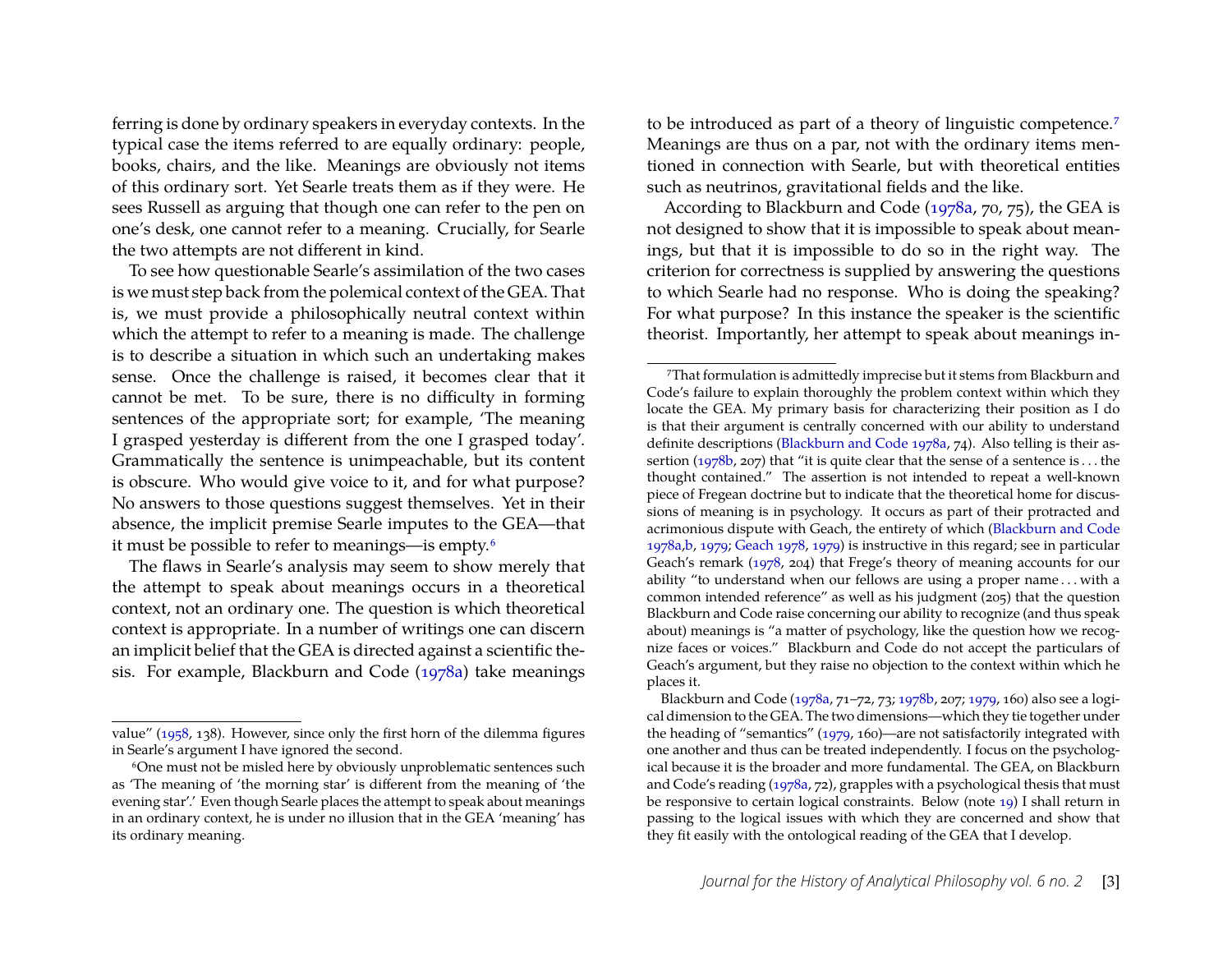ferring is done by ordinary speakers in everyday contexts. In the typical case the items referred to are equally ordinary: people, books, chairs, and the like. Meanings are obviously not items of this ordinary sort. Yet Searle treats them as if they were. He sees Russell as arguing that though one can refer to the pen on one's desk, one cannot refer to a meaning. Crucially, for Searle the two attempts are not different in kind.

To see how questionable Searle's assimilation of the two cases is we must step back from the polemical context of the GEA. That is, we must provide a philosophically neutral context within which the attempt to refer to a meaning is made. The challenge is to describe a situation in which such an undertaking makes sense. Once the challenge is raised, it becomes clear that it cannot be met. To be sure, there is no difficulty in forming sentences of the appropriate sort; for example, 'The meaning I grasped yesterday is different from the one I grasped today'. Grammatically the sentence is unimpeachable, but its content is obscure. Who would give voice to it, and for what purpose? No answers to those questions suggest themselves. Yet in their absence, the implicit premise Searle imputes to the GEA—that it must be possible to refer to meanings—is empty[.6](#page-3-0)

The flaws in Searle's analysis may seem to show merely that the attempt to speak about meanings occurs in a theoretical context, not an ordinary one. The question is which theoretical context is appropriate. In a number of writings one can discern an implicit belief that the GEA is directed against a scientific thesis. For example, Blackburn and Code [\(1978a\)](#page-29-0) take meanings to be introduced as part of a theory of linguistic competence.<sup>7</sup> Meanings are thus on a par, not with the ordinary items mentioned in connection with Searle, but with theoretical entities such as neutrinos, gravitational fields and the like.

According to Blackburn and Code [\(1978a,](#page-29-0) 70, 75), the GEA is not designed to show that it is impossible to speak about meanings, but that it is impossible to do so in the right way. The criterion for correctness is supplied by answering the questions to which Searle had no response. Who is doing the speaking? For what purpose? In this instance the speaker is the scientific theorist. Importantly, her attempt to speak about meanings in-

value" [\(1958,](#page-31-1) 138). However, since only the first horn of the dilemma figures in Searle's argument I have ignored the second.

<span id="page-3-0"></span><sup>6</sup>One must not be misled here by obviously unproblematic sentences such as 'The meaning of 'the morning star' is different from the meaning of 'the evening star'.' Even though Searle places the attempt to speak about meanings in an ordinary context, he is under no illusion that in the GEA 'meaning' has its ordinary meaning.

<span id="page-3-1"></span><sup>7</sup>That formulation is admittedly imprecise but it stems from Blackburn and Code's failure to explain thoroughly the problem context within which they locate the GEA. My primary basis for characterizing their position as I do is that their argument is centrally concerned with our ability to understand definite descriptions [\(Blackburn and Code](#page-29-0) [1978a,](#page-29-0) 74). Also telling is their assertion [\(1978b,](#page-29-2) 207) that "it is quite clear that the sense of a sentence is . . . the thought contained." The assertion is not intended to repeat a well-known piece of Fregean doctrine but to indicate that the theoretical home for discussions of meaning is in psychology. It occurs as part of their protracted and acrimonious dispute with Geach, the entirety of which [\(Blackburn and Code](#page-29-0) [1978a,](#page-29-0)[b,](#page-29-2) [1979;](#page-29-3) [Geach](#page-30-13) [1978,](#page-30-13) [1979\)](#page-30-14) is instructive in this regard; see in particular Geach's remark [\(1978,](#page-30-13) 204) that Frege's theory of meaning accounts for our ability "to understand when our fellows are using a proper name . . . with a common intended reference" as well as his judgment  $(205)$  that the question Blackburn and Code raise concerning our ability to recognize (and thus speak about) meanings is "a matter of psychology, like the question how we recognize faces or voices." Blackburn and Code do not accept the particulars of Geach's argument, but they raise no objection to the context within which he places it.

Blackburn and Code [\(1978a,](#page-29-0) 71–72, 73; [1978b,](#page-29-2) 207; [1979,](#page-29-3) 160) also see a logical dimension to the GEA. The two dimensions—which they tie together under the heading of "semantics" [\(1979,](#page-29-3) 160)—are not satisfactorily integrated with one another and thus can be treated independently. I focus on the psychological because it is the broader and more fundamental. The GEA, on Blackburn and Code's reading [\(1978a,](#page-29-0) 72), grapples with a psychological thesis that must be responsive to certain logical constraints. Below (note [19\)](#page-9-0) I shall return in passing to the logical issues with which they are concerned and show that they fit easily with the ontological reading of the GEA that I develop.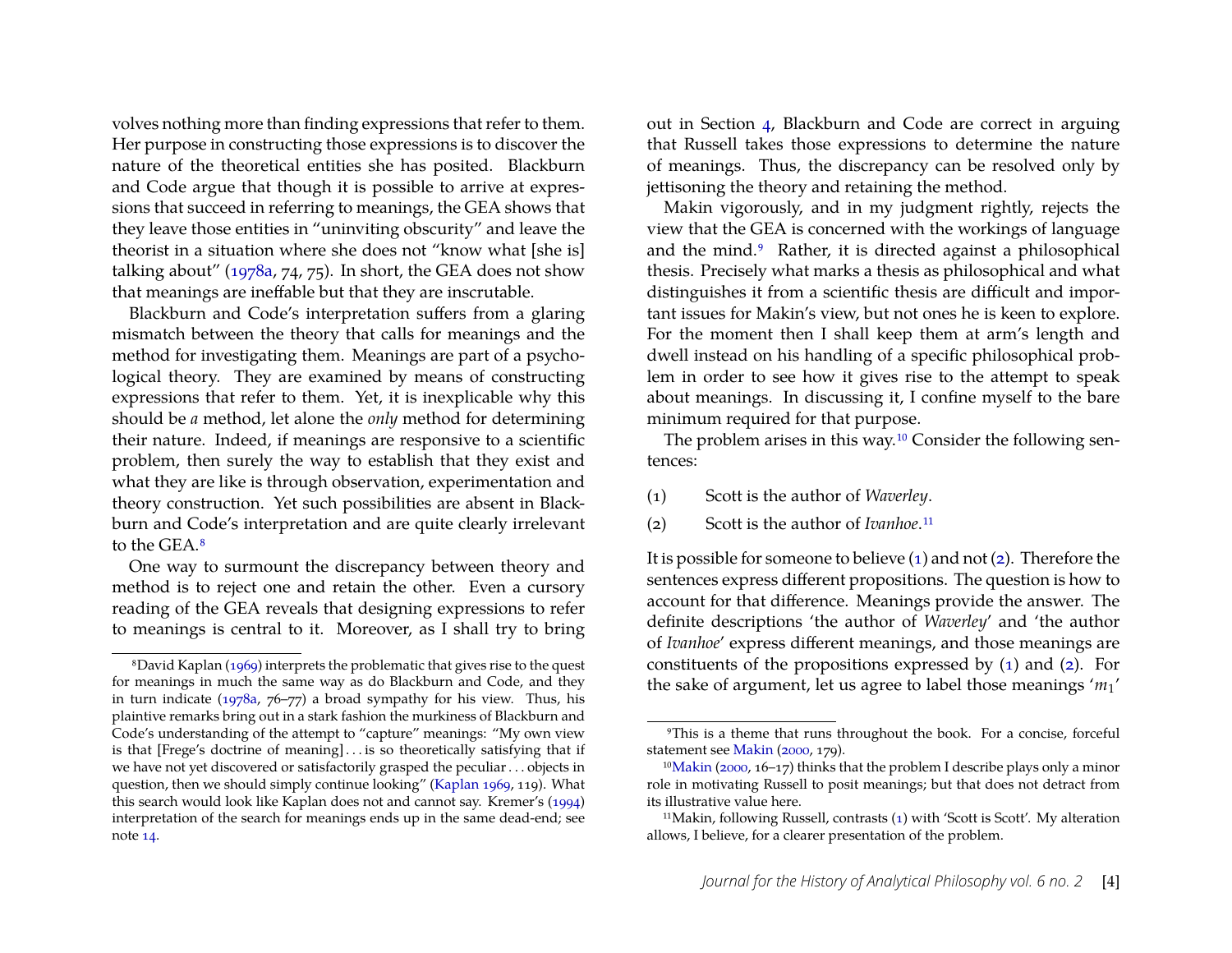volves nothing more than finding expressions that refer to them. Her purpose in constructing those expressions is to discover the nature of the theoretical entities she has posited. Blackburn and Code argue that though it is possible to arrive at expressions that succeed in referring to meanings, the GEA shows that they leave those entities in "uninviting obscurity" and leave the theorist in a situation where she does not "know what [she is] talking about" [\(1978a,](#page-29-0) 74, 75). In short, the GEA does not show that meanings are ineffable but that they are inscrutable.

Blackburn and Code's interpretation suffers from a glaring mismatch between the theory that calls for meanings and the method for investigating them. Meanings are part of a psychological theory. They are examined by means of constructing expressions that refer to them. Yet, it is inexplicable why this should be *a* method, let alone the *only* method for determining their nature. Indeed, if meanings are responsive to a scientific problem, then surely the way to establish that they exist and what they are like is through observation, experimentation and theory construction. Yet such possibilities are absent in Blackburn and Code's interpretation and are quite clearly irrelevant to the GEA[.8](#page-4-0)

One way to surmount the discrepancy between theory and method is to reject one and retain the other. Even a cursory reading of the GEA reveals that designing expressions to refer to meanings is central to it. Moreover, as I shall try to bring

out in Section [4,](#page-11-0) Blackburn and Code are correct in arguing that Russell takes those expressions to determine the nature of meanings. Thus, the discrepancy can be resolved only by jettisoning the theory and retaining the method.

Makin vigorously, and in my judgment rightly, rejects the view that the GEA is concerned with the workings of language and the mind.<sup>9</sup> Rather, it is directed against a philosophical thesis. Precisely what marks a thesis as philosophical and what distinguishes it from a scientific thesis are difficult and important issues for Makin's view, but not ones he is keen to explore. For the moment then I shall keep them at arm's length and dwell instead on his handling of a specific philosophical problem in order to see how it gives rise to the attempt to speak about meanings. In discussing it, I confine myself to the bare minimum required for that purpose.

The problem arises in this way[.10](#page-4-2) Consider the following sentences:

- <span id="page-4-7"></span><span id="page-4-5"></span><span id="page-4-4"></span>(1) Scott is the author of *Waverley*.
- <span id="page-4-6"></span>(2) Scott is the author of *Ivanhoe*[.11](#page-4-3)

It is possible for someone to believe [\(1\)](#page-4-4) and not [\(2\)](#page-4-6). Therefore the sentences express different propositions. The question is how to account for that difference. Meanings provide the answer. The definite descriptions 'the author of *Waverley*' and 'the author of *Ivanhoe*' express different meanings, and those meanings are constituents of the propositions expressed by [\(1\)](#page-4-4) and [\(2\)](#page-4-6). For the sake of argument, let us agree to label those meanings '*m*1'

<span id="page-4-0"></span><sup>8</sup>David Kaplan [\(1969\)](#page-30-15) interprets the problematic that gives rise to the quest for meanings in much the same way as do Blackburn and Code, and they in turn indicate [\(1978a,](#page-29-0) 76–77) a broad sympathy for his view. Thus, his plaintive remarks bring out in a stark fashion the murkiness of Blackburn and Code's understanding of the attempt to "capture" meanings: "My own view is that [Frege's doctrine of meaning] . . . is so theoretically satisfying that if we have not yet discovered or satisfactorily grasped the peculiar . . . objects in question, then we should simply continue looking" [\(Kaplan](#page-30-15) [1969,](#page-30-15) 119). What this search would look like Kaplan does not and cannot say. Kremer's [\(1994\)](#page-30-7) interpretation of the search for meanings ends up in the same dead-end; see note [14.](#page-6-0)

<span id="page-4-1"></span><sup>9</sup>This is a theme that runs throughout the book. For a concise, forceful statement see [Makin](#page-30-10) [\(2000,](#page-30-10) 179).

<span id="page-4-2"></span><sup>1</sup>[0Makin](#page-30-10) [\(2000,](#page-30-10) 16–17) thinks that the problem I describe plays only a minor role in motivating Russell to posit meanings; but that does not detract from its illustrative value here.

<span id="page-4-3"></span><sup>11</sup>Makin, following Russell, contrasts [\(1\)](#page-4-4) with 'Scott is Scott'. My alteration allows, I believe, for a clearer presentation of the problem.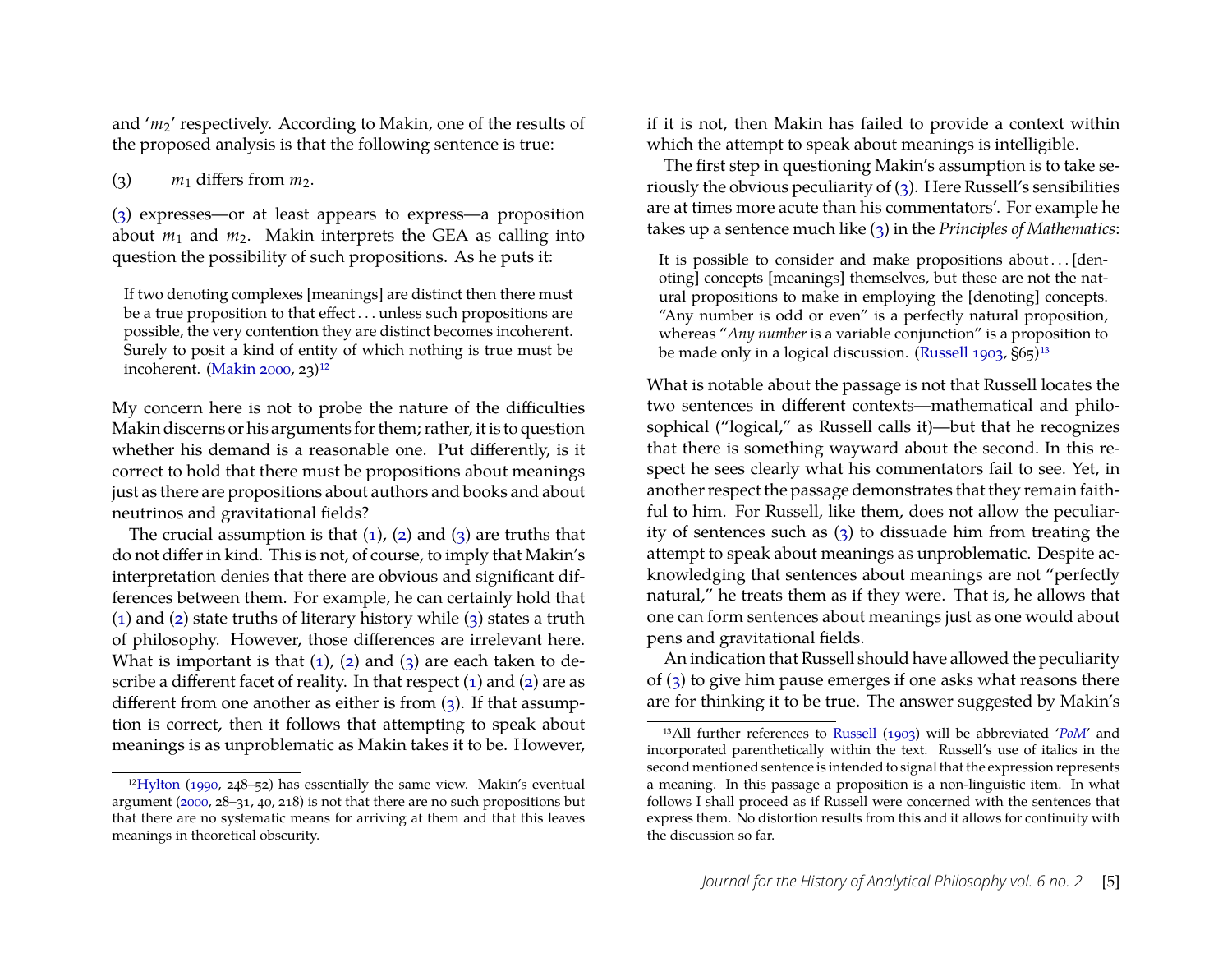and '*m*2' respectively. According to Makin, one of the results of the proposed analysis is that the following sentence is true:

<span id="page-5-1"></span><span id="page-5-0"></span>(3)  $m_1$  differs from  $m_2$ .

[\(3\)](#page-5-0) expresses—or at least appears to express—a proposition about  $m_1$  and  $m_2$ . Makin interprets the GEA as calling into question the possibility of such propositions. As he puts it:

If two denoting complexes [meanings] are distinct then there must be a true proposition to that effect . . . unless such propositions are possible, the very contention they are distinct becomes incoherent. Surely to posit a kind of entity of which nothing is true must be incoherent. [\(Makin](#page-30-10) [2000,](#page-30-10) 23) $12$ 

My concern here is not to probe the nature of the difficulties Makin discerns or his arguments for them; rather, it is to question whether his demand is a reasonable one. Put differently, is it correct to hold that there must be propositions about meanings just as there are propositions about authors and books and about neutrinos and gravitational fields?

The crucial assumption is that  $(1)$ ,  $(2)$  and  $(3)$  are truths that do not differ in kind. This is not, of course, to imply that Makin's interpretation denies that there are obvious and significant differences between them. For example, he can certainly hold that [\(1\)](#page-4-4) and [\(2\)](#page-4-6) state truths of literary history while [\(3\)](#page-5-0) states a truth of philosophy. However, those differences are irrelevant here. What is important is that  $(1)$ ,  $(2)$  and  $(3)$  are each taken to describe a different facet of reality. In that respect  $(1)$  and  $(2)$  are as different from one another as either is from [\(3\)](#page-5-0). If that assumption is correct, then it follows that attempting to speak about meanings is as unproblematic as Makin takes it to be. However, if it is not, then Makin has failed to provide a context within which the attempt to speak about meanings is intelligible.

The first step in questioning Makin's assumption is to take seriously the obvious peculiarity of [\(3\)](#page-5-0). Here Russell's sensibilities are at times more acute than his commentators'. For example he takes up a sentence much like [\(3\)](#page-5-0) in the *Principles of Mathematics*:

It is possible to consider and make propositions about . . . [denoting] concepts [meanings] themselves, but these are not the natural propositions to make in employing the [denoting] concepts. "Any number is odd or even" is a perfectly natural proposition, whereas "*Any number* is a variable conjunction" is a proposition to be made only in a logical discussion. [\(Russell](#page-31-11) [1903,](#page-31-11)  $\overline{S}$ 65)<sup>13</sup>

What is notable about the passage is not that Russell locates the two sentences in different contexts—mathematical and philosophical ("logical," as Russell calls it)—but that he recognizes that there is something wayward about the second. In this respect he sees clearly what his commentators fail to see. Yet, in another respect the passage demonstrates that they remain faithful to him. For Russell, like them, does not allow the peculiarity of sentences such as [\(3\)](#page-5-0) to dissuade him from treating the attempt to speak about meanings as unproblematic. Despite acknowledging that sentences about meanings are not "perfectly natural," he treats them as if they were. That is, he allows that one can form sentences about meanings just as one would about pens and gravitational fields.

An indication that Russell should have allowed the peculiarity of [\(3\)](#page-5-0) to give him pause emerges if one asks what reasons there are for thinking it to be true. The answer suggested by Makin's

<span id="page-5-2"></span><sup>&</sup>lt;sup>12</sup>Hylton [\(1990,](#page-30-6) 248–52) has essentially the same view. Makin's eventual argument [\(2000,](#page-30-10) 28–31, 40, 218) is not that there are no such propositions but that there are no systematic means for arriving at them and that this leaves meanings in theoretical obscurity.

<span id="page-5-3"></span><sup>13</sup>All further references to [Russell](#page-31-11) [\(1903\)](#page-31-11) will be abbreviated '*[PoM](#page-31-11)*' and incorporated parenthetically within the text. Russell's use of italics in the second mentioned sentence is intended to signal that the expression represents a meaning. In this passage a proposition is a non-linguistic item. In what follows I shall proceed as if Russell were concerned with the sentences that express them. No distortion results from this and it allows for continuity with the discussion so far.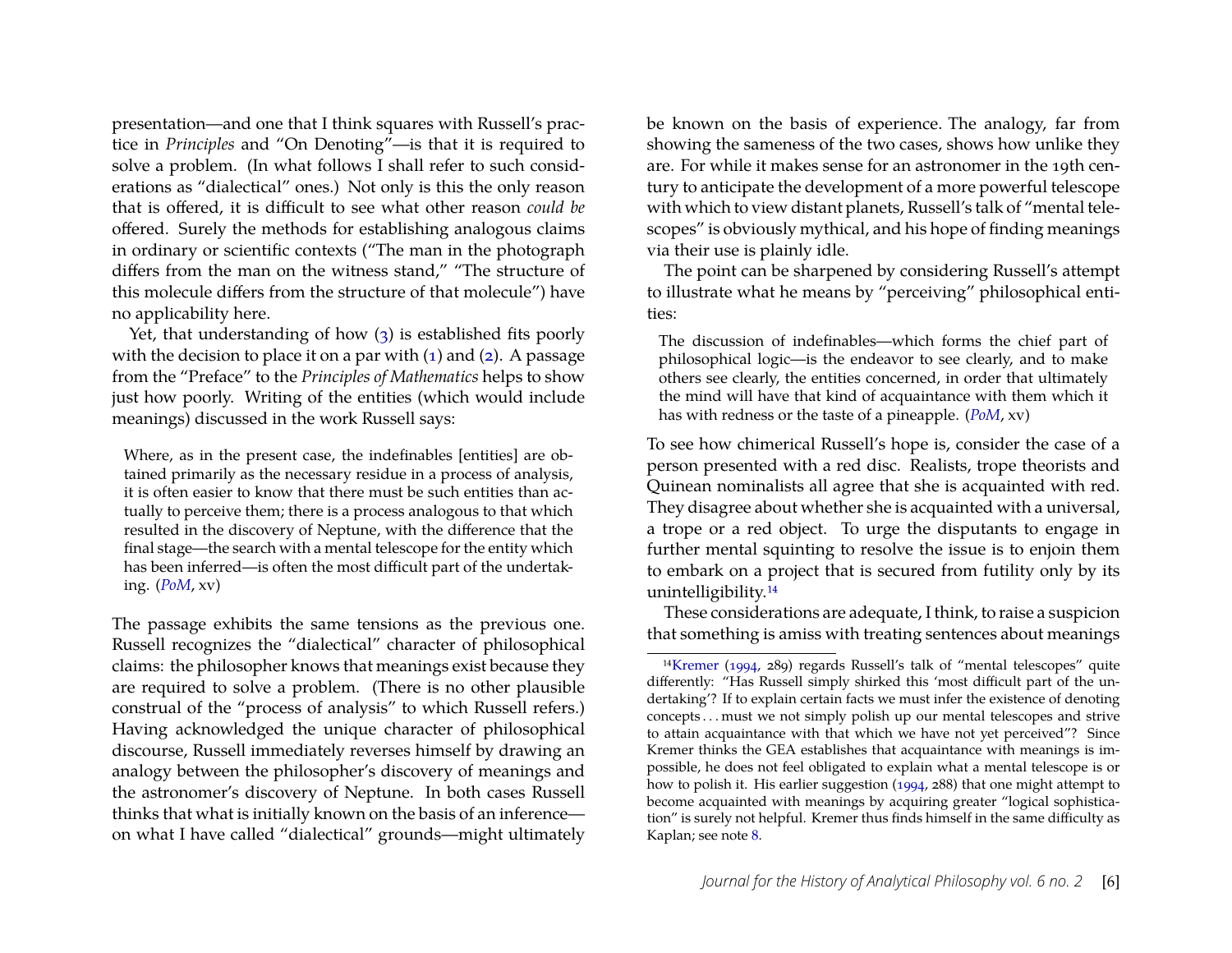presentation—and one that I think squares with Russell's practice in *Principles* and "On Denoting"—is that it is required to solve a problem. (In what follows I shall refer to such considerations as "dialectical" ones.) Not only is this the only reason that is offered, it is difficult to see what other reason *could be* offered. Surely the methods for establishing analogous claims in ordinary or scientific contexts ("The man in the photograph differs from the man on the witness stand," "The structure of this molecule differs from the structure of that molecule") have no applicability here.

Yet, that understanding of how [\(3\)](#page-5-0) is established fits poorly with the decision to place it on a par with  $(1)$  and  $(2)$ . A passage from the "Preface" to the *Principles of Mathematics* helps to show just how poorly. Writing of the entities (which would include meanings) discussed in the work Russell says:

Where, as in the present case, the indefinables [entities] are obtained primarily as the necessary residue in a process of analysis, it is often easier to know that there must be such entities than actually to perceive them; there is a process analogous to that which resulted in the discovery of Neptune, with the difference that the final stage—the search with a mental telescope for the entity which has been inferred—is often the most difficult part of the undertaking. (*[PoM](#page-31-11)*, xv)

The passage exhibits the same tensions as the previous one. Russell recognizes the "dialectical" character of philosophical claims: the philosopher knows that meanings exist because they are required to solve a problem. (There is no other plausible construal of the "process of analysis" to which Russell refers.) Having acknowledged the unique character of philosophical discourse, Russell immediately reverses himself by drawing an analogy between the philosopher's discovery of meanings and the astronomer's discovery of Neptune. In both cases Russell thinks that what is initially known on the basis of an inference on what I have called "dialectical" grounds—might ultimately be known on the basis of experience. The analogy, far from showing the sameness of the two cases, shows how unlike they are. For while it makes sense for an astronomer in the 19th century to anticipate the development of a more powerful telescope with which to view distant planets, Russell's talk of "mental telescopes" is obviously mythical, and his hope of finding meanings via their use is plainly idle.

The point can be sharpened by considering Russell's attempt to illustrate what he means by "perceiving" philosophical entities:

The discussion of indefinables—which forms the chief part of philosophical logic—is the endeavor to see clearly, and to make others see clearly, the entities concerned, in order that ultimately the mind will have that kind of acquaintance with them which it has with redness or the taste of a pineapple. (*[PoM](#page-31-11)*, xv)

To see how chimerical Russell's hope is, consider the case of a person presented with a red disc. Realists, trope theorists and Quinean nominalists all agree that she is acquainted with red. They disagree about whether she is acquainted with a universal, a trope or a red object. To urge the disputants to engage in further mental squinting to resolve the issue is to enjoin them to embark on a project that is secured from futility only by its unintelligibility[.14](#page-6-0)

These considerations are adequate, I think, to raise a suspicion that something is amiss with treating sentences about meanings

<span id="page-6-0"></span><sup>1</sup>[4Kremer](#page-30-7) [\(1994,](#page-30-7) 289) regards Russell's talk of "mental telescopes" quite differently: "Has Russell simply shirked this 'most difficult part of the undertaking'? If to explain certain facts we must infer the existence of denoting concepts . . . must we not simply polish up our mental telescopes and strive to attain acquaintance with that which we have not yet perceived"? Since Kremer thinks the GEA establishes that acquaintance with meanings is impossible, he does not feel obligated to explain what a mental telescope is or how to polish it. His earlier suggestion [\(1994,](#page-30-7) 288) that one might attempt to become acquainted with meanings by acquiring greater "logical sophistication" is surely not helpful. Kremer thus finds himself in the same difficulty as Kaplan; see note [8.](#page-4-0)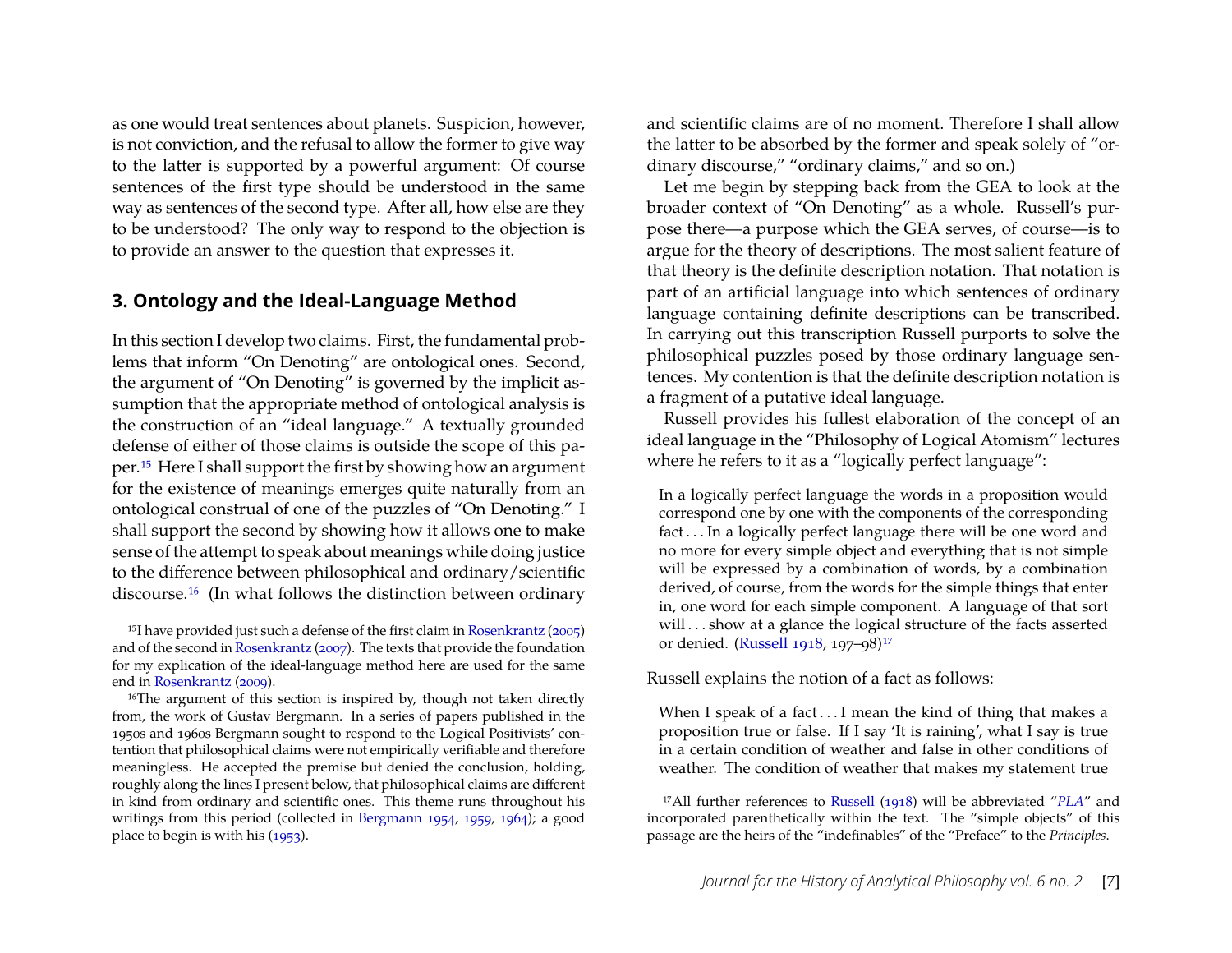as one would treat sentences about planets. Suspicion, however, is not conviction, and the refusal to allow the former to give way to the latter is supported by a powerful argument: Of course sentences of the first type should be understood in the same way as sentences of the second type. After all, how else are they to be understood? The only way to respond to the objection is to provide an answer to the question that expresses it.

## <span id="page-7-3"></span>**3. Ontology and the Ideal-Language Method**

In this section I develop two claims. First, the fundamental problems that inform "On Denoting" are ontological ones. Second, the argument of "On Denoting" is governed by the implicit assumption that the appropriate method of ontological analysis is the construction of an "ideal language." A textually grounded defense of either of those claims is outside the scope of this paper[.15](#page-7-0) Here I shall support the first by showing how an argument for the existence of meanings emerges quite naturally from an ontological construal of one of the puzzles of "On Denoting." I shall support the second by showing how it allows one to make sense of the attempt to speak about meanings while doing justice to the difference between philosophical and ordinary/scientific discourse[.16](#page-7-1) (In what follows the distinction between ordinary and scientific claims are of no moment. Therefore I shall allow the latter to be absorbed by the former and speak solely of "ordinary discourse," "ordinary claims," and so on.)

Let me begin by stepping back from the GEA to look at the broader context of "On Denoting" as a whole. Russell's purpose there—a purpose which the GEA serves, of course—is to argue for the theory of descriptions. The most salient feature of that theory is the definite description notation. That notation is part of an artificial language into which sentences of ordinary language containing definite descriptions can be transcribed. In carrying out this transcription Russell purports to solve the philosophical puzzles posed by those ordinary language sentences. My contention is that the definite description notation is a fragment of a putative ideal language.

Russell provides his fullest elaboration of the concept of an ideal language in the "Philosophy of Logical Atomism" lectures where he refers to it as a "logically perfect language":

In a logically perfect language the words in a proposition would correspond one by one with the components of the corresponding fact . . . In a logically perfect language there will be one word and no more for every simple object and everything that is not simple will be expressed by a combination of words, by a combination derived, of course, from the words for the simple things that enter in, one word for each simple component. A language of that sort will ... show at a glance the logical structure of the facts asserted or denied. [\(Russell](#page-31-15) [1918,](#page-31-15) 197–98[\)17](#page-7-2)

#### Russell explains the notion of a fact as follows:

When I speak of a fact...I mean the kind of thing that makes a proposition true or false. If I say 'It is raining', what I say is true in a certain condition of weather and false in other conditions of weather. The condition of weather that makes my statement true

<span id="page-7-0"></span><sup>15</sup>I have provided just such a defense of the first claim in [Rosenkrantz](#page-31-12) [\(2005\)](#page-31-12) and of the second in [Rosenkrantz](#page-31-13) [\(2007\)](#page-31-13). The texts that provide the foundation for my explication of the ideal-language method here are used for the same end in [Rosenkrantz](#page-31-14) [\(2009\)](#page-31-14).

<span id="page-7-1"></span><sup>&</sup>lt;sup>16</sup>The argument of this section is inspired by, though not taken directly from, the work of Gustav Bergmann. In a series of papers published in the 1950s and 1960s Bergmann sought to respond to the Logical Positivists' contention that philosophical claims were not empirically verifiable and therefore meaningless. He accepted the premise but denied the conclusion, holding, roughly along the lines I present below, that philosophical claims are different in kind from ordinary and scientific ones. This theme runs throughout his writings from this period (collected in [Bergmann](#page-29-4) [1954,](#page-29-4) [1959,](#page-29-5) [1964\)](#page-29-6); a good place to begin is with his [\(1953\)](#page-29-7).

<span id="page-7-2"></span><sup>17</sup>All further references to [Russell](#page-31-15) [\(1918\)](#page-31-15) will be abbreviated "*[PLA](#page-31-15)*" and incorporated parenthetically within the text. The "simple objects" of this passage are the heirs of the "indefinables" of the "Preface" to the *Principles*.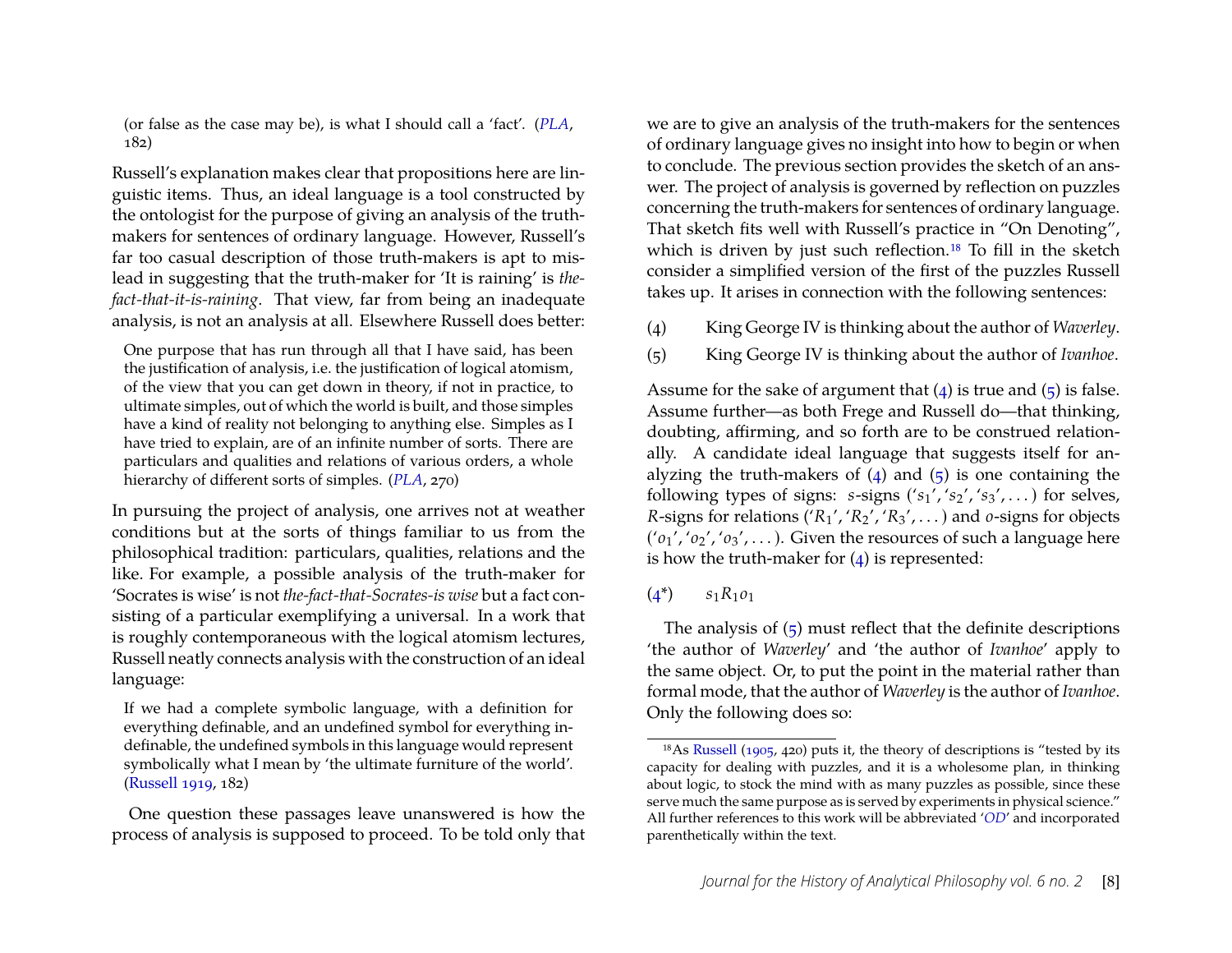(or false as the case may be), is what I should call a 'fact'. (*[PLA](#page-31-15)*, 182)

Russell's explanation makes clear that propositions here are linguistic items. Thus, an ideal language is a tool constructed by the ontologist for the purpose of giving an analysis of the truthmakers for sentences of ordinary language. However, Russell's far too casual description of those truth-makers is apt to mislead in suggesting that the truth-maker for 'It is raining' is *thefact-that-it-is-raining*. That view, far from being an inadequate analysis, is not an analysis at all. Elsewhere Russell does better:

One purpose that has run through all that I have said, has been the justification of analysis, i.e. the justification of logical atomism, of the view that you can get down in theory, if not in practice, to ultimate simples, out of which the world is built, and those simples have a kind of reality not belonging to anything else. Simples as I have tried to explain, are of an infinite number of sorts. There are particulars and qualities and relations of various orders, a whole hierarchy of different sorts of simples. (*[PLA](#page-31-15)*, 270)

In pursuing the project of analysis, one arrives not at weather conditions but at the sorts of things familiar to us from the philosophical tradition: particulars, qualities, relations and the like. For example, a possible analysis of the truth-maker for 'Socrates is wise' is not *the-fact-that-Socrates-is wise* but a fact consisting of a particular exemplifying a universal. In a work that is roughly contemporaneous with the logical atomism lectures, Russell neatly connects analysis with the construction of an ideal language:

If we had a complete symbolic language, with a definition for everything definable, and an undefined symbol for everything indefinable, the undefined symbols in this language would represent symbolically what I mean by 'the ultimate furniture of the world'. [\(Russell](#page-31-16) [1919,](#page-31-16) 182)

One question these passages leave unanswered is how the process of analysis is supposed to proceed. To be told only that we are to give an analysis of the truth-makers for the sentences of ordinary language gives no insight into how to begin or when to conclude. The previous section provides the sketch of an answer. The project of analysis is governed by reflection on puzzles concerning the truth-makers for sentences of ordinary language. That sketch fits well with Russell's practice in "On Denoting", which is driven by just such reflection.<sup>18</sup> To fill in the sketch consider a simplified version of the first of the puzzles Russell takes up. It arises in connection with the following sentences:

- <span id="page-8-4"></span><span id="page-8-2"></span><span id="page-8-1"></span>(4) King George IV is thinking about the author of *Waverley*.
- <span id="page-8-3"></span>(5) King George IV is thinking about the author of *Ivanhoe*.

Assume for the sake of argument that  $(4)$  is true and  $(5)$  is false. Assume further—as both Frege and Russell do—that thinking, doubting, affirming, and so forth are to be construed relationally. A candidate ideal language that suggests itself for analyzing the truth-makers of  $(4)$  and  $(5)$  is one containing the following types of signs:  $s$ -signs  $('s_1', 's_2', 's_3', ...)$  for selves, *R*-signs for relations ('*R*1', '*R*2', '*R*3', . . . ) and *o*-signs for objects ('*o*1', '*o*2', '*o*3', . . . ). Given the resources of such a language here is how the truth-maker for  $(4)$  is represented:

## $(4^*)$   $s_1R_1o_1$

The analysis of [\(5\)](#page-8-3) must reflect that the definite descriptions 'the author of *Waverley*' and 'the author of *Ivanhoe*' apply to the same object. Or, to put the point in the material rather than formal mode, that the author of *Waverley* is the author of *Ivanhoe*. Only the following does so:

<span id="page-8-0"></span><sup>18</sup>As [Russell](#page-31-17) [\(1905,](#page-31-17) 420) puts it, the theory of descriptions is "tested by its capacity for dealing with puzzles, and it is a wholesome plan, in thinking about logic, to stock the mind with as many puzzles as possible, since these serve much the same purpose as is served by experiments in physical science." All further references to this work will be abbreviated '*[OD](#page-31-17)*' and incorporated parenthetically within the text.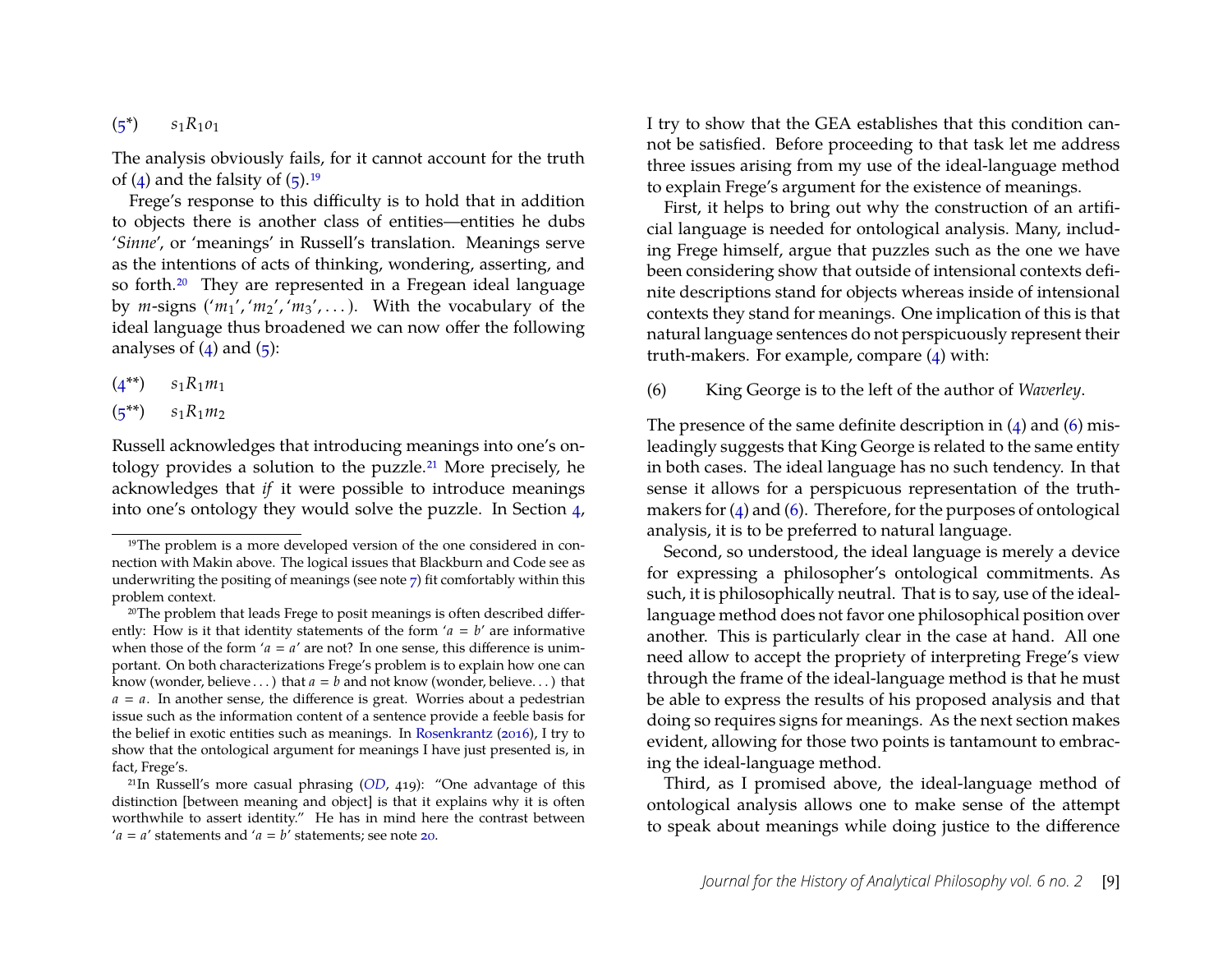$(s^*)$   $s_1R_1o_1$ 

The analysis obviously fails, for it cannot account for the truth of  $(4)$  and the falsity of  $(5)$ .<sup>19</sup>

Frege's response to this difficulty is to hold that in addition to objects there is another class of entities—entities he dubs '*Sinne*', or 'meanings' in Russell's translation. Meanings serve as the intentions of acts of thinking, wondering, asserting, and so forth.<sup>20</sup> They are represented in a Fregean ideal language by  $m$ -signs  $(m_1', 'm_2', 'm_3', ...)$ . With the vocabulary of the ideal language thus broadened we can now offer the following analyses of  $(4)$  and  $(5)$ :

<span id="page-9-5"></span> $(4^{**})$   $s_1R_1m_1$ 

<span id="page-9-6"></span> $(s^{**})$   $s_1R_1m_2$ 

Russell acknowledges that introducing meanings into one's ontology provides a solution to the puzzle.<sup>21</sup> More precisely, he acknowledges that *if* it were possible to introduce meanings into one's ontology they would solve the puzzle. In Section [4,](#page-11-0) I try to show that the GEA establishes that this condition cannot be satisfied. Before proceeding to that task let me address three issues arising from my use of the ideal-language method to explain Frege's argument for the existence of meanings.

First, it helps to bring out why the construction of an artificial language is needed for ontological analysis. Many, including Frege himself, argue that puzzles such as the one we have been considering show that outside of intensional contexts definite descriptions stand for objects whereas inside of intensional contexts they stand for meanings. One implication of this is that natural language sentences do not perspicuously represent their truth-makers. For example, compare [\(4\)](#page-8-1) with:

<span id="page-9-4"></span><span id="page-9-3"></span>(6) King George is to the left of the author of *Waverley*.

The presence of the same definite description in  $(4)$  and  $(6)$  misleadingly suggests that King George is related to the same entity in both cases. The ideal language has no such tendency. In that sense it allows for a perspicuous representation of the truthmakers for  $(4)$  and  $(6)$ . Therefore, for the purposes of ontological analysis, it is to be preferred to natural language.

Second, so understood, the ideal language is merely a device for expressing a philosopher's ontological commitments. As such, it is philosophically neutral. That is to say, use of the ideallanguage method does not favor one philosophical position over another. This is particularly clear in the case at hand. All one need allow to accept the propriety of interpreting Frege's view through the frame of the ideal-language method is that he must be able to express the results of his proposed analysis and that doing so requires signs for meanings. As the next section makes evident, allowing for those two points is tantamount to embracing the ideal-language method.

Third, as I promised above, the ideal-language method of ontological analysis allows one to make sense of the attempt to speak about meanings while doing justice to the difference

<span id="page-9-0"></span><sup>&</sup>lt;sup>19</sup>The problem is a more developed version of the one considered in connection with Makin above. The logical issues that Blackburn and Code see as underwriting the positing of meanings (see note [7\)](#page-3-1) fit comfortably within this problem context.

<span id="page-9-1"></span><sup>&</sup>lt;sup>20</sup>The problem that leads Frege to posit meanings is often described differently: How is it that identity statements of the form  $'a = b'$  are informative when those of the form ' $a = a'$  are not? In one sense, this difference is unimportant. On both characterizations Frege's problem is to explain how one can know (wonder, believe  $\ldots$ ) that  $a = b$  and not know (wonder, believe $\ldots$ ) that  $a = a$ . In another sense, the difference is great. Worries about a pedestrian issue such as the information content of a sentence provide a feeble basis for the belief in exotic entities such as meanings. In [Rosenkrantz](#page-31-18) [\(2016\)](#page-31-18), I try to show that the ontological argument for meanings I have just presented is, in fact, Frege's.

<span id="page-9-2"></span><sup>21</sup>In Russell's more casual phrasing (*[OD](#page-31-17)*, 419): "One advantage of this distinction [between meaning and object] is that it explains why it is often worthwhile to assert identity." He has in mind here the contrast between ' $a = a'$  statements and ' $a = b'$  statements; see note [20.](#page-9-1)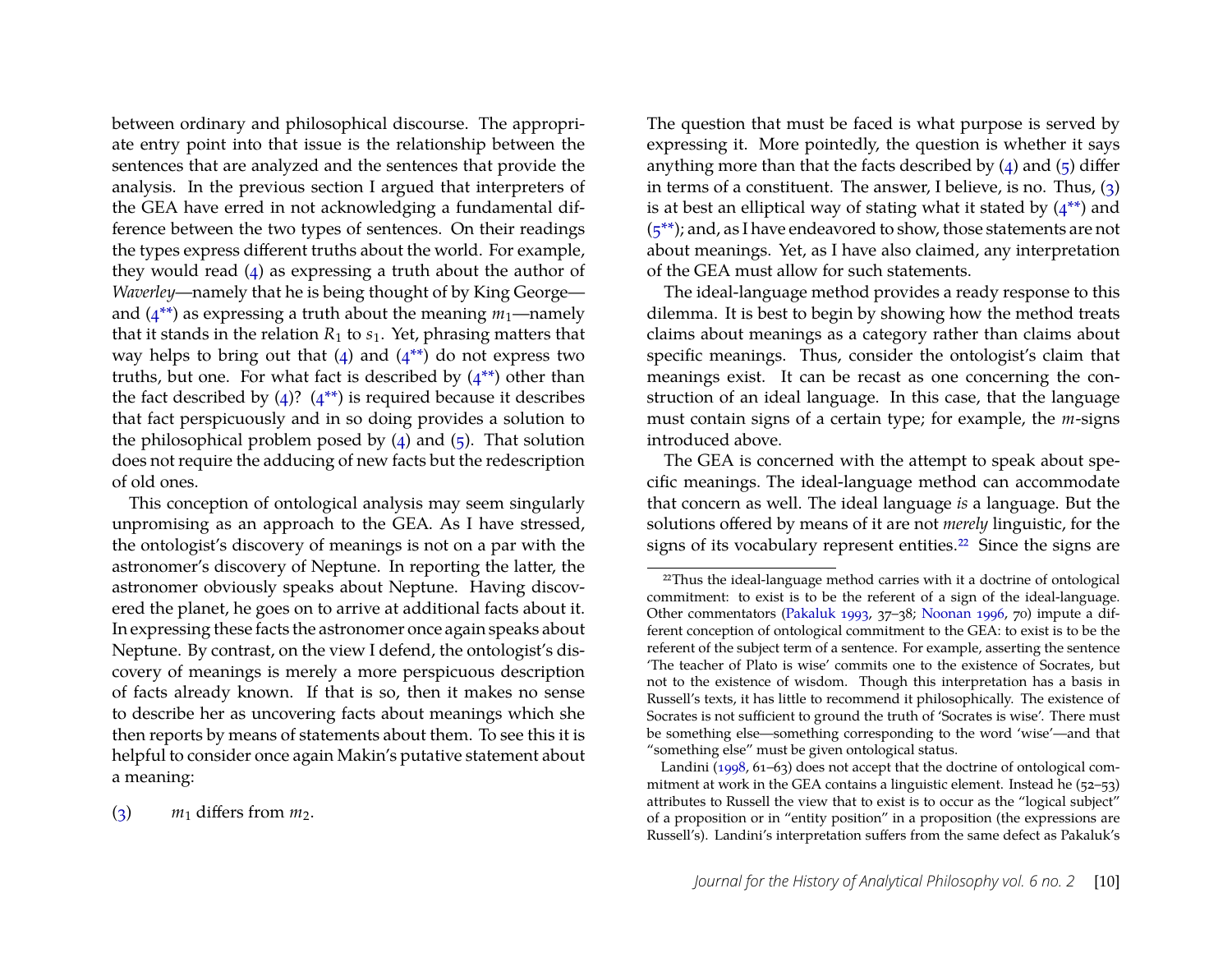between ordinary and philosophical discourse. The appropriate entry point into that issue is the relationship between the sentences that are analyzed and the sentences that provide the analysis. In the previous section I argued that interpreters of the GEA have erred in not acknowledging a fundamental difference between the two types of sentences. On their readings the types express different truths about the world. For example, they would read [\(4\)](#page-8-1) as expressing a truth about the author of *Waverley*—namely that he is being thought of by King George and  $(4^{**})$  as expressing a truth about the meaning  $m_1$ —namely that it stands in the relation  $R_1$  to  $s_1$ . Yet, phrasing matters that way helps to bring out that  $(4)$  and  $(4^{**})$  do not express two truths, but one. For what fact is described by  $(4^{**})$  other than the fact described by  $(4)$ ?  $(4^{**})$  is required because it describes that fact perspicuously and in so doing provides a solution to the philosophical problem posed by  $(4)$  and  $(5)$ . That solution does not require the adducing of new facts but the redescription of old ones.

This conception of ontological analysis may seem singularly unpromising as an approach to the GEA. As I have stressed, the ontologist's discovery of meanings is not on a par with the astronomer's discovery of Neptune. In reporting the latter, the astronomer obviously speaks about Neptune. Having discovered the planet, he goes on to arrive at additional facts about it. In expressing these facts the astronomer once again speaks about Neptune. By contrast, on the view I defend, the ontologist's discovery of meanings is merely a more perspicuous description of facts already known. If that is so, then it makes no sense to describe her as uncovering facts about meanings which she then reports by means of statements about them. To see this it is helpful to consider once again Makin's putative statement about a meaning:

[\(3\)](#page-5-0)  $m_1$  differs from  $m_2$ .

The question that must be faced is what purpose is served by expressing it. More pointedly, the question is whether it says anything more than that the facts described by  $(4)$  and  $(5)$  differ in terms of a constituent. The answer, I believe, is no. Thus, [\(3\)](#page-5-0) is at best an elliptical way of stating what it stated by  $(4^{**})$  and  $(5^{**})$ ; and, as I have endeavored to show, those statements are not about meanings. Yet, as I have also claimed, any interpretation of the GEA must allow for such statements.

The ideal-language method provides a ready response to this dilemma. It is best to begin by showing how the method treats claims about meanings as a category rather than claims about specific meanings. Thus, consider the ontologist's claim that meanings exist. It can be recast as one concerning the construction of an ideal language. In this case, that the language must contain signs of a certain type; for example, the *m*-signs introduced above.

The GEA is concerned with the attempt to speak about specific meanings. The ideal-language method can accommodate that concern as well. The ideal language *is* a language. But the solutions offered by means of it are not *merely* linguistic, for the signs of its vocabulary represent entities.<sup>22</sup> Since the signs are

<span id="page-10-0"></span><sup>&</sup>lt;sup>22</sup>Thus the ideal-language method carries with it a doctrine of ontological commitment: to exist is to be the referent of a sign of the ideal-language. Other commentators [\(Pakaluk](#page-31-5) [1993,](#page-31-5) 37–38; [Noonan](#page-31-6) [1996,](#page-31-6) 70) impute a different conception of ontological commitment to the GEA: to exist is to be the referent of the subject term of a sentence. For example, asserting the sentence 'The teacher of Plato is wise' commits one to the existence of Socrates, but not to the existence of wisdom. Though this interpretation has a basis in Russell's texts, it has little to recommend it philosophically. The existence of Socrates is not sufficient to ground the truth of 'Socrates is wise'. There must be something else—something corresponding to the word 'wise'—and that "something else" must be given ontological status.

Landini [\(1998,](#page-30-8) 61-63) does not accept that the doctrine of ontological commitment at work in the GEA contains a linguistic element. Instead he (52–53) attributes to Russell the view that to exist is to occur as the "logical subject" of a proposition or in "entity position" in a proposition (the expressions are Russell's). Landini's interpretation suffers from the same defect as Pakaluk's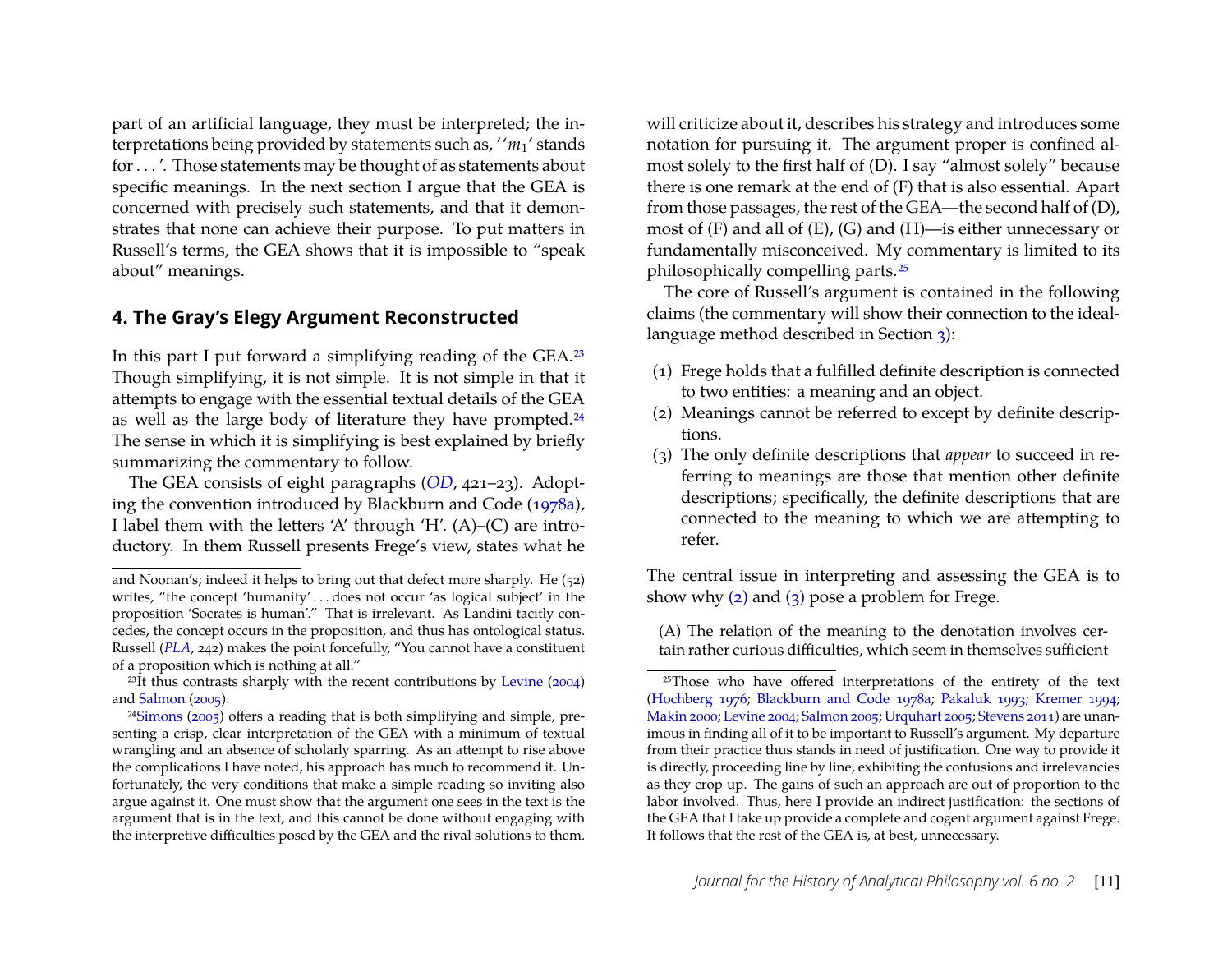part of an artificial language, they must be interpreted; the interpretations being provided by statements such as, ''*m*1' stands for . . . '. Those statements may be thought of as statements about specific meanings. In the next section I argue that the GEA is concerned with precisely such statements, and that it demonstrates that none can achieve their purpose. To put matters in Russell's terms, the GEA shows that it is impossible to "speak about" meanings.

## <span id="page-11-0"></span>**4. The Gray's Elegy Argument Reconstructed**

In this part I put forward a simplifying reading of the GEA[.23](#page-11-1) Though simplifying, it is not simple. It is not simple in that it attempts to engage with the essential textual details of the GEA as well as the large body of literature they have prompted.<sup>24</sup> The sense in which it is simplifying is best explained by briefly summarizing the commentary to follow.

The GEA consists of eight paragraphs (*[OD](#page-31-17)*, 421–23). Adopting the convention introduced by Blackburn and Code [\(1978a\)](#page-29-0), I label them with the letters 'A' through 'H'. (A)–(C) are introductory. In them Russell presents Frege's view, states what he will criticize about it, describes his strategy and introduces some notation for pursuing it. The argument proper is confined almost solely to the first half of (D). I say "almost solely" because there is one remark at the end of (F) that is also essential. Apart from those passages, the rest of the GEA—the second half of (D), most of (F) and all of (E), (G) and (H)—is either unnecessary or fundamentally misconceived. My commentary is limited to its philosophically compelling parts[.25](#page-11-3)

The core of Russell's argument is contained in the following claims (the commentary will show their connection to the ideallanguage method described in Section [3\)](#page-7-3):

- (1) Frege holds that a fulfilled definite description is connected to two entities: a meaning and an object.
- <span id="page-11-4"></span>(2) Meanings cannot be referred to except by definite descriptions.
- <span id="page-11-5"></span>(3) The only definite descriptions that *appear* to succeed in referring to meanings are those that mention other definite descriptions; specifically, the definite descriptions that are connected to the meaning to which we are attempting to refer.

The central issue in interpreting and assessing the GEA is to show why [\(2\)](#page-11-4) and [\(3\)](#page-11-5) pose a problem for Frege.

and Noonan's; indeed it helps to bring out that defect more sharply. He (52) writes, "the concept 'humanity'...does not occur 'as logical subject' in the proposition 'Socrates is human'." That is irrelevant. As Landini tacitly concedes, the concept occurs in the proposition, and thus has ontological status. Russell (*[PLA](#page-31-15)*, 242) makes the point forcefully, "You cannot have a constituent of a proposition which is nothing at all."

<span id="page-11-1"></span> $23$ It thus contrasts sharply with the recent contributions by [Levine](#page-30-11) [\(2004\)](#page-30-11) and [Salmon](#page-31-8) [\(2005\)](#page-31-8).

<span id="page-11-2"></span><sup>2</sup>[4Simons](#page-31-7) [\(2005\)](#page-31-7) offers a reading that is both simplifying and simple, presenting a crisp, clear interpretation of the GEA with a minimum of textual wrangling and an absence of scholarly sparring. As an attempt to rise above the complications I have noted, his approach has much to recommend it. Unfortunately, the very conditions that make a simple reading so inviting also argue against it. One must show that the argument one sees in the text is the argument that is in the text; and this cannot be done without engaging with the interpretive difficulties posed by the GEA and the rival solutions to them.

<span id="page-11-6"></span><sup>(</sup>A) The relation of the meaning to the denotation involves certain rather curious difficulties, which seem in themselves sufficient

<span id="page-11-3"></span><sup>25</sup>Those who have offered interpretations of the entirety of the text [\(Hochberg](#page-30-4) [1976;](#page-30-4) [Blackburn and Code](#page-29-0) [1978a;](#page-29-0) [Pakaluk](#page-31-5) [1993;](#page-31-5) [Kremer](#page-30-7) [1994;](#page-30-7) [Makin](#page-30-10) [2000;](#page-30-10) [Levine](#page-30-11) [2004;](#page-30-11) [Salmon](#page-31-8) [2005;](#page-31-8) [Urquhart](#page-31-0) [2005;](#page-31-0) [Stevens](#page-31-10) [2011\)](#page-31-10) are unanimous in finding all of it to be important to Russell's argument. My departure from their practice thus stands in need of justification. One way to provide it is directly, proceeding line by line, exhibiting the confusions and irrelevancies as they crop up. The gains of such an approach are out of proportion to the labor involved. Thus, here I provide an indirect justification: the sections of the GEA that I take up provide a complete and cogent argument against Frege. It follows that the rest of the GEA is, at best, unnecessary.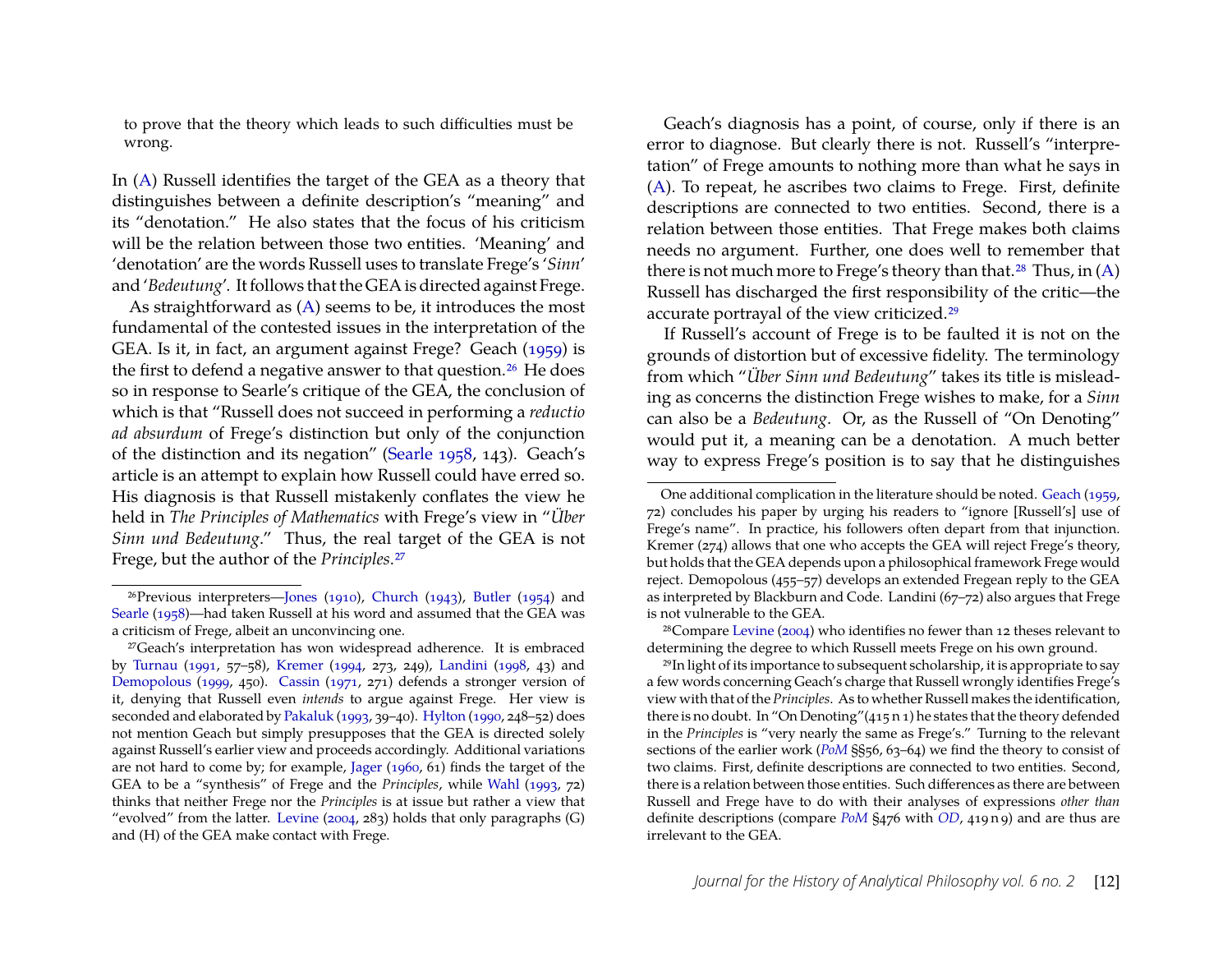to prove that the theory which leads to such difficulties must be wrong.

In [\(A\)](#page-11-6) Russell identifies the target of the GEA as a theory that distinguishes between a definite description's "meaning" and its "denotation." He also states that the focus of his criticism will be the relation between those two entities. 'Meaning' and 'denotation' are the words Russell uses to translate Frege's '*Sinn*' and '*Bedeutung*'. It follows that the GEA is directed against Frege.

<span id="page-12-0"></span>As straightforward as [\(A\)](#page-11-6) seems to be, it introduces the most fundamental of the contested issues in the interpretation of the GEA. Is it, in fact, an argument against Frege? Geach [\(1959\)](#page-30-16) is the first to defend a negative answer to that question.<sup>26</sup> He does so in response to Searle's critique of the GEA, the conclusion of which is that "Russell does not succeed in performing a *reductio ad absurdum* of Frege's distinction but only of the conjunction of the distinction and its negation" [\(Searle](#page-31-1) [1958,](#page-31-1) 143). Geach's article is an attempt to explain how Russell could have erred so. His diagnosis is that Russell mistakenly conflates the view he held in *The Principles of Mathematics* with Frege's view in "*Über Sinn und Bedeutung*." Thus, the real target of the GEA is not Frege, but the author of the *Principles*[.27](#page-12-2)

Geach's diagnosis has a point, of course, only if there is an error to diagnose. But clearly there is not. Russell's "interpretation" of Frege amounts to nothing more than what he says in [\(A\)](#page-11-6). To repeat, he ascribes two claims to Frege. First, definite descriptions are connected to two entities. Second, there is a relation between those entities. That Frege makes both claims needs no argument. Further, one does well to remember that there is not much more to Frege's theory than that.<sup>28</sup> Thus, in  $(A)$ Russell has discharged the first responsibility of the critic—the accurate portrayal of the view criticized[.29](#page-12-4)

If Russell's account of Frege is to be faulted it is not on the grounds of distortion but of excessive fidelity. The terminology from which "*Über Sinn und Bedeutung*" takes its title is misleading as concerns the distinction Frege wishes to make, for a *Sinn* can also be a *Bedeutung*. Or, as the Russell of "On Denoting" would put it, a meaning can be a denotation. A much better way to express Frege's position is to say that he distinguishes

<span id="page-12-3"></span>28Compare [Levine](#page-30-11) [\(2004\)](#page-30-11) who identifies no fewer than 12 theses relevant to determining the degree to which Russell meets Frege on his own ground.

<span id="page-12-4"></span>29In light of its importance to subsequent scholarship, it is appropriate to say a few words concerning Geach's charge that Russell wrongly identifies Frege's view with that of the *Principles*. As to whether Russell makes the identification, there is no doubt. In "On Denoting"(415 n 1) he states that the theory defended in the *Principles* is "very nearly the same as Frege's." Turning to the relevant sections of the earlier work (*[PoM](#page-31-11)* §§56, 63–64) we find the theory to consist of two claims. First, definite descriptions are connected to two entities. Second, there is a relation between those entities. Such differences as there are between Russell and Frege have to do with their analyses of expressions *other than* definite descriptions (compare *[PoM](#page-31-11)* §476 with *[OD](#page-31-17)*, 419 n 9) and are thus are irrelevant to the GEA.

<span id="page-12-1"></span><sup>26</sup>Previous interpreters[—Jones](#page-30-17) [\(1910\)](#page-30-17), [Church](#page-30-1) [\(1943\)](#page-30-1), [Butler](#page-30-2) [\(1954\)](#page-30-2) and [Searle](#page-31-1) [\(1958\)](#page-31-1)—had taken Russell at his word and assumed that the GEA was a criticism of Frege, albeit an unconvincing one.

<span id="page-12-2"></span><sup>27</sup>Geach's interpretation has won widespread adherence. It is embraced by [Turnau](#page-31-2) [\(1991,](#page-31-2) 57–58), [Kremer](#page-30-7) [\(1994,](#page-30-7) 273, 249), [Landini](#page-30-8) [\(1998,](#page-30-8) 43) and [Demopolous](#page-30-9) [\(1999,](#page-30-9) 450). [Cassin](#page-30-3) [\(1971,](#page-30-3) 271) defends a stronger version of it, denying that Russell even *intends* to argue against Frege. Her view is seconded and elaborated by [Pakaluk](#page-31-5) [\(1993,](#page-31-5) 39–40). [Hylton](#page-30-6) [\(1990,](#page-30-6) 248–52) does not mention Geach but simply presupposes that the GEA is directed solely against Russell's earlier view and proceeds accordingly. Additional variations are not hard to come by; for example, [Jager](#page-30-0) [\(1960,](#page-30-0) 61) finds the target of the GEA to be a "synthesis" of Frege and the *Principles*, while [Wahl](#page-31-4) [\(1993,](#page-31-4) 72) thinks that neither Frege nor the *Principles* is at issue but rather a view that "evolved" from the latter. [Levine](#page-30-11) [\(2004,](#page-30-11) 283) holds that only paragraphs  $(G)$ and (H) of the GEA make contact with Frege.

One additional complication in the literature should be noted. [Geach](#page-30-16) [\(1959,](#page-30-16) 72) concludes his paper by urging his readers to "ignore [Russell's] use of Frege's name". In practice, his followers often depart from that injunction. Kremer (274) allows that one who accepts the GEA will reject Frege's theory, but holds that the GEA depends upon a philosophical framework Frege would reject. Demopolous (455–57) develops an extended Fregean reply to the GEA as interpreted by Blackburn and Code. Landini (67–72) also argues that Frege is not vulnerable to the GEA.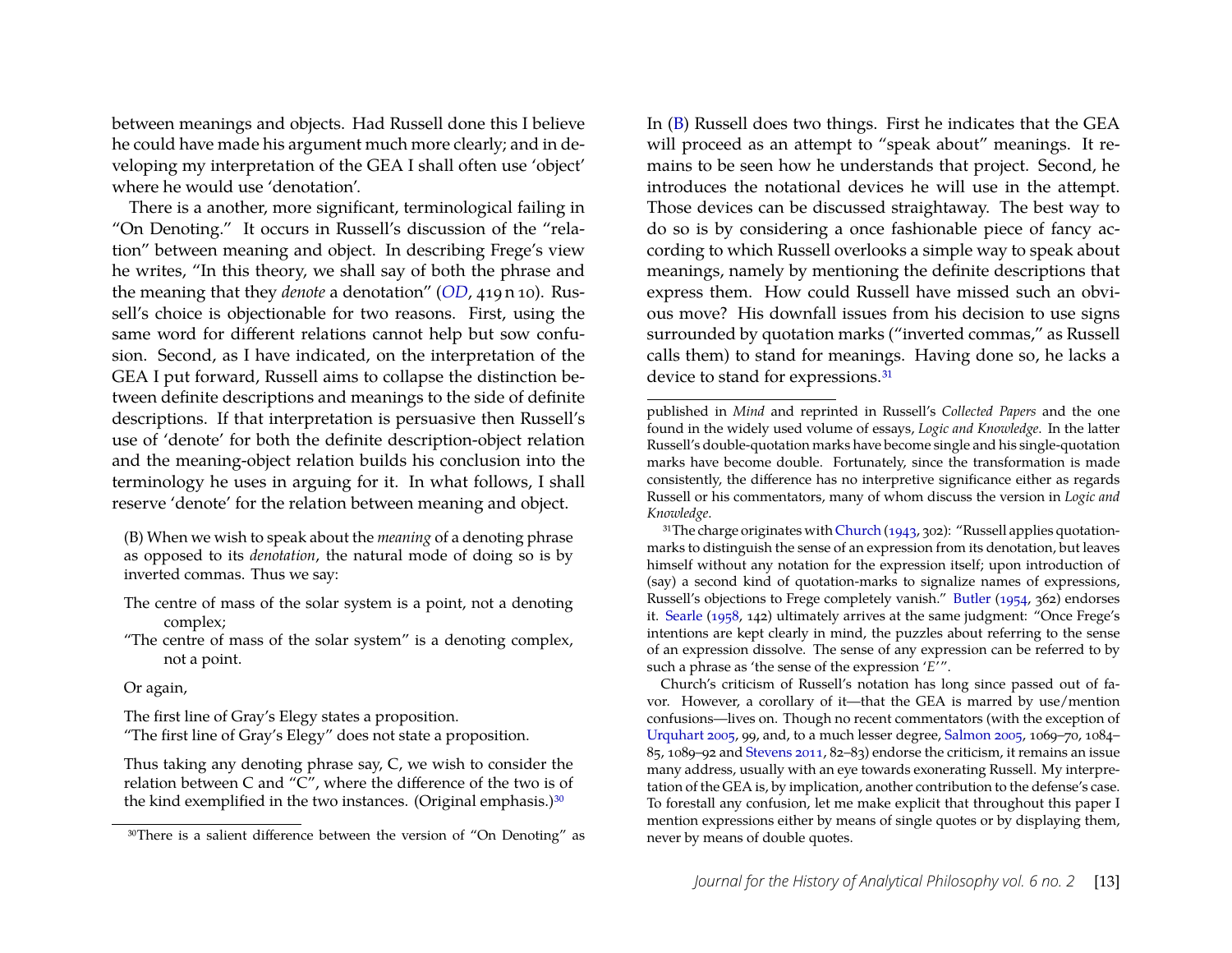between meanings and objects. Had Russell done this I believe he could have made his argument much more clearly; and in developing my interpretation of the GEA I shall often use 'object' where he would use 'denotation'.

There is a another, more significant, terminological failing in "On Denoting." It occurs in Russell's discussion of the "relation" between meaning and object. In describing Frege's view he writes, "In this theory, we shall say of both the phrase and the meaning that they *denote* a denotation" (*[OD](#page-31-17)*, 419 n 10). Russell's choice is objectionable for two reasons. First, using the same word for different relations cannot help but sow confusion. Second, as I have indicated, on the interpretation of the GEA I put forward, Russell aims to collapse the distinction between definite descriptions and meanings to the side of definite descriptions. If that interpretation is persuasive then Russell's use of 'denote' for both the definite description-object relation and the meaning-object relation builds his conclusion into the terminology he uses in arguing for it. In what follows, I shall reserve 'denote' for the relation between meaning and object.

<span id="page-13-1"></span>(B) When we wish to speak about the *meaning* of a denoting phrase as opposed to its *denotation*, the natural mode of doing so is by inverted commas. Thus we say:

- The centre of mass of the solar system is a point, not a denoting complex;
- "The centre of mass of the solar system" is a denoting complex, not a point.

Or again,

The first line of Gray's Elegy states a proposition.

"The first line of Gray's Elegy" does not state a proposition.

Thus taking any denoting phrase say, C, we wish to consider the relation between C and "C", where the difference of the two is of the kind exemplified in the two instances. (Original emphasis.)<sup>30</sup>

In [\(B\)](#page-13-1) Russell does two things. First he indicates that the GEA will proceed as an attempt to "speak about" meanings. It remains to be seen how he understands that project. Second, he introduces the notational devices he will use in the attempt. Those devices can be discussed straightaway. The best way to do so is by considering a once fashionable piece of fancy according to which Russell overlooks a simple way to speak about meanings, namely by mentioning the definite descriptions that express them. How could Russell have missed such an obvious move? His downfall issues from his decision to use signs surrounded by quotation marks ("inverted commas," as Russell calls them) to stand for meanings. Having done so, he lacks a device to stand for expressions.<sup>31</sup>

<span id="page-13-2"></span><sup>31</sup>The charge originates with [Church](#page-30-1) [\(1943,](#page-30-1) 302): "Russell applies quotationmarks to distinguish the sense of an expression from its denotation, but leaves himself without any notation for the expression itself; upon introduction of (say) a second kind of quotation-marks to signalize names of expressions, Russell's objections to Frege completely vanish." [Butler](#page-30-2) [\(1954,](#page-30-2) 362) endorses it. [Searle](#page-31-1) [\(1958,](#page-31-1) 142) ultimately arrives at the same judgment: "Once Frege's intentions are kept clearly in mind, the puzzles about referring to the sense of an expression dissolve. The sense of any expression can be referred to by such a phrase as 'the sense of the expression '*E*'".

Church's criticism of Russell's notation has long since passed out of favor. However, a corollary of it—that the GEA is marred by use/mention confusions—lives on. Though no recent commentators (with the exception of [Urquhart](#page-31-0) [2005,](#page-31-0) 99, and, to a much lesser degree, [Salmon](#page-31-8) [2005,](#page-31-8) 1069–70, 1084– 85, 1089–92 and [Stevens](#page-31-10) [2011,](#page-31-10) 82–83) endorse the criticism, it remains an issue many address, usually with an eye towards exonerating Russell. My interpretation of the GEA is, by implication, another contribution to the defense's case. To forestall any confusion, let me make explicit that throughout this paper I mention expressions either by means of single quotes or by displaying them, never by means of double quotes.

<span id="page-13-0"></span><sup>30</sup>There is a salient difference between the version of "On Denoting" as

published in *Mind* and reprinted in Russell's *Collected Papers* and the one found in the widely used volume of essays, *Logic and Knowledge*. In the latter Russell's double-quotation marks have become single and his single-quotation marks have become double. Fortunately, since the transformation is made consistently, the difference has no interpretive significance either as regards Russell or his commentators, many of whom discuss the version in *Logic and Knowledge*.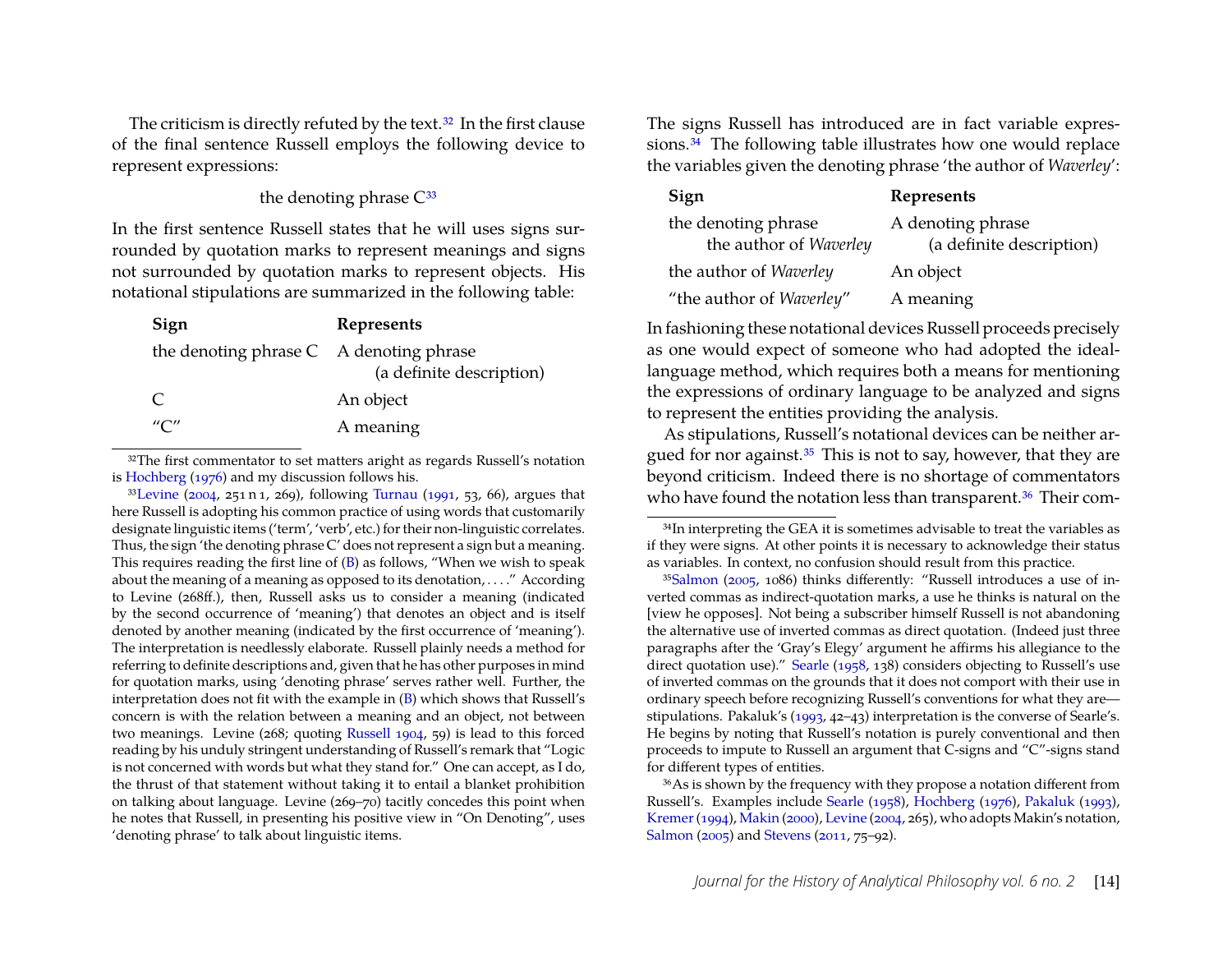The criticism is directly refuted by the text.<sup>32</sup> In the first clause of the final sentence Russell employs the following device to represent expressions:

#### the denoting phrase  $C^{33}$

In the first sentence Russell states that he will uses signs surrounded by quotation marks to represent meanings and signs not surrounded by quotation marks to represent objects. His notational stipulations are summarized in the following table:

| Sign                                      | Represents               |
|-------------------------------------------|--------------------------|
| the denoting phrase $C$ A denoting phrase | (a definite description) |
| $\mathcal{C}$                             | An object                |
| $^{\prime\prime}$ C $^{\prime\prime}$     | A meaning                |

<span id="page-14-0"></span><sup>32</sup>The first commentator to set matters aright as regards Russell's notation is [Hochberg](#page-30-4) [\(1976\)](#page-30-4) and my discussion follows his.

<span id="page-14-1"></span>3[3Levine](#page-30-11) [\(2004,](#page-30-11) 251 n 1, 269), following [Turnau](#page-31-2) [\(1991,](#page-31-2) 53, 66), argues that here Russell is adopting his common practice of using words that customarily designate linguistic items ('term', 'verb', etc.) for their non-linguistic correlates. Thus, the sign 'the denoting phrase  $C'$  does not represent a sign but a meaning. This requires reading the first line of [\(B\)](#page-13-1) as follows, "When we wish to speak about the meaning of a meaning as opposed to its denotation, . . . ." According to Levine (268ff.), then, Russell asks us to consider a meaning (indicated by the second occurrence of 'meaning') that denotes an object and is itself denoted by another meaning (indicated by the first occurrence of 'meaning'). The interpretation is needlessly elaborate. Russell plainly needs a method for referring to definite descriptions and, given that he has other purposes in mind for quotation marks, using 'denoting phrase' serves rather well. Further, the interpretation does not fit with the example in [\(B\)](#page-13-1) which shows that Russell's concern is with the relation between a meaning and an object, not between two meanings. Levine (268; quoting [Russell](#page-31-19) [1904,](#page-31-19) 59) is lead to this forced reading by his unduly stringent understanding of Russell's remark that "Logic is not concerned with words but what they stand for." One can accept, as I do, the thrust of that statement without taking it to entail a blanket prohibition on talking about language. Levine (269–70) tacitly concedes this point when he notes that Russell, in presenting his positive view in "On Denoting", uses 'denoting phrase' to talk about linguistic items.

The signs Russell has introduced are in fact variable expressions.<sup>34</sup> The following table illustrates how one would replace the variables given the denoting phrase 'the author of *Waverley*':

| Sign                                          | Represents                                    |
|-----------------------------------------------|-----------------------------------------------|
| the denoting phrase<br>the author of Waverley | A denoting phrase<br>(a definite description) |
| the author of Waverley                        | An object                                     |
| "the author of Waverley"                      | A meaning                                     |

In fashioning these notational devices Russell proceeds precisely as one would expect of someone who had adopted the ideallanguage method, which requires both a means for mentioning the expressions of ordinary language to be analyzed and signs to represent the entities providing the analysis.

As stipulations, Russell's notational devices can be neither argued for nor against.<sup>35</sup> This is not to say, however, that they are beyond criticism. Indeed there is no shortage of commentators who have found the notation less than transparent.<sup>36</sup> Their com-

<span id="page-14-3"></span>3[5Salmon](#page-31-8) [\(2005,](#page-31-8) 1086) thinks differently: "Russell introduces a use of inverted commas as indirect-quotation marks, a use he thinks is natural on the [view he opposes]. Not being a subscriber himself Russell is not abandoning the alternative use of inverted commas as direct quotation. (Indeed just three paragraphs after the 'Gray's Elegy' argument he affirms his allegiance to the direct quotation use)." [Searle](#page-31-1) [\(1958,](#page-31-1) 138) considers objecting to Russell's use of inverted commas on the grounds that it does not comport with their use in ordinary speech before recognizing Russell's conventions for what they are stipulations. Pakaluk's [\(1993,](#page-31-5) 42–43) interpretation is the converse of Searle's. He begins by noting that Russell's notation is purely conventional and then proceeds to impute to Russell an argument that C-signs and "C"-signs stand for different types of entities.

<span id="page-14-4"></span>36As is shown by the frequency with they propose a notation different from Russell's. Examples include [Searle](#page-31-1) [\(1958\)](#page-31-1), [Hochberg](#page-30-4) [\(1976\)](#page-30-4), [Pakaluk](#page-31-5) [\(1993\)](#page-31-5), [Kremer\(1994\)](#page-30-7), [Makin](#page-30-10) [\(2000\)](#page-30-10), [Levine](#page-30-11) [\(2004,](#page-30-11) 265), who adopts Makin's notation, [Salmon](#page-31-8) [\(2005\)](#page-31-8) and [Stevens](#page-31-10) [\(2011,](#page-31-10) 75–92).

<span id="page-14-2"></span><sup>&</sup>lt;sup>34</sup>In interpreting the GEA it is sometimes advisable to treat the variables as if they were signs. At other points it is necessary to acknowledge their status as variables. In context, no confusion should result from this practice.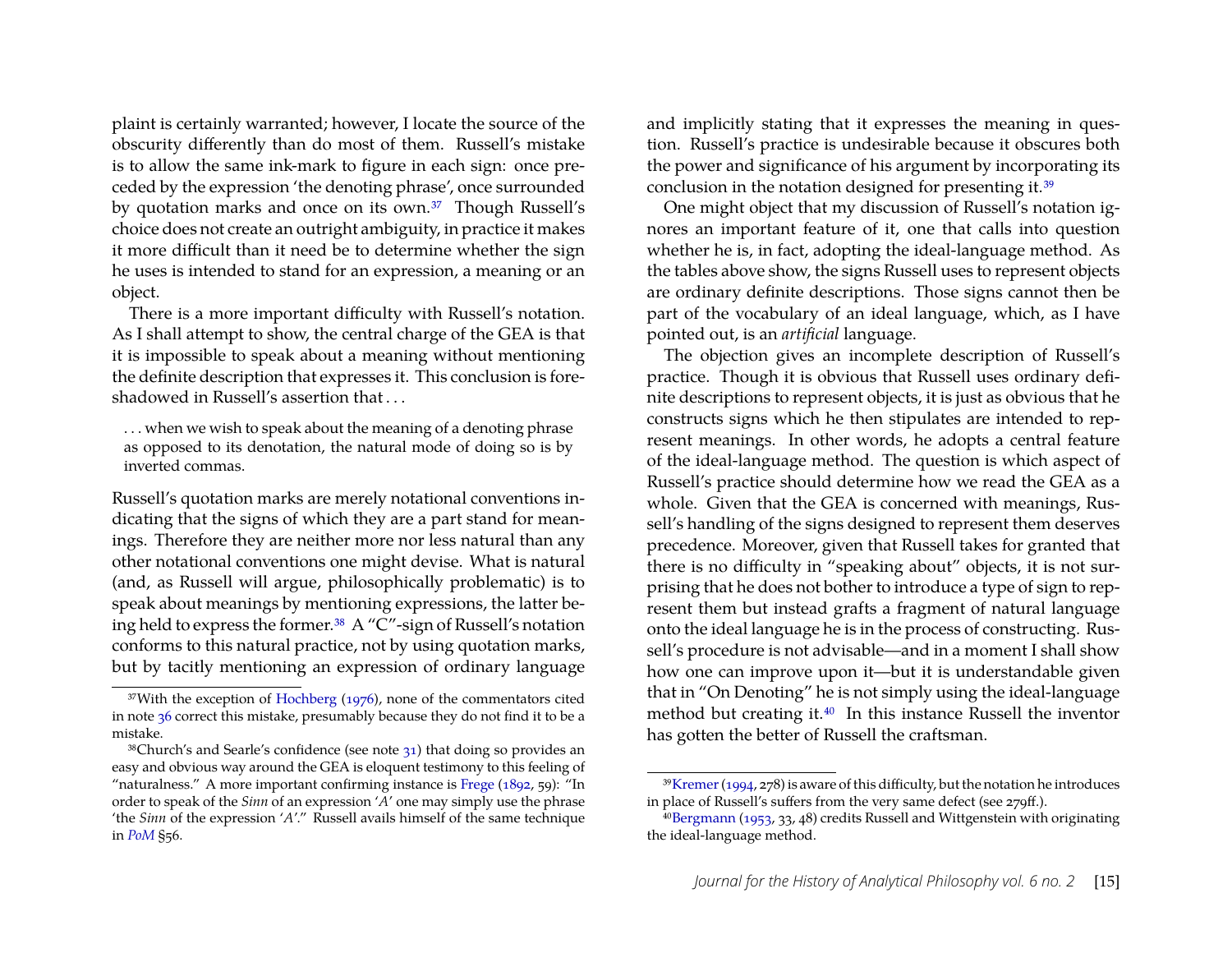plaint is certainly warranted; however, I locate the source of the obscurity differently than do most of them. Russell's mistake is to allow the same ink-mark to figure in each sign: once preceded by the expression 'the denoting phrase', once surrounded by quotation marks and once on its own.<sup>37</sup> Though Russell's choice does not create an outright ambiguity, in practice it makes it more difficult than it need be to determine whether the sign he uses is intended to stand for an expression, a meaning or an object.

There is a more important difficulty with Russell's notation. As I shall attempt to show, the central charge of the GEA is that it is impossible to speak about a meaning without mentioning the definite description that expresses it. This conclusion is foreshadowed in Russell's assertion that ...

. . . when we wish to speak about the meaning of a denoting phrase as opposed to its denotation, the natural mode of doing so is by inverted commas.

Russell's quotation marks are merely notational conventions indicating that the signs of which they are a part stand for meanings. Therefore they are neither more nor less natural than any other notational conventions one might devise. What is natural (and, as Russell will argue, philosophically problematic) is to speak about meanings by mentioning expressions, the latter being held to express the former[.38](#page-15-1) A "C"-sign of Russell's notation conforms to this natural practice, not by using quotation marks, but by tacitly mentioning an expression of ordinary language and implicitly stating that it expresses the meaning in question. Russell's practice is undesirable because it obscures both the power and significance of his argument by incorporating its conclusion in the notation designed for presenting it[.39](#page-15-2)

One might object that my discussion of Russell's notation ignores an important feature of it, one that calls into question whether he is, in fact, adopting the ideal-language method. As the tables above show, the signs Russell uses to represent objects are ordinary definite descriptions. Those signs cannot then be part of the vocabulary of an ideal language, which, as I have pointed out, is an *artificial* language.

The objection gives an incomplete description of Russell's practice. Though it is obvious that Russell uses ordinary definite descriptions to represent objects, it is just as obvious that he constructs signs which he then stipulates are intended to represent meanings. In other words, he adopts a central feature of the ideal-language method. The question is which aspect of Russell's practice should determine how we read the GEA as a whole. Given that the GEA is concerned with meanings, Russell's handling of the signs designed to represent them deserves precedence. Moreover, given that Russell takes for granted that there is no difficulty in "speaking about" objects, it is not surprising that he does not bother to introduce a type of sign to represent them but instead grafts a fragment of natural language onto the ideal language he is in the process of constructing. Russell's procedure is not advisable—and in a moment I shall show how one can improve upon it—but it is understandable given that in "On Denoting" he is not simply using the ideal-language method but creating it[.40](#page-15-3) In this instance Russell the inventor has gotten the better of Russell the craftsman.

<span id="page-15-0"></span><sup>&</sup>lt;sup>37</sup>With the exception of [Hochberg](#page-30-4) [\(1976\)](#page-30-4), none of the commentators cited in note [36](#page-14-4) correct this mistake, presumably because they do not find it to be a mistake.

<span id="page-15-1"></span> $38$ Church's and Searle's confidence (see note  $31$ ) that doing so provides an easy and obvious way around the GEA is eloquent testimony to this feeling of "naturalness." A more important confirming instance is [Frege](#page-30-18)  $(1892, 59)$  $(1892, 59)$ : "In order to speak of the *Sinn* of an expression '*A*' one may simply use the phrase 'the *Sinn* of the expression '*A*'." Russell avails himself of the same technique in *[PoM](#page-31-11)* §56.

<span id="page-15-2"></span> $39$ Kremer (1994, 278) is aware of this difficulty, but the notation he introduces in place of Russell's suffers from the very same defect (see 279ff.).

<span id="page-15-3"></span><sup>4</sup>[0Bergmann](#page-29-7) [\(1953,](#page-29-7) 33, 48) credits Russell and Wittgenstein with originating the ideal-language method.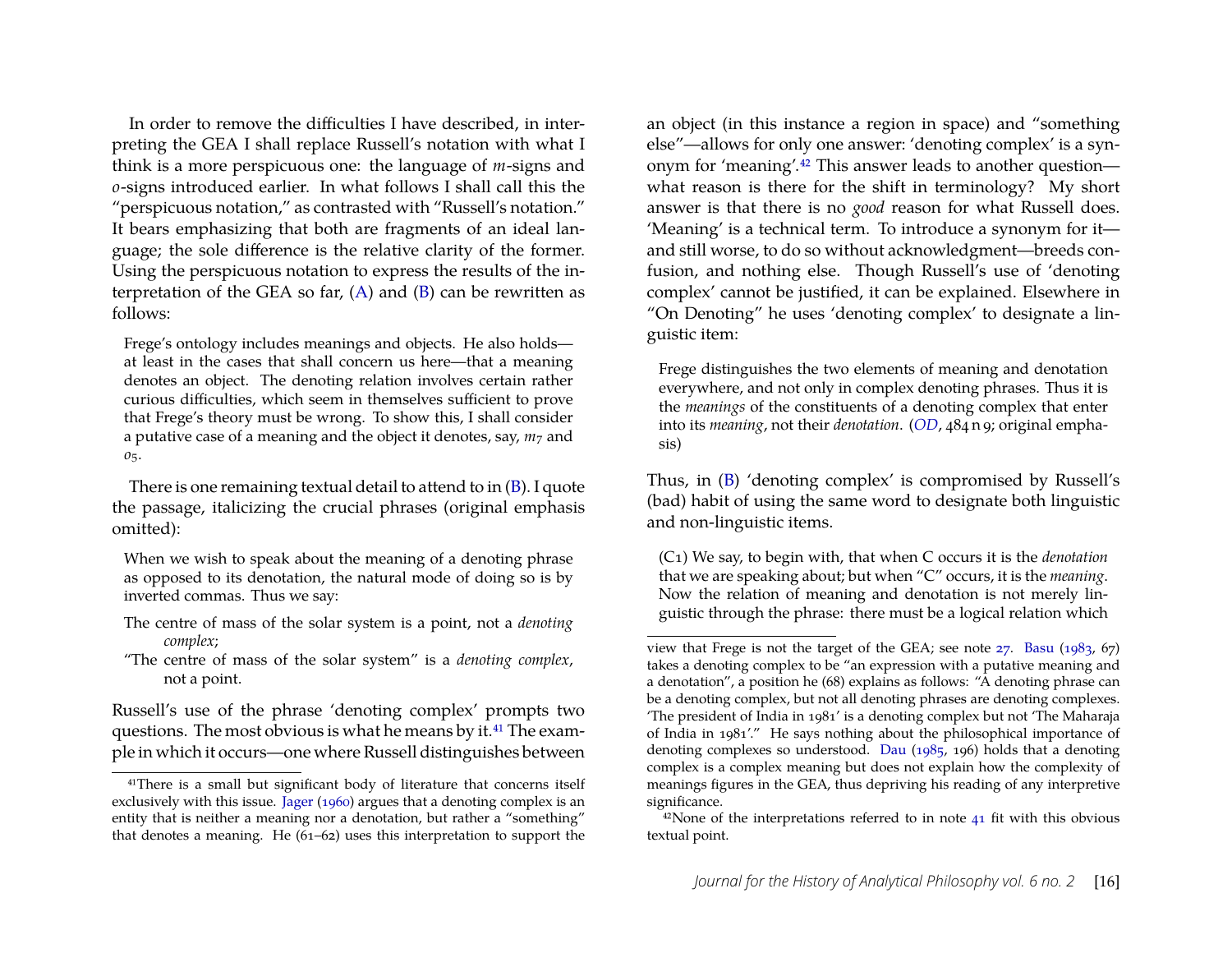In order to remove the difficulties I have described, in interpreting the GEA I shall replace Russell's notation with what I think is a more perspicuous one: the language of *m*-signs and *o*-signs introduced earlier. In what follows I shall call this the "perspicuous notation," as contrasted with "Russell's notation." It bears emphasizing that both are fragments of an ideal language; the sole difference is the relative clarity of the former. Using the perspicuous notation to express the results of the interpretation of the GEA so far,  $(A)$  and  $(B)$  can be rewritten as follows:

Frege's ontology includes meanings and objects. He also holds at least in the cases that shall concern us here—that a meaning denotes an object. The denoting relation involves certain rather curious difficulties, which seem in themselves sufficient to prove that Frege's theory must be wrong. To show this, I shall consider a putative case of a meaning and the object it denotes, say, *m*<sup>7</sup> and *o*5.

There is one remaining textual detail to attend to in [\(B\)](#page-13-1). I quote the passage, italicizing the crucial phrases (original emphasis omitted):

When we wish to speak about the meaning of a denoting phrase as opposed to its denotation, the natural mode of doing so is by inverted commas. Thus we say:

- The centre of mass of the solar system is a point, not a *denoting complex*;
- "The centre of mass of the solar system" is a *denoting complex*, not a point.

Russell's use of the phrase 'denoting complex' prompts two questions. The most obvious is what he means by it.<sup>41</sup> The example in which it occurs—one where Russell distinguishes between

an object (in this instance a region in space) and "something else"—allows for only one answer: 'denoting complex' is a synonym for 'meaning'[.42](#page-16-1) This answer leads to another question what reason is there for the shift in terminology? My short answer is that there is no *good* reason for what Russell does. 'Meaning' is a technical term. To introduce a synonym for it and still worse, to do so without acknowledgment—breeds confusion, and nothing else. Though Russell's use of 'denoting complex' cannot be justified, it can be explained. Elsewhere in "On Denoting" he uses 'denoting complex' to designate a linguistic item:

Frege distinguishes the two elements of meaning and denotation everywhere, and not only in complex denoting phrases. Thus it is the *meanings* of the constituents of a denoting complex that enter into its *meaning*, not their *denotation*. (*[OD](#page-31-17)*, 484 n 9; original emphasis)

Thus, in [\(B\)](#page-13-1) 'denoting complex' is compromised by Russell's (bad) habit of using the same word to designate both linguistic and non-linguistic items.

<span id="page-16-2"></span>(C1) We say, to begin with, that when C occurs it is the *denotation* that we are speaking about; but when "C" occurs, it is the *meaning*. Now the relation of meaning and denotation is not merely linguistic through the phrase: there must be a logical relation which

<span id="page-16-0"></span><sup>41</sup>There is a small but significant body of literature that concerns itself exclusively with this issue. [Jager](#page-30-0) [\(1960\)](#page-30-0) argues that a denoting complex is an entity that is neither a meaning nor a denotation, but rather a "something" that denotes a meaning. He (61–62) uses this interpretation to support the

view that Frege is not the target of the GEA; see note [27.](#page-12-2) [Basu](#page-29-8) [\(1983,](#page-29-8) 67) takes a denoting complex to be "an expression with a putative meaning and a denotation", a position he (68) explains as follows: "A denoting phrase can be a denoting complex, but not all denoting phrases are denoting complexes. 'The president of India in 1981' is a denoting complex but not 'The Maharaja of India in 1981'." He says nothing about the philosophical importance of denoting complexes so understood. [Dau](#page-30-19) [\(1985,](#page-30-19) 196) holds that a denoting complex is a complex meaning but does not explain how the complexity of meanings figures in the GEA, thus depriving his reading of any interpretive significance.

<span id="page-16-1"></span> $42$ None of the interpretations referred to in note  $41$  fit with this obvious textual point.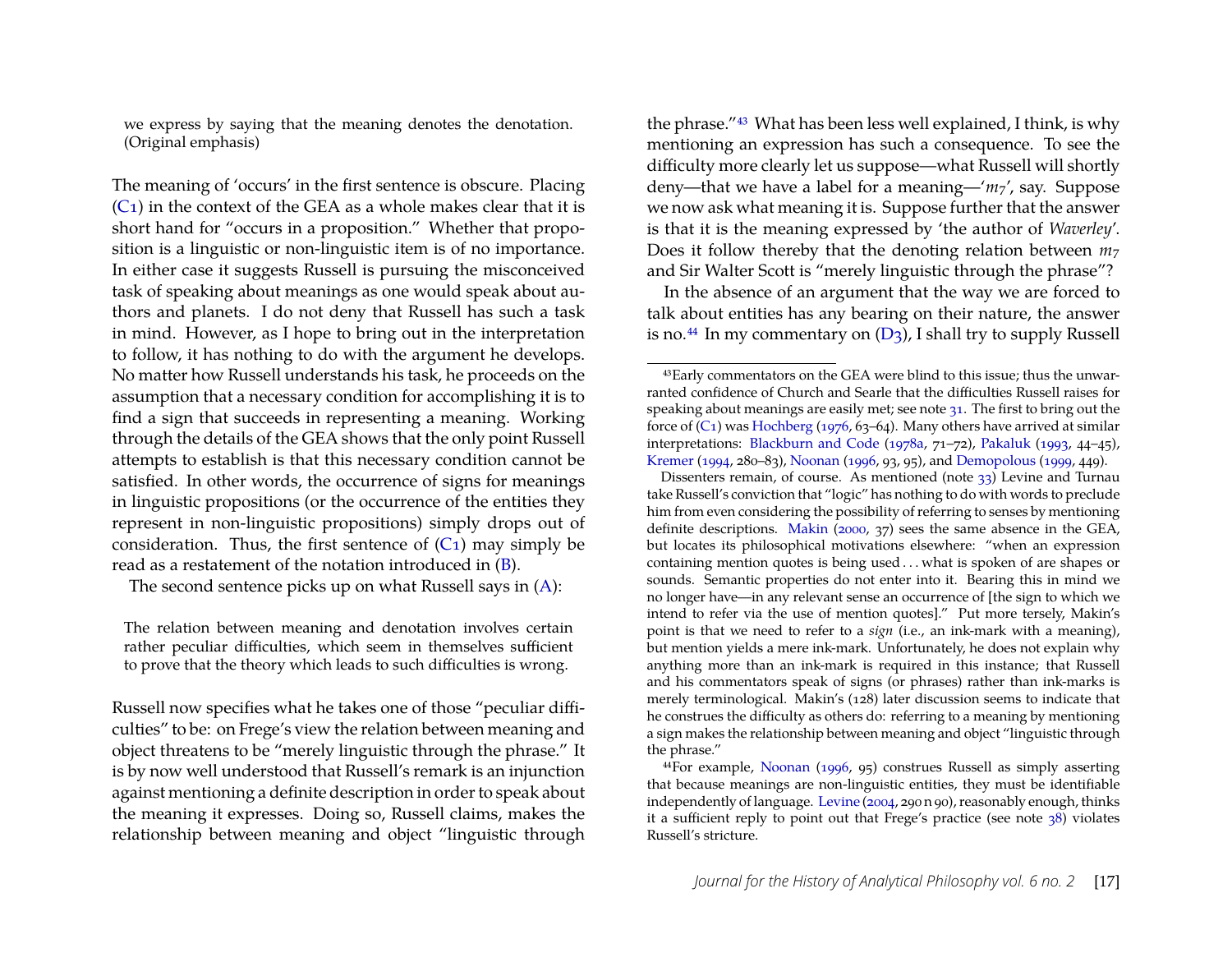we express by saying that the meaning denotes the denotation. (Original emphasis)

The meaning of 'occurs' in the first sentence is obscure. Placing  $(C_1)$  in the context of the GEA as a whole makes clear that it is short hand for "occurs in a proposition." Whether that proposition is a linguistic or non-linguistic item is of no importance. In either case it suggests Russell is pursuing the misconceived task of speaking about meanings as one would speak about authors and planets. I do not deny that Russell has such a task in mind. However, as I hope to bring out in the interpretation to follow, it has nothing to do with the argument he develops. No matter how Russell understands his task, he proceeds on the assumption that a necessary condition for accomplishing it is to find a sign that succeeds in representing a meaning. Working through the details of the GEA shows that the only point Russell attempts to establish is that this necessary condition cannot be satisfied. In other words, the occurrence of signs for meanings in linguistic propositions (or the occurrence of the entities they represent in non-linguistic propositions) simply drops out of consideration. Thus, the first sentence of  $(C_1)$  may simply be read as a restatement of the notation introduced in [\(B\)](#page-13-1).

The second sentence picks up on what Russell says in [\(A\)](#page-11-6):

The relation between meaning and denotation involves certain rather peculiar difficulties, which seem in themselves sufficient to prove that the theory which leads to such difficulties is wrong.

Russell now specifies what he takes one of those "peculiar difficulties" to be: on Frege's view the relation between meaning and object threatens to be "merely linguistic through the phrase." It is by now well understood that Russell's remark is an injunction against mentioning a definite description in order to speak about the meaning it expresses. Doing so, Russell claims, makes the relationship between meaning and object "linguistic through the phrase.["43](#page-17-0) What has been less well explained, I think, is why mentioning an expression has such a consequence. To see the difficulty more clearly let us suppose—what Russell will shortly deny—that we have a label for a meaning—'*m*7', say. Suppose we now ask what meaning it is. Suppose further that the answer is that it is the meaning expressed by 'the author of *Waverley*'. Does it follow thereby that the denoting relation between  $m_7$ and Sir Walter Scott is "merely linguistic through the phrase"?

In the absence of an argument that the way we are forced to talk about entities has any bearing on their nature, the answer is no.<sup>44</sup> In my commentary on  $(D_3)$ , I shall try to supply Russell

<span id="page-17-1"></span>44For example, [Noonan](#page-31-6) [\(1996,](#page-31-6) 95) construes Russell as simply asserting that because meanings are non-linguistic entities, they must be identifiable independently of language. [Levine](#page-30-11) [\(2004,](#page-30-11) 290 n 90), reasonably enough, thinks it a sufficient reply to point out that Frege's practice (see note [38\)](#page-15-1) violates Russell's stricture.

<span id="page-17-0"></span><sup>43</sup>Early commentators on the GEA were blind to this issue; thus the unwarranted confidence of Church and Searle that the difficulties Russell raises for speaking about meanings are easily met; see note [31.](#page-13-2) The first to bring out the force of  $(C_1)$  was [Hochberg](#page-30-4) [\(1976,](#page-30-4) 63–64). Many others have arrived at similar interpretations: [Blackburn and Code](#page-29-0) [\(1978a,](#page-29-0) 71–72), [Pakaluk](#page-31-5) [\(1993,](#page-31-5) 44–45), [Kremer](#page-30-7) [\(1994,](#page-30-7) 280–83), [Noonan](#page-31-6) [\(1996,](#page-31-6) 93, 95), and [Demopolous](#page-30-9) [\(1999,](#page-30-9) 449).

Dissenters remain, of course. As mentioned (note [33\)](#page-14-1) Levine and Turnau take Russell's conviction that "logic" has nothing to do with words to preclude him from even considering the possibility of referring to senses by mentioning definite descriptions. [Makin](#page-30-10) [\(2000,](#page-30-10) 37) sees the same absence in the GEA, but locates its philosophical motivations elsewhere: "when an expression containing mention quotes is being used . . . what is spoken of are shapes or sounds. Semantic properties do not enter into it. Bearing this in mind we no longer have—in any relevant sense an occurrence of [the sign to which we intend to refer via the use of mention quotes]." Put more tersely, Makin's point is that we need to refer to a *sign* (i.e., an ink-mark with a meaning), but mention yields a mere ink-mark. Unfortunately, he does not explain why anything more than an ink-mark is required in this instance; that Russell and his commentators speak of signs (or phrases) rather than ink-marks is merely terminological. Makin's (128) later discussion seems to indicate that he construes the difficulty as others do: referring to a meaning by mentioning a sign makes the relationship between meaning and object "linguistic through the phrase."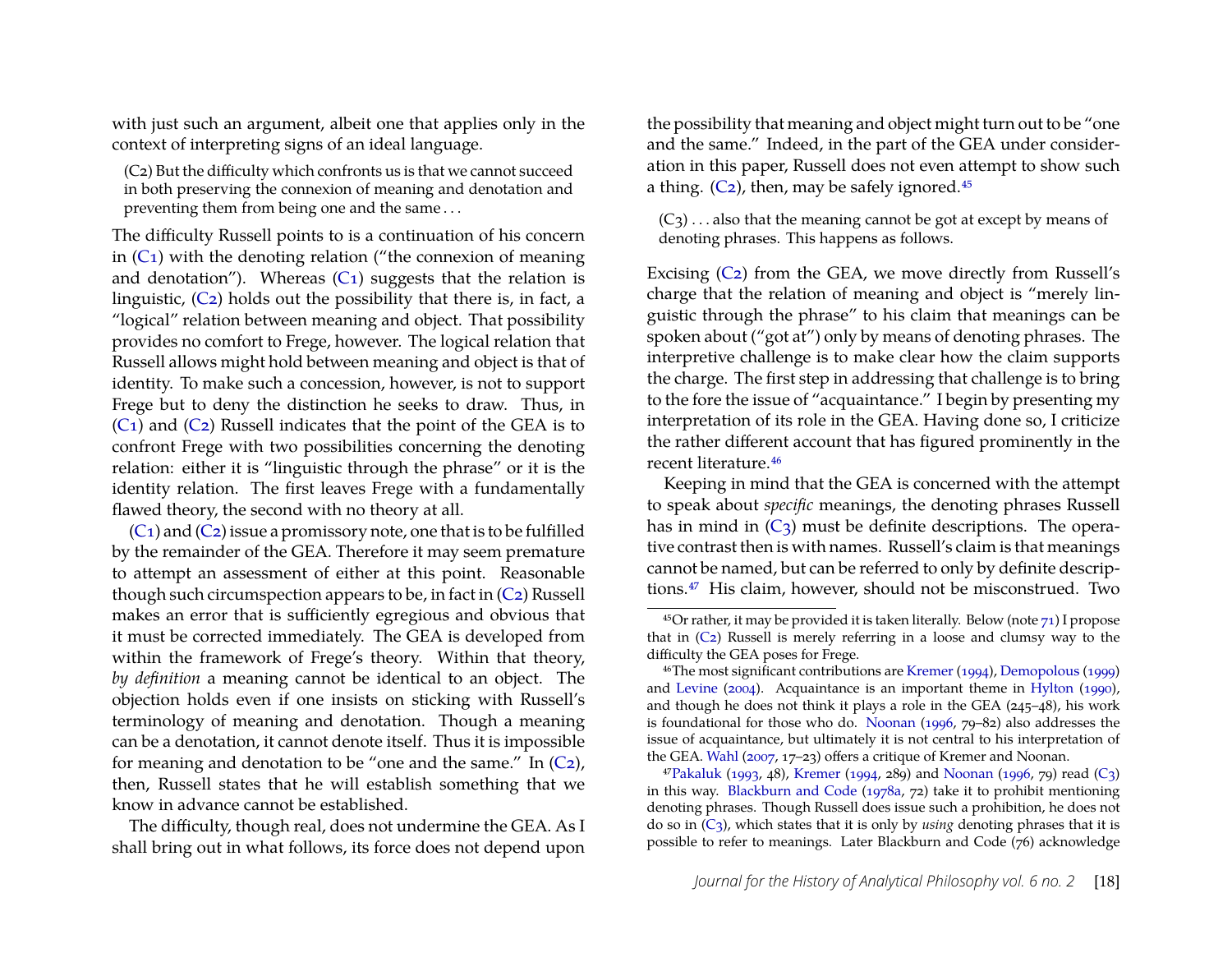with just such an argument, albeit one that applies only in the context of interpreting signs of an ideal language.

<span id="page-18-0"></span>(C2) But the difficulty which confronts us is that we cannot succeed in both preserving the connexion of meaning and denotation and preventing them from being one and the same . . .

The difficulty Russell points to is a continuation of his concern in  $(C_1)$  with the denoting relation ("the connexion of meaning and denotation"). Whereas  $(C_1)$  suggests that the relation is linguistic, [\(C2\)](#page-16-2) holds out the possibility that there is, in fact, a "logical" relation between meaning and object. That possibility provides no comfort to Frege, however. The logical relation that Russell allows might hold between meaning and object is that of identity. To make such a concession, however, is not to support Frege but to deny the distinction he seeks to draw. Thus, in  $(C_1)$  and  $(C_2)$  Russell indicates that the point of the GEA is to confront Frege with two possibilities concerning the denoting relation: either it is "linguistic through the phrase" or it is the identity relation. The first leaves Frege with a fundamentally flawed theory, the second with no theory at all.

 $(C_1)$  and  $(C_2)$  issue a promissory note, one that is to be fulfilled by the remainder of the GEA. Therefore it may seem premature to attempt an assessment of either at this point. Reasonable though such circumspection appears to be, in fact in  $(C_2)$  Russell makes an error that is sufficiently egregious and obvious that it must be corrected immediately. The GEA is developed from within the framework of Frege's theory. Within that theory, *by definition* a meaning cannot be identical to an object. The objection holds even if one insists on sticking with Russell's terminology of meaning and denotation. Though a meaning can be a denotation, it cannot denote itself. Thus it is impossible for meaning and denotation to be "one and the same." In  $(C_2)$ , then, Russell states that he will establish something that we know in advance cannot be established.

The difficulty, though real, does not undermine the GEA. As I shall bring out in what follows, its force does not depend upon the possibility that meaning and object might turn out to be "one and the same." Indeed, in the part of the GEA under consideration in this paper, Russell does not even attempt to show such a thing.  $(C_2)$ , then, may be safely ignored.<sup>45</sup>

<span id="page-18-3"></span> $(C_3)$ ... also that the meaning cannot be got at except by means of denoting phrases. This happens as follows.

Excising [\(C2\)](#page-18-0) from the GEA, we move directly from Russell's charge that the relation of meaning and object is "merely linguistic through the phrase" to his claim that meanings can be spoken about ("got at") only by means of denoting phrases. The interpretive challenge is to make clear how the claim supports the charge. The first step in addressing that challenge is to bring to the fore the issue of "acquaintance." I begin by presenting my interpretation of its role in the GEA. Having done so, I criticize the rather different account that has figured prominently in the recent literature[.46](#page-18-2)

Keeping in mind that the GEA is concerned with the attempt to speak about *specific* meanings, the denoting phrases Russell has in mind in  $(C_3)$  must be definite descriptions. The operative contrast then is with names. Russell's claim is that meanings cannot be named, but can be referred to only by definite descriptions[.47](#page-18-4) His claim, however, should not be misconstrued. Two

<span id="page-18-1"></span> $45$ Or rather, it may be provided it is taken literally. Below (note  $71$ ) I propose that in [\(C2\)](#page-18-0) Russell is merely referring in a loose and clumsy way to the difficulty the GEA poses for Frege.

<span id="page-18-2"></span><sup>46</sup>The most significant contributions are [Kremer](#page-30-7) [\(1994\)](#page-30-7), [Demopolous](#page-30-9) [\(1999\)](#page-30-9) and [Levine](#page-30-11) [\(2004\)](#page-30-11). Acquaintance is an important theme in [Hylton](#page-30-6) [\(1990\)](#page-30-6), and though he does not think it plays a role in the GEA (245–48), his work is foundational for those who do. [Noonan](#page-31-6) [\(1996,](#page-31-6) 79–82) also addresses the issue of acquaintance, but ultimately it is not central to his interpretation of the GEA. [Wahl](#page-31-20) [\(2007,](#page-31-20) 17–23) offers a critique of Kremer and Noonan.

<span id="page-18-4"></span> $47$ Pakaluk [\(1993,](#page-31-5) 48), [Kremer](#page-30-7) [\(1994,](#page-30-7) 289) and [Noonan](#page-31-6) [\(1996,](#page-31-6) 79) read [\(C3\)](#page-18-3) in this way. [Blackburn and Code](#page-29-0) [\(1978a,](#page-29-0) 72) take it to prohibit mentioning denoting phrases. Though Russell does issue such a prohibition, he does not do so in [\(C3\)](#page-18-3), which states that it is only by *using* denoting phrases that it is possible to refer to meanings. Later Blackburn and Code (76) acknowledge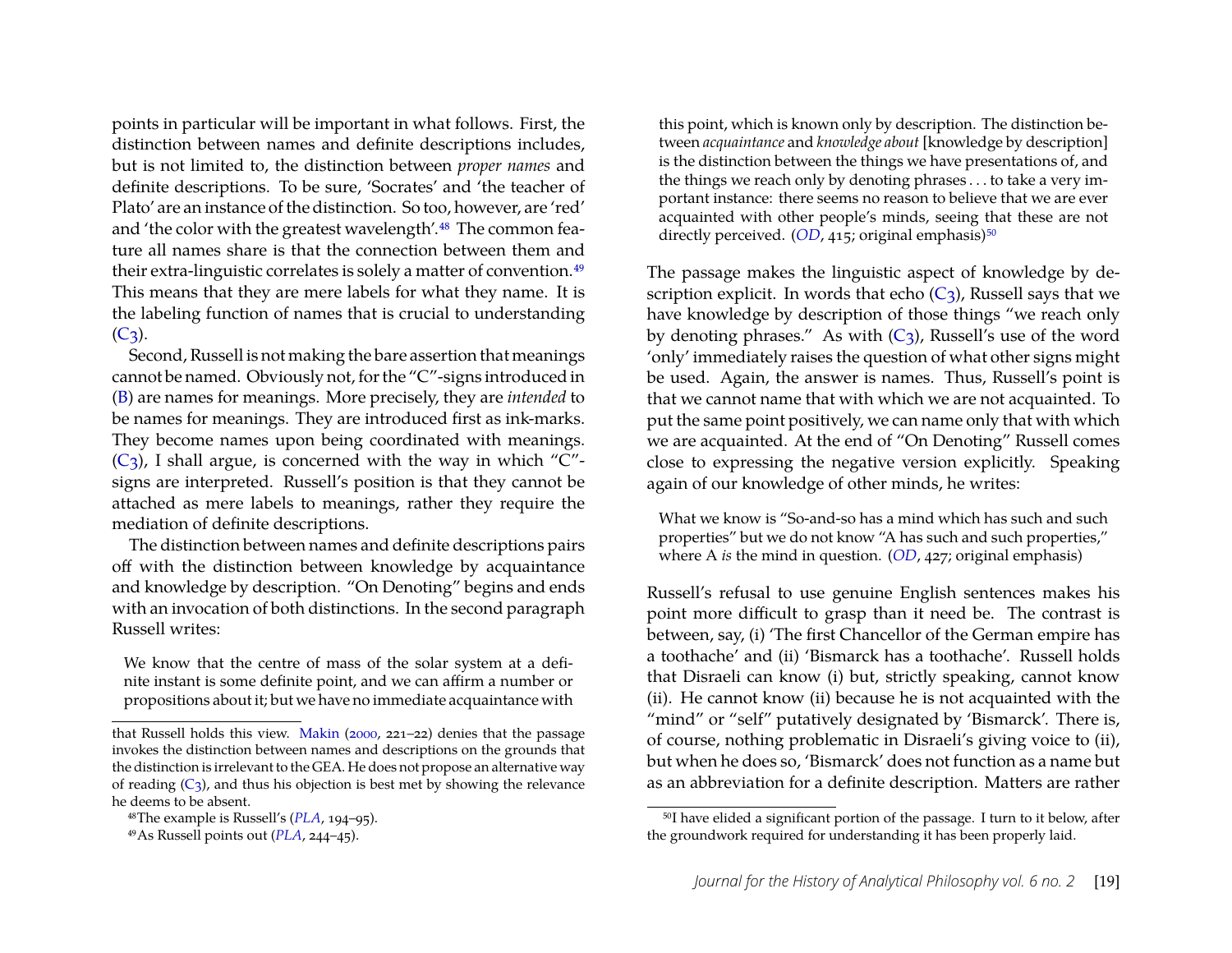points in particular will be important in what follows. First, the distinction between names and definite descriptions includes, but is not limited to, the distinction between *proper names* and definite descriptions. To be sure, 'Socrates' and 'the teacher of Plato' are an instance of the distinction. So too, however, are 'red' and 'the color with the greatest wavelength'.<sup>48</sup> The common feature all names share is that the connection between them and their extra-linguistic correlates is solely a matter of convention[.49](#page-19-1) This means that they are mere labels for what they name. It is the labeling function of names that is crucial to understanding  $(C_3)$ .

Second, Russell is not making the bare assertion that meanings cannot be named. Obviously not, for the "C"-signs introduced in [\(B\)](#page-13-1) are names for meanings. More precisely, they are *intended* to be names for meanings. They are introduced first as ink-marks. They become names upon being coordinated with meanings.  $(C_3)$ , I shall argue, is concerned with the way in which "C"signs are interpreted. Russell's position is that they cannot be attached as mere labels to meanings, rather they require the mediation of definite descriptions.

The distinction between names and definite descriptions pairs off with the distinction between knowledge by acquaintance and knowledge by description. "On Denoting" begins and ends with an invocation of both distinctions. In the second paragraph Russell writes:

We know that the centre of mass of the solar system at a definite instant is some definite point, and we can affirm a number or propositions about it; but we have no immediate acquaintance with

this point, which is known only by description. The distinction between *acquaintance* and *knowledge about* [knowledge by description] is the distinction between the things we have presentations of, and the things we reach only by denoting phrases . . . to take a very important instance: there seems no reason to believe that we are ever acquainted with other people's minds, seeing that these are not directly perceived.  $(OD, 415, 0)$  $(OD, 415, 0)$  $(OD, 415, 0)$  original emphasis)<sup>50</sup>

The passage makes the linguistic aspect of knowledge by description explicit. In words that echo  $(C_3)$ , Russell says that we have knowledge by description of those things "we reach only by denoting phrases." As with  $(C_3)$ , Russell's use of the word 'only' immediately raises the question of what other signs might be used. Again, the answer is names. Thus, Russell's point is that we cannot name that with which we are not acquainted. To put the same point positively, we can name only that with which we are acquainted. At the end of "On Denoting" Russell comes close to expressing the negative version explicitly. Speaking again of our knowledge of other minds, he writes:

What we know is "So-and-so has a mind which has such and such properties" but we do not know "A has such and such properties," where A *is* the mind in question. (*[OD](#page-31-17)*, 427; original emphasis)

Russell's refusal to use genuine English sentences makes his point more difficult to grasp than it need be. The contrast is between, say, (i) 'The first Chancellor of the German empire has a toothache' and (ii) 'Bismarck has a toothache'. Russell holds that Disraeli can know (i) but, strictly speaking, cannot know (ii). He cannot know (ii) because he is not acquainted with the "mind" or "self" putatively designated by 'Bismarck'. There is, of course, nothing problematic in Disraeli's giving voice to (ii), but when he does so, 'Bismarck' does not function as a name but as an abbreviation for a definite description. Matters are rather

that Russell holds this view. [Makin](#page-30-10) [\(2000,](#page-30-10) 221–22) denies that the passage invokes the distinction between names and descriptions on the grounds that the distinction is irrelevant to the GEA. He does not propose an alternative way of reading  $(C_3)$ , and thus his objection is best met by showing the relevance he deems to be absent.

<span id="page-19-0"></span><sup>48</sup>The example is Russell's (*[PLA](#page-31-15)*, 194–95).

<span id="page-19-1"></span><sup>49</sup>As Russell points out (*[PLA](#page-31-15)*, 244–45).

<span id="page-19-2"></span><sup>50</sup>I have elided a significant portion of the passage. I turn to it below, after the groundwork required for understanding it has been properly laid.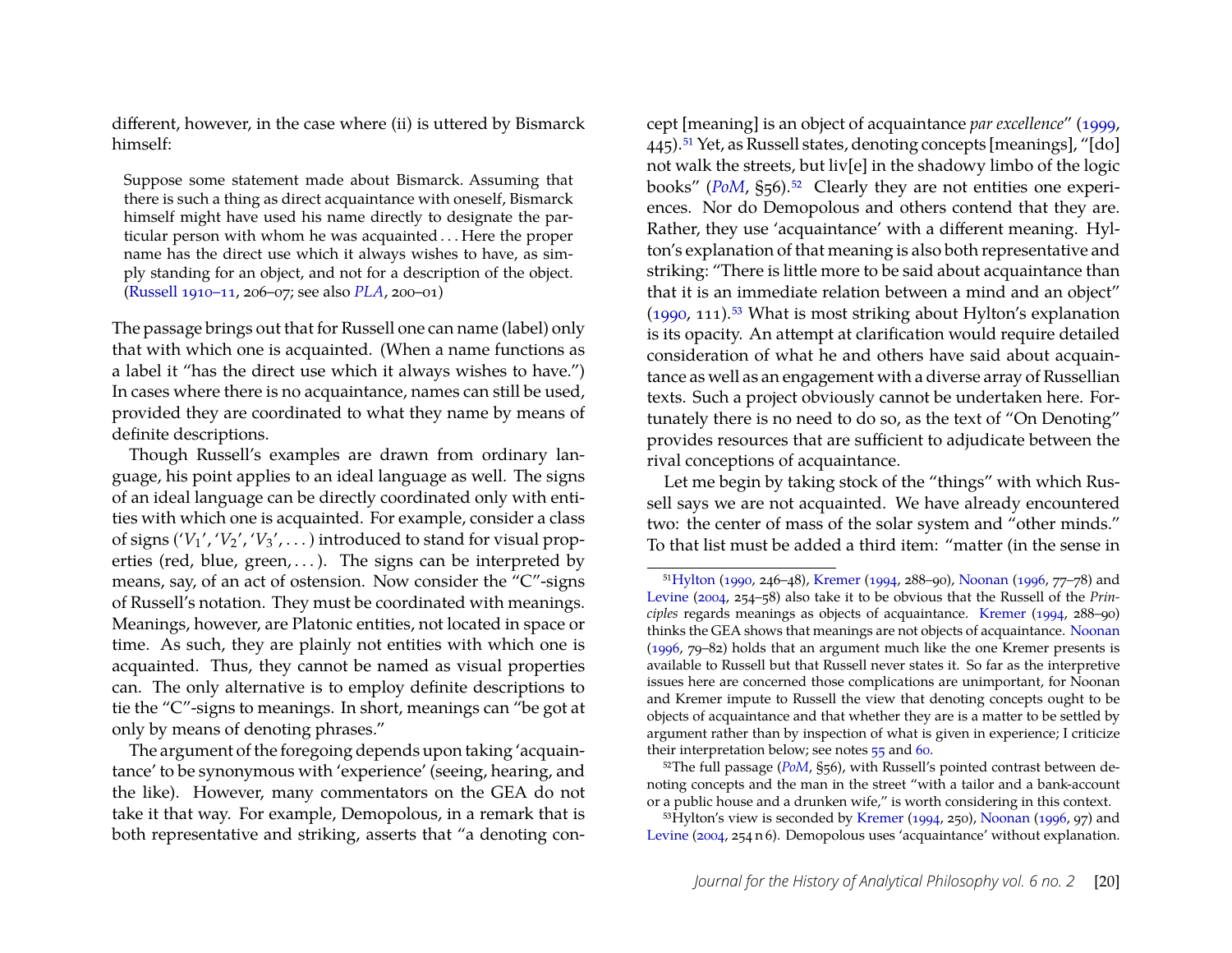different, however, in the case where (ii) is uttered by Bismarck himself:

Suppose some statement made about Bismarck. Assuming that there is such a thing as direct acquaintance with oneself, Bismarck himself might have used his name directly to designate the particular person with whom he was acquainted . . . Here the proper name has the direct use which it always wishes to have, as simply standing for an object, and not for a description of the object. [\(Russell](#page-31-21) [1910–11,](#page-31-21) 206–07; see also *[PLA](#page-31-15)*, 200–01)

The passage brings out that for Russell one can name (label) only that with which one is acquainted. (When a name functions as a label it "has the direct use which it always wishes to have.") In cases where there is no acquaintance, names can still be used, provided they are coordinated to what they name by means of definite descriptions.

Though Russell's examples are drawn from ordinary language, his point applies to an ideal language as well. The signs of an ideal language can be directly coordinated only with entities with which one is acquainted. For example, consider a class of signs  $('V<sub>1</sub>'', 'V<sub>2</sub>'', 'V<sub>3</sub>'',...)$  introduced to stand for visual properties (red, blue, green, ...). The signs can be interpreted by means, say, of an act of ostension. Now consider the "C"-signs of Russell's notation. They must be coordinated with meanings. Meanings, however, are Platonic entities, not located in space or time. As such, they are plainly not entities with which one is acquainted. Thus, they cannot be named as visual properties can. The only alternative is to employ definite descriptions to tie the "C"-signs to meanings. In short, meanings can "be got at only by means of denoting phrases."

The argument of the foregoing depends upon taking 'acquaintance' to be synonymous with 'experience' (seeing, hearing, and the like). However, many commentators on the GEA do not take it that way. For example, Demopolous, in a remark that is both representative and striking, asserts that "a denoting con-

cept [meaning] is an object of acquaintance *par excellence*" [\(1999,](#page-30-9) 445)[.51](#page-20-0) Yet, as Russell states, denoting concepts [meanings], "[do] not walk the streets, but liv[e] in the shadowy limbo of the logic books" (*[PoM](#page-31-11)*, §56).<sup>52</sup> Clearly they are not entities one experiences. Nor do Demopolous and others contend that they are. Rather, they use 'acquaintance' with a different meaning. Hylton's explanation of that meaning is also both representative and striking: "There is little more to be said about acquaintance than that it is an immediate relation between a mind and an object"  $(1990, 111).$  $(1990, 111).$ <sup>53</sup> What is most striking about Hylton's explanation is its opacity. An attempt at clarification would require detailed consideration of what he and others have said about acquaintance as well as an engagement with a diverse array of Russellian texts. Such a project obviously cannot be undertaken here. Fortunately there is no need to do so, as the text of "On Denoting" provides resources that are sufficient to adjudicate between the rival conceptions of acquaintance.

Let me begin by taking stock of the "things" with which Russell says we are not acquainted. We have already encountered two: the center of mass of the solar system and "other minds." To that list must be added a third item: "matter (in the sense in

<span id="page-20-1"></span><sup>52</sup>The full passage (*[PoM](#page-31-11)*, §56), with Russell's pointed contrast between denoting concepts and the man in the street "with a tailor and a bank-account or a public house and a drunken wife," is worth considering in this context.

<span id="page-20-2"></span> $^{53}$ Hylton's view is seconded by [Kremer](#page-30-7) [\(1994,](#page-30-7) 250), [Noonan](#page-31-6) [\(1996,](#page-31-6) 97) and [Levine](#page-30-11) [\(2004,](#page-30-11) 254 n 6). Demopolous uses 'acquaintance' without explanation.

<span id="page-20-0"></span><sup>5</sup>[1Hylton](#page-30-6) [\(1990,](#page-30-6) 246–48), [Kremer](#page-30-7) [\(1994,](#page-30-7) 288–90), [Noonan](#page-31-6) [\(1996,](#page-31-6) 77–78) and [Levine](#page-30-11) [\(2004,](#page-30-11) 254–58) also take it to be obvious that the Russell of the *Principles* regards meanings as objects of acquaintance. [Kremer](#page-30-7) [\(1994,](#page-30-7) 288–90) thinks the GEA shows that meanings are not objects of acquaintance. [Noonan](#page-31-6) [\(1996,](#page-31-6) 79–82) holds that an argument much like the one Kremer presents is available to Russell but that Russell never states it. So far as the interpretive issues here are concerned those complications are unimportant, for Noonan and Kremer impute to Russell the view that denoting concepts ought to be objects of acquaintance and that whether they are is a matter to be settled by argument rather than by inspection of what is given in experience; I criticize their interpretation below; see notes  $55$  and [60.](#page-22-0)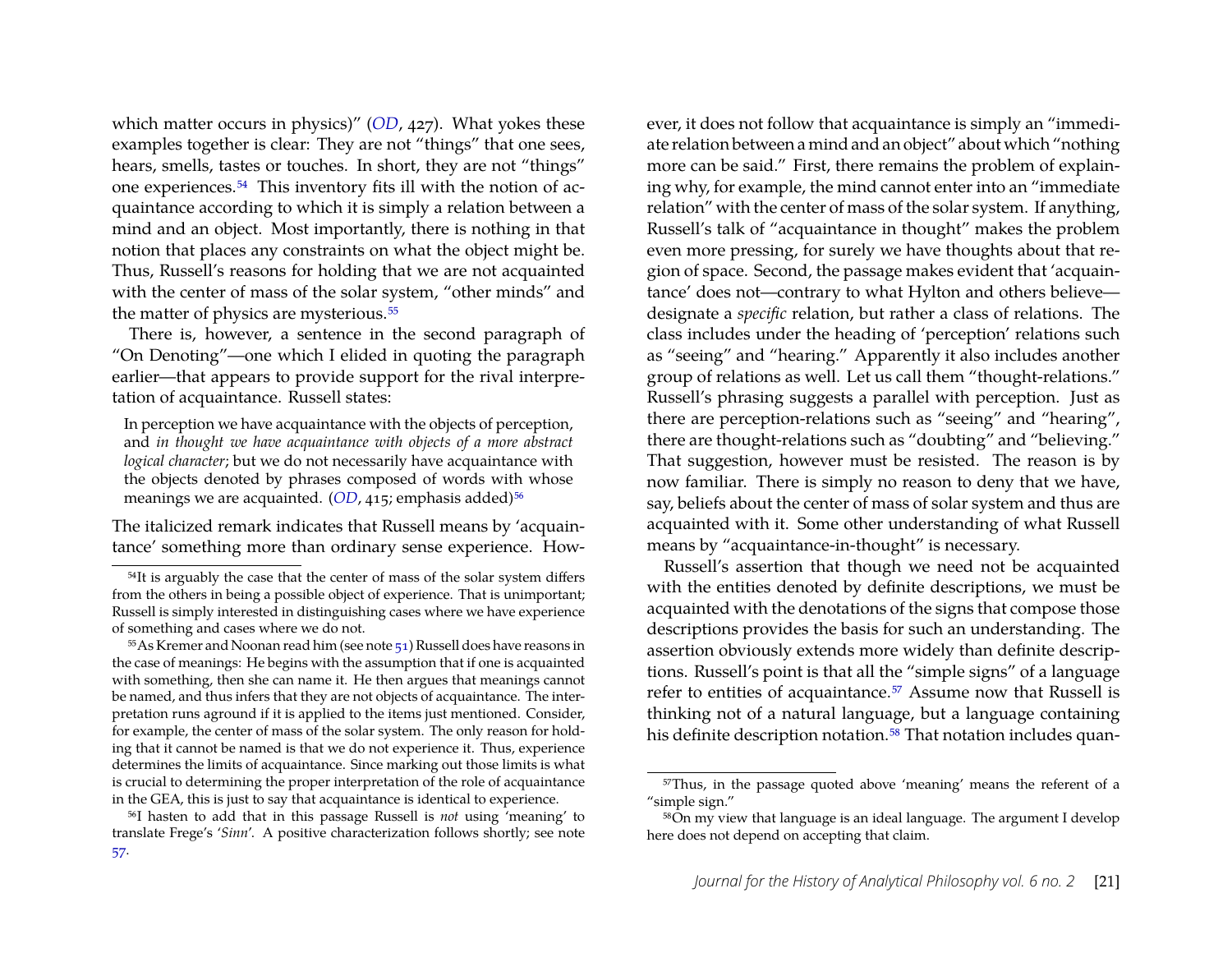which matter occurs in physics)" (*[OD](#page-31-17)*, 427). What yokes these examples together is clear: They are not "things" that one sees, hears, smells, tastes or touches. In short, they are not "things" one experiences[.54](#page-21-1) This inventory fits ill with the notion of acquaintance according to which it is simply a relation between a mind and an object. Most importantly, there is nothing in that notion that places any constraints on what the object might be. Thus, Russell's reasons for holding that we are not acquainted with the center of mass of the solar system, "other minds" and the matter of physics are mysterious.<sup>55</sup>

There is, however, a sentence in the second paragraph of "On Denoting"—one which I elided in quoting the paragraph earlier—that appears to provide support for the rival interpretation of acquaintance. Russell states:

In perception we have acquaintance with the objects of perception, and *in thought we have acquaintance with objects of a more abstract logical character*; but we do not necessarily have acquaintance with the objects denoted by phrases composed of words with whose meanings we are acquainted. (*[OD](#page-31-17)*, 415; emphasis added)<sup>56</sup>

The italicized remark indicates that Russell means by 'acquaintance' something more than ordinary sense experience. However, it does not follow that acquaintance is simply an "immediate relation between a mind and an object" about which "nothing more can be said." First, there remains the problem of explaining why, for example, the mind cannot enter into an "immediate relation" with the center of mass of the solar system. If anything, Russell's talk of "acquaintance in thought" makes the problem even more pressing, for surely we have thoughts about that region of space. Second, the passage makes evident that 'acquaintance' does not—contrary to what Hylton and others believe designate a *specific* relation, but rather a class of relations. The class includes under the heading of 'perception' relations such as "seeing" and "hearing." Apparently it also includes another group of relations as well. Let us call them "thought-relations." Russell's phrasing suggests a parallel with perception. Just as there are perception-relations such as "seeing" and "hearing", there are thought-relations such as "doubting" and "believing." That suggestion, however must be resisted. The reason is by now familiar. There is simply no reason to deny that we have, say, beliefs about the center of mass of solar system and thus are acquainted with it. Some other understanding of what Russell means by "acquaintance-in-thought" is necessary.

Russell's assertion that though we need not be acquainted with the entities denoted by definite descriptions, we must be acquainted with the denotations of the signs that compose those descriptions provides the basis for such an understanding. The assertion obviously extends more widely than definite descriptions. Russell's point is that all the "simple signs" of a language refer to entities of acquaintance.<sup>57</sup> Assume now that Russell is thinking not of a natural language, but a language containing his definite description notation.<sup>58</sup> That notation includes quan-

<span id="page-21-1"></span><sup>54</sup>It is arguably the case that the center of mass of the solar system differs from the others in being a possible object of experience. That is unimportant; Russell is simply interested in distinguishing cases where we have experience of something and cases where we do not.

<span id="page-21-0"></span><sup>55</sup>As Kremer and Noonan read him (see note [51\)](#page-20-0) Russell does have reasons in the case of meanings: He begins with the assumption that if one is acquainted with something, then she can name it. He then argues that meanings cannot be named, and thus infers that they are not objects of acquaintance. The interpretation runs aground if it is applied to the items just mentioned. Consider, for example, the center of mass of the solar system. The only reason for holding that it cannot be named is that we do not experience it. Thus, experience determines the limits of acquaintance. Since marking out those limits is what is crucial to determining the proper interpretation of the role of acquaintance in the GEA, this is just to say that acquaintance is identical to experience.

<span id="page-21-2"></span><sup>56</sup>I hasten to add that in this passage Russell is *not* using 'meaning' to translate Frege's '*Sinn*'. A positive characterization follows shortly; see note

<span id="page-21-3"></span><sup>57</sup>Thus, in the passage quoted above 'meaning' means the referent of a "simple sign."

<span id="page-21-4"></span><sup>58</sup>On my view that language is an ideal language. The argument I develop here does not depend on accepting that claim.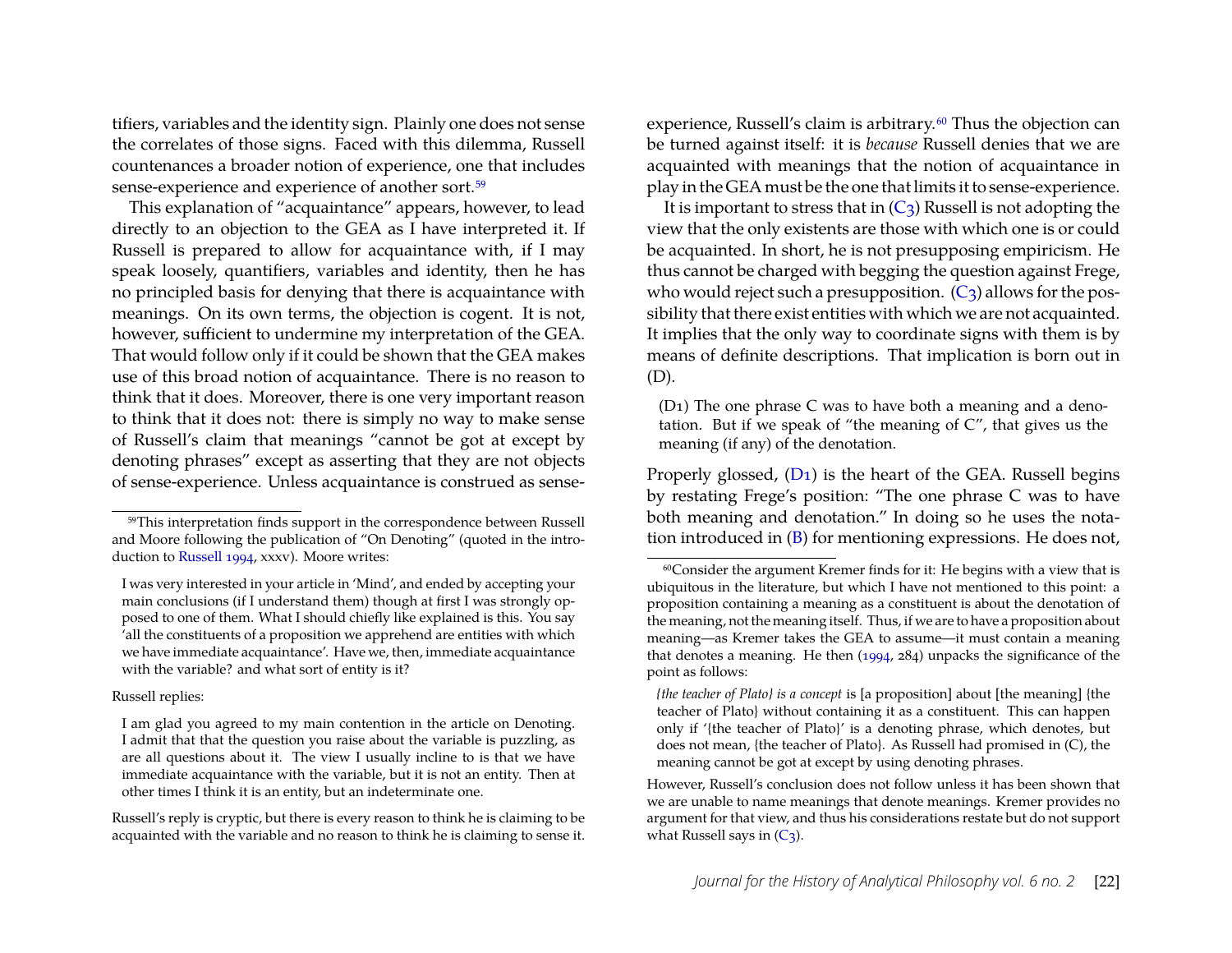tifiers, variables and the identity sign. Plainly one does not sense the correlates of those signs. Faced with this dilemma, Russell countenances a broader notion of experience, one that includes sense-experience and experience of another sort[.59](#page-22-1)

This explanation of "acquaintance" appears, however, to lead directly to an objection to the GEA as I have interpreted it. If Russell is prepared to allow for acquaintance with, if I may speak loosely, quantifiers, variables and identity, then he has no principled basis for denying that there is acquaintance with meanings. On its own terms, the objection is cogent. It is not, however, sufficient to undermine my interpretation of the GEA. That would follow only if it could be shown that the GEA makes use of this broad notion of acquaintance. There is no reason to think that it does. Moreover, there is one very important reason to think that it does not: there is simply no way to make sense of Russell's claim that meanings "cannot be got at except by denoting phrases" except as asserting that they are not objects of sense-experience. Unless acquaintance is construed as sense-

#### Russell replies:

Russell's reply is cryptic, but there is every reason to think he is claiming to be acquainted with the variable and no reason to think he is claiming to sense it.

experience, Russell's claim is arbitrary.<sup>60</sup> Thus the objection can be turned against itself: it is *because* Russell denies that we are acquainted with meanings that the notion of acquaintance in play in the GEA must be the one that limits it to sense-experience.

It is important to stress that in  $(C_3)$  Russell is not adopting the view that the only existents are those with which one is or could be acquainted. In short, he is not presupposing empiricism. He thus cannot be charged with begging the question against Frege, who would reject such a presupposition.  $(C_3)$  allows for the possibility that there exist entities with which we are not acquainted. It implies that the only way to coordinate signs with them is by means of definite descriptions. That implication is born out in (D).

<span id="page-22-2"></span>(D1) The one phrase C was to have both a meaning and a denotation. But if we speak of "the meaning of C", that gives us the meaning (if any) of the denotation.

Properly glossed, [\(D1\)](#page-22-2) is the heart of the GEA. Russell begins by restating Frege's position: "The one phrase C was to have both meaning and denotation." In doing so he uses the notation introduced in [\(B\)](#page-13-1) for mentioning expressions. He does not,

<span id="page-22-1"></span><sup>59</sup>This interpretation finds support in the correspondence between Russell and Moore following the publication of "On Denoting" (quoted in the introduction to [Russell](#page-31-22) [1994,](#page-31-22) xxxv). Moore writes:

I was very interested in your article in 'Mind', and ended by accepting your main conclusions (if I understand them) though at first I was strongly opposed to one of them. What I should chiefly like explained is this. You say 'all the constituents of a proposition we apprehend are entities with which we have immediate acquaintance'. Have we, then, immediate acquaintance with the variable? and what sort of entity is it?

I am glad you agreed to my main contention in the article on Denoting. I admit that that the question you raise about the variable is puzzling, as are all questions about it. The view I usually incline to is that we have immediate acquaintance with the variable, but it is not an entity. Then at other times I think it is an entity, but an indeterminate one.

<span id="page-22-0"></span><sup>60</sup>Consider the argument Kremer finds for it: He begins with a view that is ubiquitous in the literature, but which I have not mentioned to this point: a proposition containing a meaning as a constituent is about the denotation of the meaning, not the meaning itself. Thus, if we are to have a proposition about meaning—as Kremer takes the GEA to assume—it must contain a meaning that denotes a meaning. He then [\(1994,](#page-30-7) 284) unpacks the significance of the point as follows:

*<sup>{</sup>the teacher of Plato} is a concept* is [a proposition] about [the meaning] {the teacher of Plato} without containing it as a constituent. This can happen only if '{the teacher of Plato}' is a denoting phrase, which denotes, but does not mean, {the teacher of Plato}. As Russell had promised in (C), the meaning cannot be got at except by using denoting phrases.

However, Russell's conclusion does not follow unless it has been shown that we are unable to name meanings that denote meanings. Kremer provides no argument for that view, and thus his considerations restate but do not support what Russell says in  $(C_3)$ .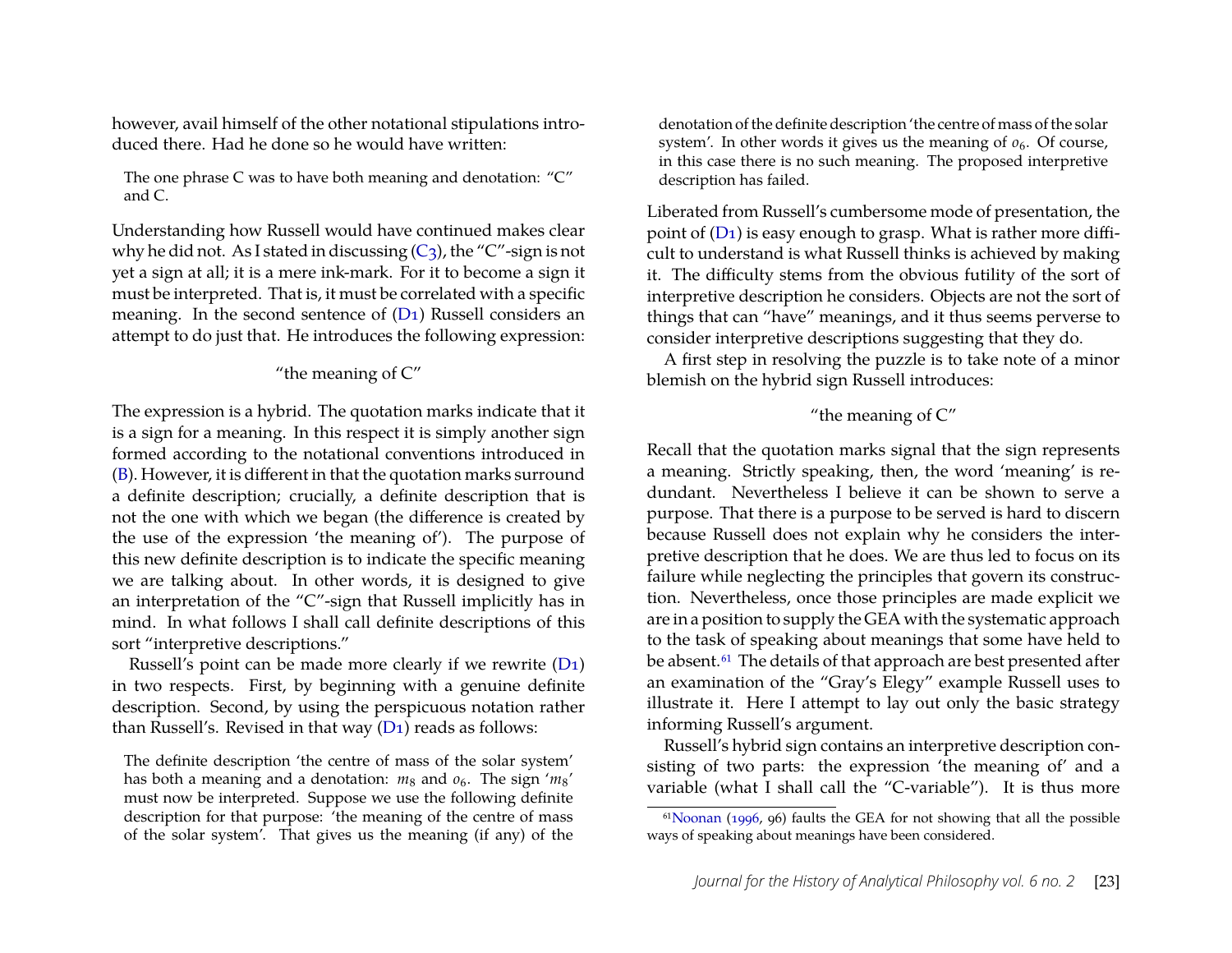however, avail himself of the other notational stipulations introduced there. Had he done so he would have written:

The one phrase C was to have both meaning and denotation: "C" and C.

Understanding how Russell would have continued makes clear why he did not. As I stated in discussing  $(C_3)$ , the "C"-sign is not yet a sign at all; it is a mere ink-mark. For it to become a sign it must be interpreted. That is, it must be correlated with a specific meaning. In the second sentence of  $(D_1)$  Russell considers an attempt to do just that. He introduces the following expression:

#### "the meaning of  $C$ "

The expression is a hybrid. The quotation marks indicate that it is a sign for a meaning. In this respect it is simply another sign formed according to the notational conventions introduced in [\(B\)](#page-13-1). However, it is different in that the quotation marks surround a definite description; crucially, a definite description that is not the one with which we began (the difference is created by the use of the expression 'the meaning of'). The purpose of this new definite description is to indicate the specific meaning we are talking about. In other words, it is designed to give an interpretation of the "C"-sign that Russell implicitly has in mind. In what follows I shall call definite descriptions of this sort "interpretive descriptions."

Russell's point can be made more clearly if we rewrite [\(D1\)](#page-22-2) in two respects. First, by beginning with a genuine definite description. Second, by using the perspicuous notation rather than Russell's. Revised in that way  $(D_1)$  reads as follows:

The definite description 'the centre of mass of the solar system' has both a meaning and a denotation:  $m_8$  and  $o_6$ . The sign ' $m_8$ ' must now be interpreted. Suppose we use the following definite description for that purpose: 'the meaning of the centre of mass of the solar system'. That gives us the meaning (if any) of the denotation of the definite description 'the centre of mass of the solar system'. In other words it gives us the meaning of  $o_6$ . Of course, in this case there is no such meaning. The proposed interpretive description has failed.

Liberated from Russell's cumbersome mode of presentation, the point of [\(D1\)](#page-22-2) is easy enough to grasp. What is rather more difficult to understand is what Russell thinks is achieved by making it. The difficulty stems from the obvious futility of the sort of interpretive description he considers. Objects are not the sort of things that can "have" meanings, and it thus seems perverse to consider interpretive descriptions suggesting that they do.

A first step in resolving the puzzle is to take note of a minor blemish on the hybrid sign Russell introduces:

#### "the meaning of C"

Recall that the quotation marks signal that the sign represents a meaning. Strictly speaking, then, the word 'meaning' is redundant. Nevertheless I believe it can be shown to serve a purpose. That there is a purpose to be served is hard to discern because Russell does not explain why he considers the interpretive description that he does. We are thus led to focus on its failure while neglecting the principles that govern its construction. Nevertheless, once those principles are made explicit we are in a position to supply the GEA with the systematic approach to the task of speaking about meanings that some have held to be absent.<sup>61</sup> The details of that approach are best presented after an examination of the "Gray's Elegy" example Russell uses to illustrate it. Here I attempt to lay out only the basic strategy informing Russell's argument.

Russell's hybrid sign contains an interpretive description consisting of two parts: the expression 'the meaning of' and a variable (what I shall call the "C-variable"). It is thus more

<span id="page-23-0"></span><sup>6</sup>[1Noonan](#page-31-6) [\(1996,](#page-31-6) 96) faults the GEA for not showing that all the possible ways of speaking about meanings have been considered.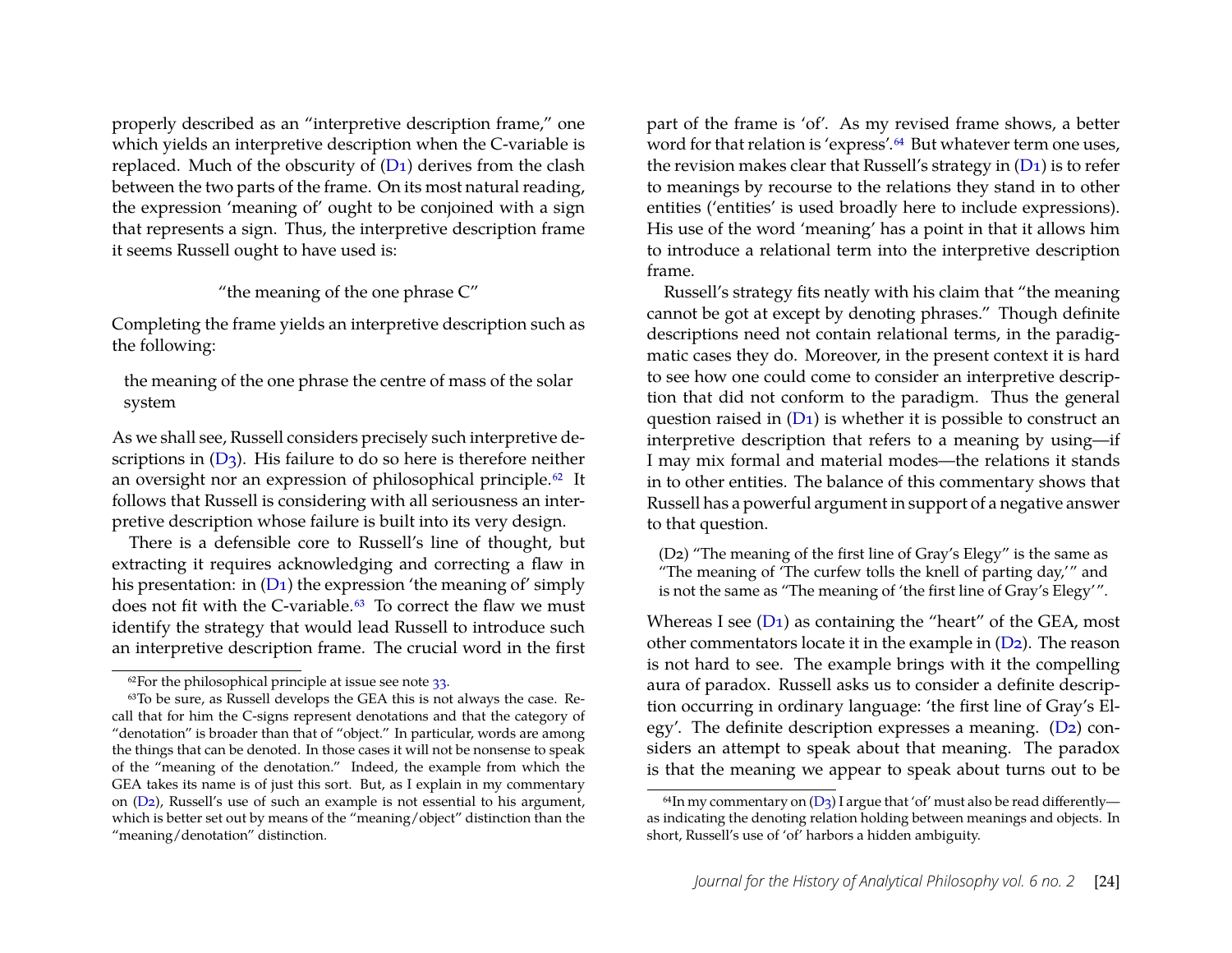properly described as an "interpretive description frame," one which yields an interpretive description when the C-variable is replaced. Much of the obscurity of  $(D_1)$  derives from the clash between the two parts of the frame. On its most natural reading, the expression 'meaning of' ought to be conjoined with a sign that represents a sign. Thus, the interpretive description frame it seems Russell ought to have used is:

#### "the meaning of the one phrase C"

Completing the frame yields an interpretive description such as the following:

the meaning of the one phrase the centre of mass of the solar system

As we shall see, Russell considers precisely such interpretive descriptions in  $(D_3)$ . His failure to do so here is therefore neither an oversight nor an expression of philosophical principle.<sup>62</sup> It follows that Russell is considering with all seriousness an interpretive description whose failure is built into its very design.

There is a defensible core to Russell's line of thought, but extracting it requires acknowledging and correcting a flaw in his presentation: in  $(D_1)$  the expression 'the meaning of' simply does not fit with the C-variable[.63](#page-24-1) To correct the flaw we must identify the strategy that would lead Russell to introduce such an interpretive description frame. The crucial word in the first part of the frame is 'of'. As my revised frame shows, a better word for that relation is 'express'.<sup>64</sup> But whatever term one uses, the revision makes clear that Russell's strategy in [\(D1\)](#page-22-2) is to refer to meanings by recourse to the relations they stand in to other entities ('entities' is used broadly here to include expressions). His use of the word 'meaning' has a point in that it allows him to introduce a relational term into the interpretive description frame.

Russell's strategy fits neatly with his claim that "the meaning cannot be got at except by denoting phrases." Though definite descriptions need not contain relational terms, in the paradigmatic cases they do. Moreover, in the present context it is hard to see how one could come to consider an interpretive description that did not conform to the paradigm. Thus the general question raised in  $(D_1)$  is whether it is possible to construct an interpretive description that refers to a meaning by using—if I may mix formal and material modes—the relations it stands in to other entities. The balance of this commentary shows that Russell has a powerful argument in support of a negative answer to that question.

<span id="page-24-2"></span>(D2) "The meaning of the first line of Gray's Elegy" is the same as "The meaning of 'The curfew tolls the knell of parting day,'" and is not the same as "The meaning of 'the first line of Gray's Elegy'".

Whereas I see  $(D_1)$  as containing the "heart" of the GEA, most other commentators locate it in the example in [\(D2\)](#page-24-2). The reason is not hard to see. The example brings with it the compelling aura of paradox. Russell asks us to consider a definite description occurring in ordinary language: 'the first line of Gray's Elegy'. The definite description expresses a meaning. [\(D2\)](#page-24-2) considers an attempt to speak about that meaning. The paradox is that the meaning we appear to speak about turns out to be

<span id="page-24-1"></span><span id="page-24-0"></span> $62$ For the philosophical principle at issue see note  $33$ .

<sup>63</sup>To be sure, as Russell develops the GEA this is not always the case. Recall that for him the C-signs represent denotations and that the category of "denotation" is broader than that of "object." In particular, words are among the things that can be denoted. In those cases it will not be nonsense to speak of the "meaning of the denotation." Indeed, the example from which the GEA takes its name is of just this sort. But, as I explain in my commentary on [\(D2\)](#page-24-2), Russell's use of such an example is not essential to his argument, which is better set out by means of the "meaning/object" distinction than the "meaning/denotation" distinction.

<span id="page-24-3"></span><sup>&</sup>lt;sup>64</sup>In my commentary on  $(D_3)$  I argue that 'of' must also be read differently as indicating the denoting relation holding between meanings and objects. In short, Russell's use of 'of' harbors a hidden ambiguity.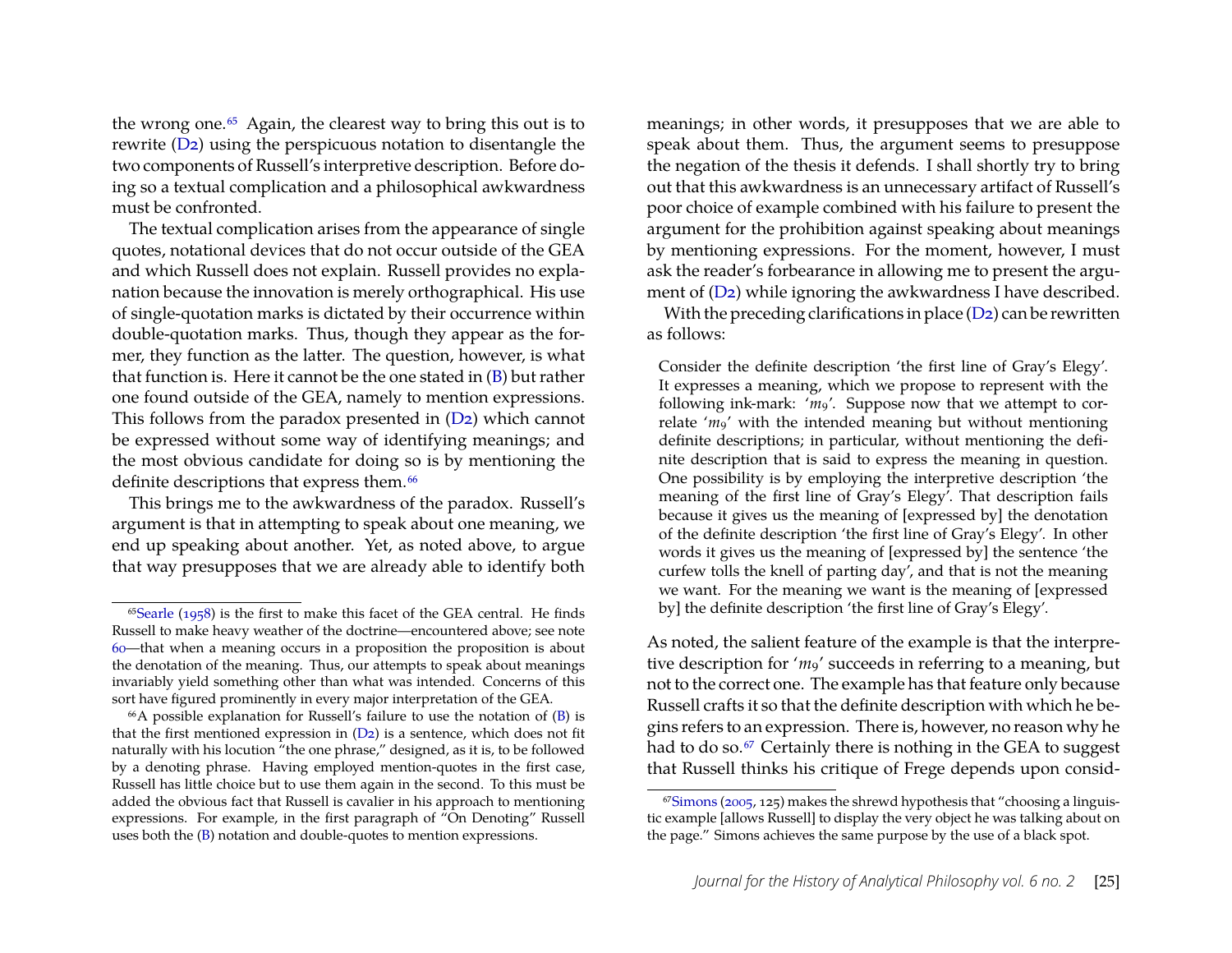the wrong one.<sup>65</sup> Again, the clearest way to bring this out is to rewrite [\(D2\)](#page-24-2) using the perspicuous notation to disentangle the two components of Russell's interpretive description. Before doing so a textual complication and a philosophical awkwardness must be confronted.

<span id="page-25-3"></span>The textual complication arises from the appearance of single quotes, notational devices that do not occur outside of the GEA and which Russell does not explain. Russell provides no explanation because the innovation is merely orthographical. His use of single-quotation marks is dictated by their occurrence within double-quotation marks. Thus, though they appear as the former, they function as the latter. The question, however, is what that function is. Here it cannot be the one stated in [\(B\)](#page-13-1) but rather one found outside of the GEA, namely to mention expressions. This follows from the paradox presented in [\(D2\)](#page-24-2) which cannot be expressed without some way of identifying meanings; and the most obvious candidate for doing so is by mentioning the definite descriptions that express them.<sup>66</sup>

This brings me to the awkwardness of the paradox. Russell's argument is that in attempting to speak about one meaning, we end up speaking about another. Yet, as noted above, to argue that way presupposes that we are already able to identify both meanings; in other words, it presupposes that we are able to speak about them. Thus, the argument seems to presuppose the negation of the thesis it defends. I shall shortly try to bring out that this awkwardness is an unnecessary artifact of Russell's poor choice of example combined with his failure to present the argument for the prohibition against speaking about meanings by mentioning expressions. For the moment, however, I must ask the reader's forbearance in allowing me to present the argument of [\(D2\)](#page-24-2) while ignoring the awkwardness I have described.

With the preceding clarifications in place [\(D2\)](#page-24-2) can be rewritten as follows:

Consider the definite description 'the first line of Gray's Elegy'. It expresses a meaning, which we propose to represent with the following ink-mark: 'm<sub>9</sub>'. Suppose now that we attempt to correlate '*m*<sup>9</sup>' with the intended meaning but without mentioning definite descriptions; in particular, without mentioning the definite description that is said to express the meaning in question. One possibility is by employing the interpretive description 'the meaning of the first line of Gray's Elegy'. That description fails because it gives us the meaning of [expressed by] the denotation of the definite description 'the first line of Gray's Elegy'. In other words it gives us the meaning of [expressed by] the sentence 'the curfew tolls the knell of parting day', and that is not the meaning we want. For the meaning we want is the meaning of [expressed by] the definite description 'the first line of Gray's Elegy'.

As noted, the salient feature of the example is that the interpretive description for 'm<sub>9</sub>' succeeds in referring to a meaning, but not to the correct one. The example has that feature only because Russell crafts it so that the definite description with which he begins refers to an expression. There is, however, no reason why he had to do so.<sup>67</sup> Certainly there is nothing in the GEA to suggest that Russell thinks his critique of Frege depends upon consid-

<span id="page-25-0"></span> $65$ Searle [\(1958\)](#page-31-1) is the first to make this facet of the GEA central. He finds Russell to make heavy weather of the doctrine—encountered above; see note [60—](#page-22-0)that when a meaning occurs in a proposition the proposition is about the denotation of the meaning. Thus, our attempts to speak about meanings invariably yield something other than what was intended. Concerns of this sort have figured prominently in every major interpretation of the GEA.

<span id="page-25-1"></span> $66A$  possible explanation for Russell's failure to use the notation of  $(B)$  is that the first mentioned expression in  $(D_2)$  is a sentence, which does not fit naturally with his locution "the one phrase," designed, as it is, to be followed by a denoting phrase. Having employed mention-quotes in the first case, Russell has little choice but to use them again in the second. To this must be added the obvious fact that Russell is cavalier in his approach to mentioning expressions. For example, in the first paragraph of "On Denoting" Russell uses both the [\(B\)](#page-13-1) notation and double-quotes to mention expressions.

<span id="page-25-2"></span> $67$ Simons [\(2005,](#page-31-7) 125) makes the shrewd hypothesis that "choosing a linguistic example [allows Russell] to display the very object he was talking about on the page." Simons achieves the same purpose by the use of a black spot.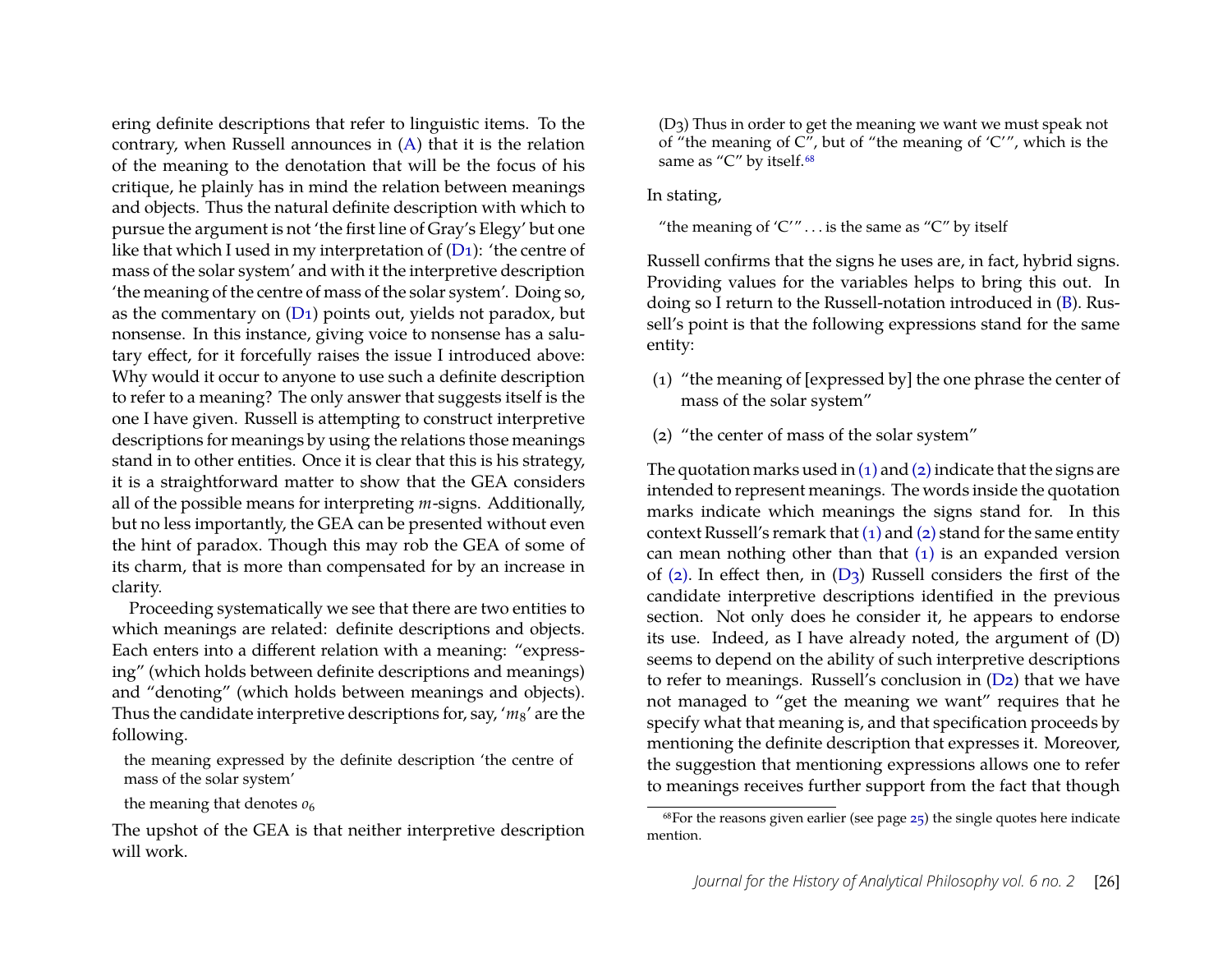ering definite descriptions that refer to linguistic items. To the contrary, when Russell announces in [\(A\)](#page-11-6) that it is the relation of the meaning to the denotation that will be the focus of his critique, he plainly has in mind the relation between meanings and objects. Thus the natural definite description with which to pursue the argument is not 'the first line of Gray's Elegy' but one like that which I used in my interpretation of  $(D_1)$ : 'the centre of mass of the solar system' and with it the interpretive description 'the meaning of the centre of mass of the solar system'. Doing so, as the commentary on [\(D1\)](#page-22-2) points out, yields not paradox, but nonsense. In this instance, giving voice to nonsense has a salutary effect, for it forcefully raises the issue I introduced above: Why would it occur to anyone to use such a definite description to refer to a meaning? The only answer that suggests itself is the one I have given. Russell is attempting to construct interpretive descriptions for meanings by using the relations those meanings stand in to other entities. Once it is clear that this is his strategy, it is a straightforward matter to show that the GEA considers all of the possible means for interpreting *m*-signs. Additionally, but no less importantly, the GEA can be presented without even the hint of paradox. Though this may rob the GEA of some of its charm, that is more than compensated for by an increase in clarity.

Proceeding systematically we see that there are two entities to which meanings are related: definite descriptions and objects. Each enters into a different relation with a meaning: "expressing" (which holds between definite descriptions and meanings) and "denoting" (which holds between meanings and objects). Thus the candidate interpretive descriptions for, say, '*m*8' are the following.

the meaning expressed by the definite description 'the centre of mass of the solar system'

the meaning that denotes  $\rho_6$ 

<span id="page-26-0"></span>(D3) Thus in order to get the meaning we want we must speak not of "the meaning of  $C''$ , but of "the meaning of ' $C''$ , which is the same as "C" by itself.<sup>68</sup>

In stating,

"the meaning of ' $C''$ ... is the same as " $C''$  by itself

Russell confirms that the signs he uses are, in fact, hybrid signs. Providing values for the variables helps to bring this out. In doing so I return to the Russell-notation introduced in [\(B\)](#page-13-1). Russell's point is that the following expressions stand for the same entity:

- <span id="page-26-2"></span>(1) "the meaning of [expressed by] the one phrase the center of mass of the solar system"
- <span id="page-26-3"></span>(2) "the center of mass of the solar system"

The quotation marks used in  $(1)$  and  $(2)$  indicate that the signs are intended to represent meanings. The words inside the quotation marks indicate which meanings the signs stand for. In this context Russell's remark that  $(1)$  and  $(2)$  stand for the same entity can mean nothing other than that  $(1)$  is an expanded version of [\(2\).](#page-26-3) In effect then, in  $(D_3)$  Russell considers the first of the candidate interpretive descriptions identified in the previous section. Not only does he consider it, he appears to endorse its use. Indeed, as I have already noted, the argument of (D) seems to depend on the ability of such interpretive descriptions to refer to meanings. Russell's conclusion in [\(D2\)](#page-24-2) that we have not managed to "get the meaning we want" requires that he specify what that meaning is, and that specification proceeds by mentioning the definite description that expresses it. Moreover, the suggestion that mentioning expressions allows one to refer to meanings receives further support from the fact that though

The upshot of the GEA is that neither interpretive description will work.

<span id="page-26-1"></span> $68$  For the reasons given earlier (see page [25\)](#page-25-3) the single quotes here indicate mention.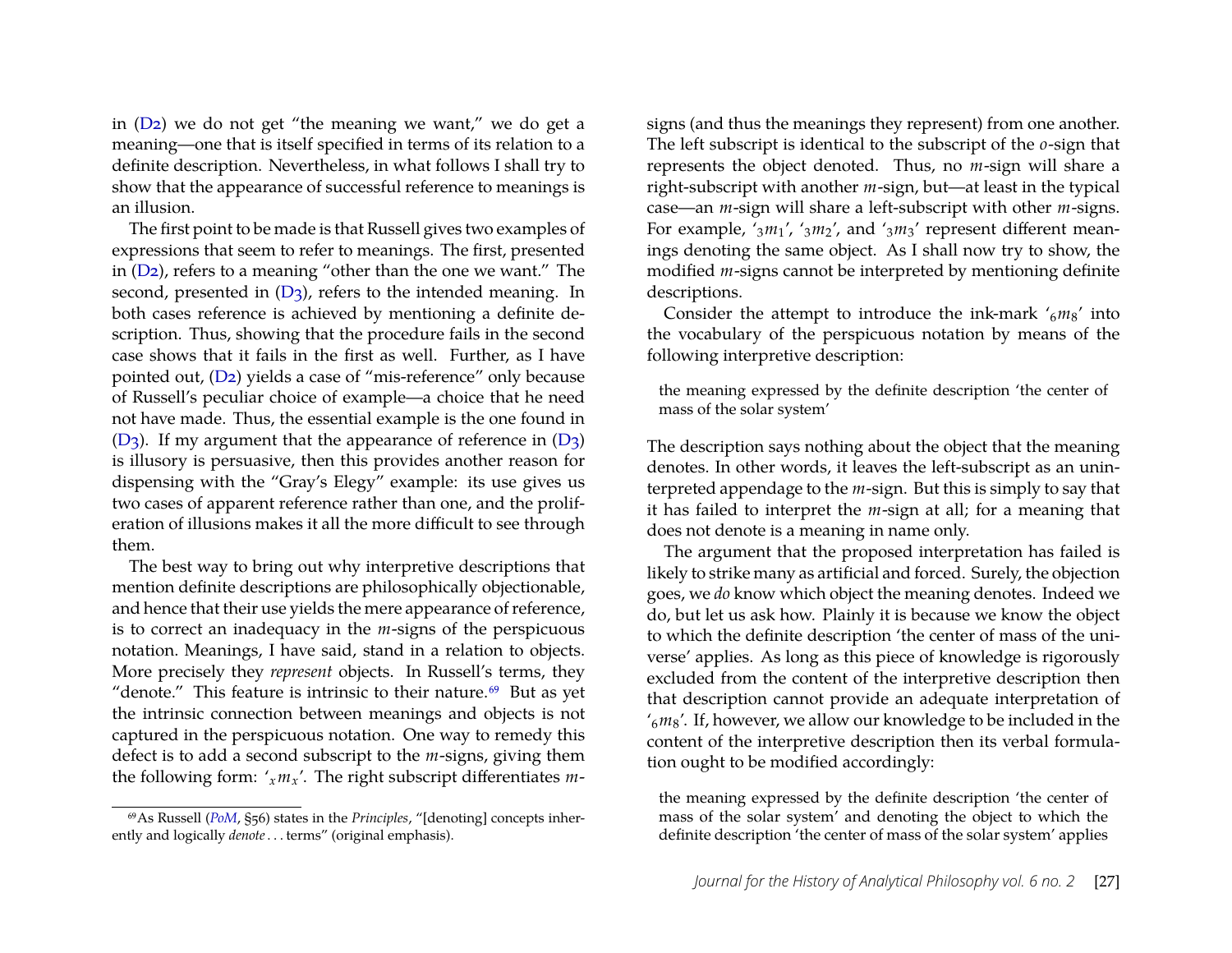in [\(D2\)](#page-24-2) we do not get "the meaning we want," we do get a meaning—one that is itself specified in terms of its relation to a definite description. Nevertheless, in what follows I shall try to show that the appearance of successful reference to meanings is an illusion.

The first point to be made is that Russell gives two examples of expressions that seem to refer to meanings. The first, presented in [\(D2\)](#page-24-2), refers to a meaning "other than the one we want." The second, presented in  $(D_3)$ , refers to the intended meaning. In both cases reference is achieved by mentioning a definite description. Thus, showing that the procedure fails in the second case shows that it fails in the first as well. Further, as I have pointed out, [\(D2\)](#page-24-2) yields a case of "mis-reference" only because of Russell's peculiar choice of example—a choice that he need not have made. Thus, the essential example is the one found in  $(D_3)$ . If my argument that the appearance of reference in  $(D_3)$ is illusory is persuasive, then this provides another reason for dispensing with the "Gray's Elegy" example: its use gives us two cases of apparent reference rather than one, and the proliferation of illusions makes it all the more difficult to see through them.

The best way to bring out why interpretive descriptions that mention definite descriptions are philosophically objectionable, and hence that their use yields the mere appearance of reference, is to correct an inadequacy in the *m*-signs of the perspicuous notation. Meanings, I have said, stand in a relation to objects. More precisely they *represent* objects. In Russell's terms, they "denote." This feature is intrinsic to their nature. $69$  But as yet the intrinsic connection between meanings and objects is not captured in the perspicuous notation. One way to remedy this defect is to add a second subscript to the *m*-signs, giving them the following form:  $x_{m}$ <sup>'</sup>. The right subscript differentiates *m*-

<span id="page-27-0"></span>69As Russell (*[PoM](#page-31-11)*, §56) states in the *Principles*, "[denoting] concepts inherently and logically *denote*. . . terms" (original emphasis).

signs (and thus the meanings they represent) from one another. The left subscript is identical to the subscript of the *o*-sign that represents the object denoted. Thus, no *m*-sign will share a right-subscript with another *m*-sign, but—at least in the typical case—an *m*-sign will share a left-subscript with other *m*-signs. For example, '3*m*1', '3*m*2', and '3*m*3' represent different meanings denoting the same object. As I shall now try to show, the modified *m*-signs cannot be interpreted by mentioning definite descriptions.

Consider the attempt to introduce the ink-mark '6*m*8' into the vocabulary of the perspicuous notation by means of the following interpretive description:

the meaning expressed by the definite description 'the center of mass of the solar system'

The description says nothing about the object that the meaning denotes. In other words, it leaves the left-subscript as an uninterpreted appendage to the *m*-sign. But this is simply to say that it has failed to interpret the *m*-sign at all; for a meaning that does not denote is a meaning in name only.

The argument that the proposed interpretation has failed is likely to strike many as artificial and forced. Surely, the objection goes, we *do* know which object the meaning denotes. Indeed we do, but let us ask how. Plainly it is because we know the object to which the definite description 'the center of mass of the universe' applies. As long as this piece of knowledge is rigorously excluded from the content of the interpretive description then that description cannot provide an adequate interpretation of '6*m*8'. If, however, we allow our knowledge to be included in the content of the interpretive description then its verbal formulation ought to be modified accordingly:

the meaning expressed by the definite description 'the center of mass of the solar system' and denoting the object to which the definite description 'the center of mass of the solar system' applies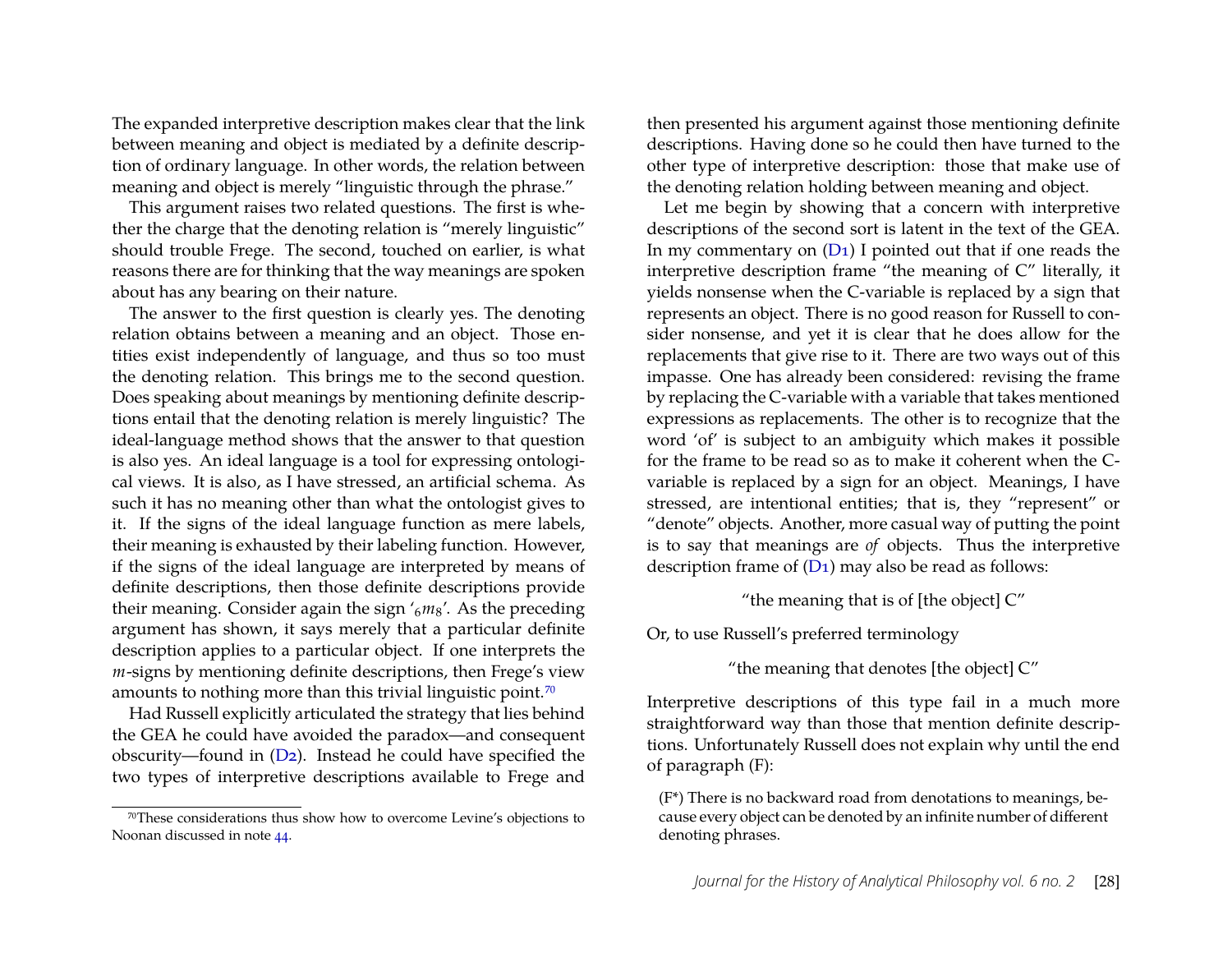The expanded interpretive description makes clear that the link between meaning and object is mediated by a definite description of ordinary language. In other words, the relation between meaning and object is merely "linguistic through the phrase."

This argument raises two related questions. The first is whether the charge that the denoting relation is "merely linguistic" should trouble Frege. The second, touched on earlier, is what reasons there are for thinking that the way meanings are spoken about has any bearing on their nature.

The answer to the first question is clearly yes. The denoting relation obtains between a meaning and an object. Those entities exist independently of language, and thus so too must the denoting relation. This brings me to the second question. Does speaking about meanings by mentioning definite descriptions entail that the denoting relation is merely linguistic? The ideal-language method shows that the answer to that question is also yes. An ideal language is a tool for expressing ontological views. It is also, as I have stressed, an artificial schema. As such it has no meaning other than what the ontologist gives to it. If the signs of the ideal language function as mere labels, their meaning is exhausted by their labeling function. However, if the signs of the ideal language are interpreted by means of definite descriptions, then those definite descriptions provide their meaning. Consider again the sign '6*m*8'. As the preceding argument has shown, it says merely that a particular definite description applies to a particular object. If one interprets the *m*-signs by mentioning definite descriptions, then Frege's view amounts to nothing more than this trivial linguistic point.<sup>70</sup>

Had Russell explicitly articulated the strategy that lies behind the GEA he could have avoided the paradox—and consequent obscurity—found in [\(D2\)](#page-24-2). Instead he could have specified the two types of interpretive descriptions available to Frege and

then presented his argument against those mentioning definite descriptions. Having done so he could then have turned to the other type of interpretive description: those that make use of the denoting relation holding between meaning and object.

Let me begin by showing that a concern with interpretive descriptions of the second sort is latent in the text of the GEA. In my commentary on  $(D_1)$  I pointed out that if one reads the interpretive description frame "the meaning of C" literally, it yields nonsense when the C-variable is replaced by a sign that represents an object. There is no good reason for Russell to consider nonsense, and yet it is clear that he does allow for the replacements that give rise to it. There are two ways out of this impasse. One has already been considered: revising the frame by replacing the C-variable with a variable that takes mentioned expressions as replacements. The other is to recognize that the word 'of' is subject to an ambiguity which makes it possible for the frame to be read so as to make it coherent when the Cvariable is replaced by a sign for an object. Meanings, I have stressed, are intentional entities; that is, they "represent" or "denote" objects. Another, more casual way of putting the point is to say that meanings are *of* objects. Thus the interpretive description frame of  $(D_1)$  may also be read as follows:

"the meaning that is of [the object]  $C$ "

Or, to use Russell's preferred terminology

"the meaning that denotes [the object] C"

Interpretive descriptions of this type fail in a much more straightforward way than those that mention definite descriptions. Unfortunately Russell does not explain why until the end of paragraph (F):

(F\*) There is no backward road from denotations to meanings, because every object can be denoted by an infinite number of different denoting phrases.

<span id="page-28-0"></span><sup>70</sup>These considerations thus show how to overcome Levine's objections to Noonan discussed in note [44.](#page-17-1)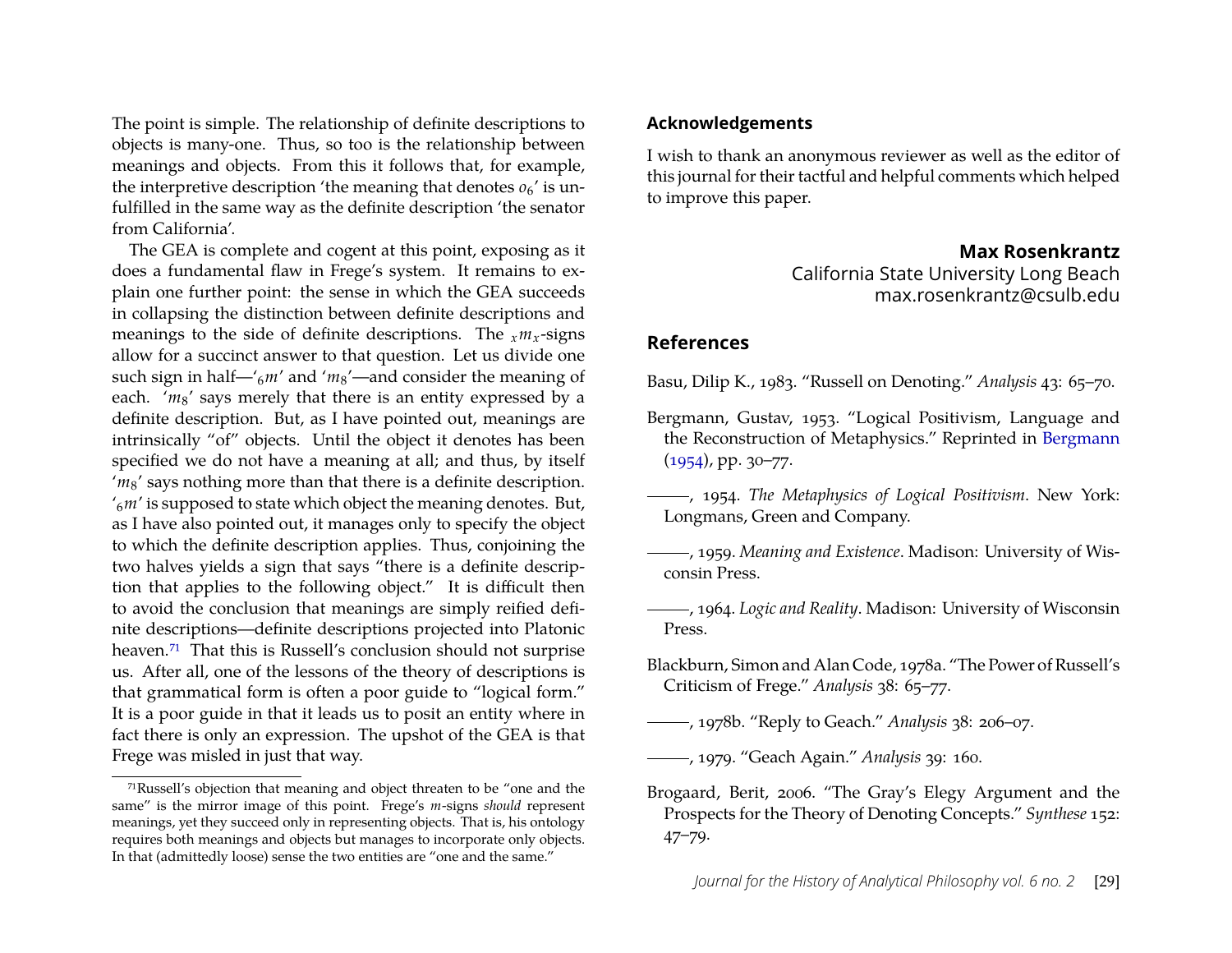The point is simple. The relationship of definite descriptions to objects is many-one. Thus, so too is the relationship between meanings and objects. From this it follows that, for example, the interpretive description 'the meaning that denotes  $o_6$ ' is unfulfilled in the same way as the definite description 'the senator from California'.

The GEA is complete and cogent at this point, exposing as it does a fundamental flaw in Frege's system. It remains to explain one further point: the sense in which the GEA succeeds in collapsing the distinction between definite descriptions and meanings to the side of definite descriptions. The  $_{x}m_{x}$ -signs allow for a succinct answer to that question. Let us divide one such sign in half—'6*m*' and '*m*8'—and consider the meaning of each. 'm<sub>8</sub>' says merely that there is an entity expressed by a definite description. But, as I have pointed out, meanings are intrinsically "of" objects. Until the object it denotes has been specified we do not have a meaning at all; and thus, by itself 'm<sub>8</sub>' says nothing more than that there is a definite description. '6*m*' is supposed to state which object the meaning denotes. But, as I have also pointed out, it manages only to specify the object to which the definite description applies. Thus, conjoining the two halves yields a sign that says "there is a definite description that applies to the following object." It is difficult then to avoid the conclusion that meanings are simply reified definite descriptions—definite descriptions projected into Platonic heaven.<sup>71</sup> That this is Russell's conclusion should not surprise us. After all, one of the lessons of the theory of descriptions is that grammatical form is often a poor guide to "logical form." It is a poor guide in that it leads us to posit an entity where in fact there is only an expression. The upshot of the GEA is that Frege was misled in just that way.

#### **Acknowledgements**

I wish to thank an anonymous reviewer as well as the editor of this journal for their tactful and helpful comments which helped to improve this paper.

#### **Max Rosenkrantz**

California State University Long Beach max.rosenkrantz@csulb.edu

#### **References**

<span id="page-29-8"></span>Basu, Dilip K., 1983. "Russell on Denoting." *Analysis* 43: 65–70.

- <span id="page-29-7"></span>Bergmann, Gustav, 1953. "Logical Positivism, Language and the Reconstruction of Metaphysics." Reprinted in [Bergmann](#page-29-4)  $(1954)$ , pp. 30–77.
- <span id="page-29-4"></span>, 1954. *The Metaphysics of Logical Positivism*. New York: Longmans, Green and Company.
- <span id="page-29-5"></span>, 1959. *Meaning and Existence*. Madison: University of Wisconsin Press.
- <span id="page-29-6"></span>, 1964. *Logic and Reality*. Madison: University of Wisconsin Press.
- <span id="page-29-0"></span>Blackburn, Simon and Alan Code, 1978a. "The Power of Russell's Criticism of Frege." *Analysis* 38: 65–77.
- <span id="page-29-2"></span>, 1978b. "Reply to Geach." *Analysis* 38: 206–07.

<span id="page-29-3"></span>, 1979. "Geach Again." *Analysis* 39: 160.

<span id="page-29-1"></span>Brogaard, Berit, 2006. "The Gray's Elegy Argument and the Prospects for the Theory of Denoting Concepts." *Synthese* 152: 47–79.

<span id="page-29-9"></span><sup>71</sup>Russell's objection that meaning and object threaten to be "one and the same" is the mirror image of this point. Frege's *m*-signs *should* represent meanings, yet they succeed only in representing objects. That is, his ontology requires both meanings and objects but manages to incorporate only objects. In that (admittedly loose) sense the two entities are "one and the same."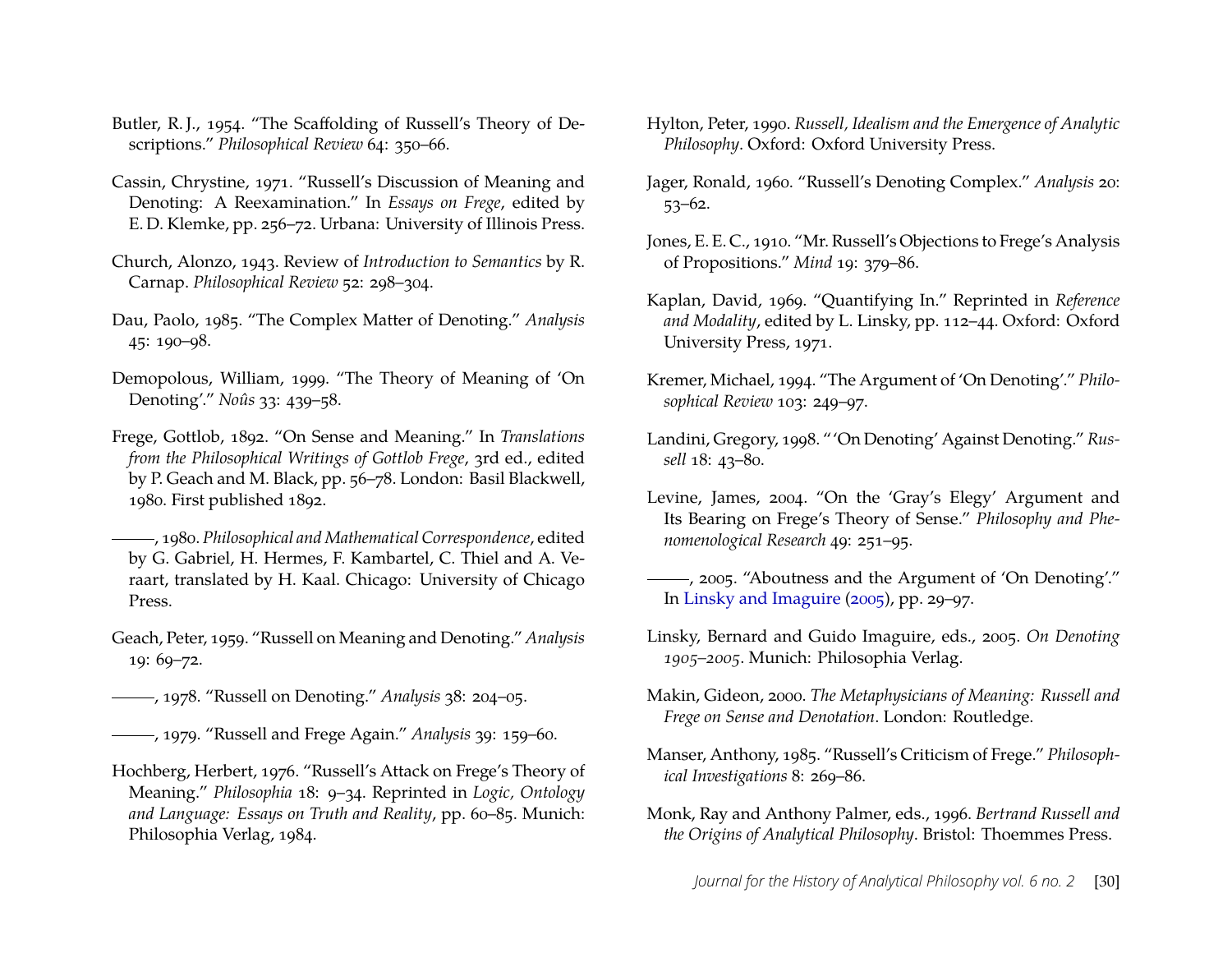- <span id="page-30-2"></span>Butler, R. J., 1954. "The Scaffolding of Russell's Theory of Descriptions." *Philosophical Review* 64: 350–66.
- <span id="page-30-3"></span>Cassin, Chrystine, 1971. "Russell's Discussion of Meaning and Denoting: A Reexamination." In *Essays on Frege*, edited by E. D. Klemke, pp. 256–72. Urbana: University of Illinois Press.
- <span id="page-30-1"></span>Church, Alonzo, 1943. Review of *Introduction to Semantics* by R. Carnap. *Philosophical Review* 52: 298–304.
- <span id="page-30-19"></span>Dau, Paolo, 1985. "The Complex Matter of Denoting." *Analysis* 45: 190–98.
- <span id="page-30-9"></span>Demopolous, William, 1999. "The Theory of Meaning of 'On Denoting'." *Noûs* 33: 439–58.
- <span id="page-30-18"></span>Frege, Gottlob, 1892. "On Sense and Meaning." In *Translations from the Philosophical Writings of Gottlob Frege*, 3rd ed., edited by P. Geach and M. Black, pp. 56–78. London: Basil Blackwell, 1980. First published 1892.
- , 1980. *Philosophical and Mathematical Correspondence*, edited by G. Gabriel, H. Hermes, F. Kambartel, C. Thiel and A. Veraart, translated by H. Kaal. Chicago: University of Chicago Press.
- <span id="page-30-16"></span>Geach, Peter, 1959. "Russell on Meaning and Denoting." *Analysis* 19: 69–72.
- <span id="page-30-13"></span>, 1978. "Russell on Denoting." *Analysis* 38: 204–05.
- <span id="page-30-14"></span>, 1979. "Russell and Frege Again." *Analysis* 39: 159–60.
- <span id="page-30-4"></span>Hochberg, Herbert, 1976. "Russell's Attack on Frege's Theory of Meaning." *Philosophia* 18: 9–34. Reprinted in *Logic, Ontology and Language: Essays on Truth and Reality*, pp. 60–85. Munich: Philosophia Verlag, 1984.
- <span id="page-30-6"></span>Hylton, Peter, 1990. *Russell, Idealism and the Emergence of Analytic Philosophy*. Oxford: Oxford University Press.
- <span id="page-30-0"></span>Jager, Ronald, 1960. "Russell's Denoting Complex." *Analysis* 20: 53–62.
- <span id="page-30-17"></span>Jones, E. E. C., 1910. "Mr. Russell's Objections to Frege's Analysis of Propositions." *Mind* 19: 379–86.
- <span id="page-30-15"></span>Kaplan, David, 1969. "Quantifying In." Reprinted in *Reference and Modality*, edited by L. Linsky, pp. 112–44. Oxford: Oxford University Press, 1971.
- <span id="page-30-7"></span>Kremer, Michael, 1994. "The Argument of 'On Denoting'." *Philosophical Review* 103: 249–97.
- <span id="page-30-8"></span>Landini, Gregory, 1998. "'On Denoting' Against Denoting." *Russell* 18: 43–80.
- <span id="page-30-11"></span>Levine, James, 2004. "On the 'Gray's Elegy' Argument and Its Bearing on Frege's Theory of Sense." *Philosophy and Phenomenological Research* 49: 251–95.
- <span id="page-30-12"></span>, 2005. "Aboutness and the Argument of 'On Denoting'." In [Linsky and Imaguire](#page-30-20) [\(2005\)](#page-30-20), pp. 29–97.
- <span id="page-30-20"></span>Linsky, Bernard and Guido Imaguire, eds., 2005. *On Denoting 1905–2005*. Munich: Philosophia Verlag.
- <span id="page-30-10"></span>Makin, Gideon, 2000. *The Metaphysicians of Meaning: Russell and Frege on Sense and Denotation*. London: Routledge.
- <span id="page-30-5"></span>Manser, Anthony, 1985. "Russell's Criticism of Frege." *Philosophical Investigations* 8: 269–86.
- <span id="page-30-21"></span>Monk, Ray and Anthony Palmer, eds., 1996. *Bertrand Russell and the Origins of Analytical Philosophy*. Bristol: Thoemmes Press.